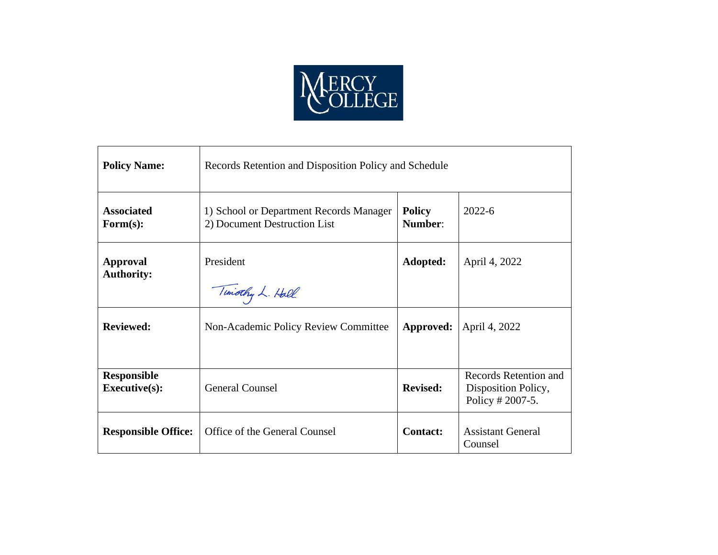

| <b>Policy Name:</b>                        | Records Retention and Disposition Policy and Schedule                   |                          |                                                                  |  |
|--------------------------------------------|-------------------------------------------------------------------------|--------------------------|------------------------------------------------------------------|--|
| <b>Associated</b><br>Form(s):              | 1) School or Department Records Manager<br>2) Document Destruction List | <b>Policy</b><br>Number: | $2022 - 6$                                                       |  |
| <b>Approval</b><br><b>Authority:</b>       | President<br>Timothy L. Hall                                            | Adopted:                 | April 4, 2022                                                    |  |
| <b>Reviewed:</b>                           | Non-Academic Policy Review Committee                                    | Approved:                | April 4, 2022                                                    |  |
| <b>Responsible</b><br><b>Executive(s):</b> | <b>General Counsel</b>                                                  | <b>Revised:</b>          | Records Retention and<br>Disposition Policy,<br>Policy # 2007-5. |  |
| <b>Responsible Office:</b>                 | Office of the General Counsel                                           | <b>Contact:</b>          | <b>Assistant General</b><br>Counsel                              |  |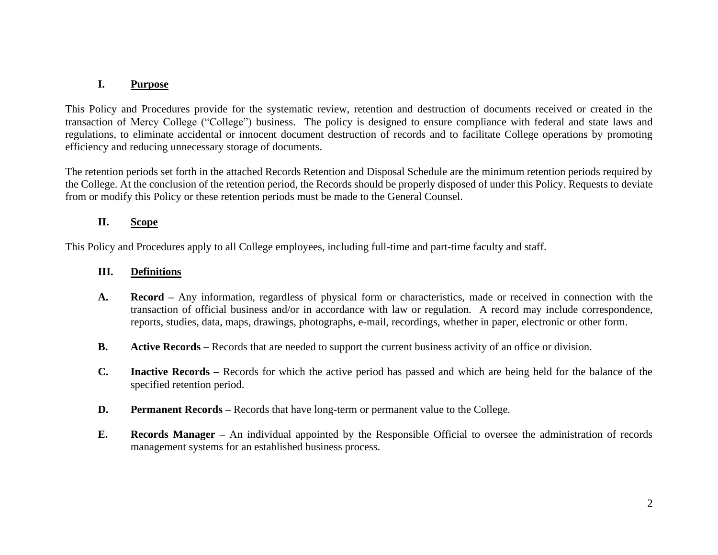# **I. Purpose**

This Policy and Procedures provide for the systematic review, retention and destruction of documents received or created in the transaction of Mercy College ("College") business. The policy is designed to ensure compliance with federal and state laws and regulations, to eliminate accidental or innocent document destruction of records and to facilitate College operations by promoting efficiency and reducing unnecessary storage of documents.

The retention periods set forth in the attached Records Retention and Disposal Schedule are the minimum retention periods required by the College. At the conclusion of the retention period, the Records should be properly disposed of under this Policy. Requests to deviate from or modify this Policy or these retention periods must be made to the General Counsel.

### **II. Scope**

This Policy and Procedures apply to all College employees, including full-time and part-time faculty and staff.

### **III. Definitions**

- **A. Record –** Any information, regardless of physical form or characteristics, made or received in connection with the transaction of official business and/or in accordance with law or regulation. A record may include correspondence, reports, studies, data, maps, drawings, photographs, e-mail, recordings, whether in paper, electronic or other form.
- **B. Active Records –** Records that are needed to support the current business activity of an office or division.
- **C. Inactive Records –** Records for which the active period has passed and which are being held for the balance of the specified retention period.
- **D. Permanent Records** Records that have long-term or permanent value to the College.
- **E. Records Manager –** An individual appointed by the Responsible Official to oversee the administration of records management systems for an established business process.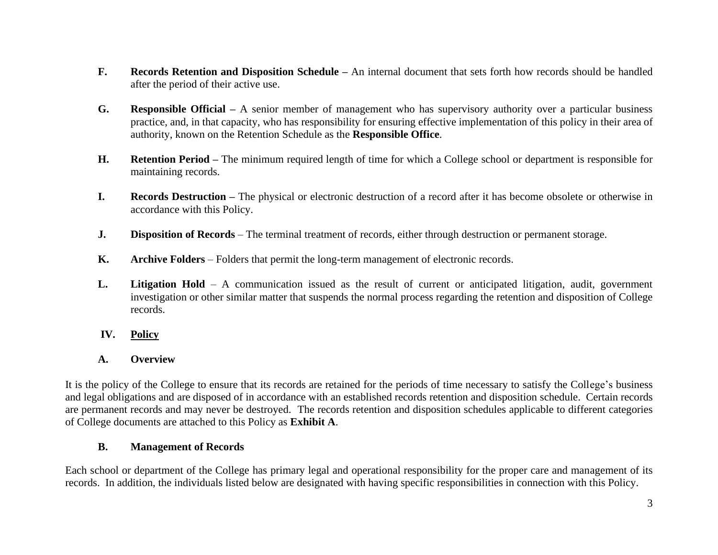- **F. Records Retention and Disposition Schedule –** An internal document that sets forth how records should be handled after the period of their active use.
- **G. Responsible Official –** A senior member of management who has supervisory authority over a particular business practice, and, in that capacity, who has responsibility for ensuring effective implementation of this policy in their area of authority, known on the Retention Schedule as the **Responsible Office**.
- **H. Retention Period –** The minimum required length of time for which a College school or department is responsible for maintaining records.
- **I. Records Destruction –** The physical or electronic destruction of a record after it has become obsolete or otherwise in accordance with this Policy.
- **J. Disposition of Records** The terminal treatment of records, either through destruction or permanent storage.
- **K. Archive Folders** Folders that permit the long-term management of electronic records.
- **L. Litigation Hold**  A communication issued as the result of current or anticipated litigation, audit, government investigation or other similar matter that suspends the normal process regarding the retention and disposition of College records.
- **IV. Policy**
- **A. Overview**

It is the policy of the College to ensure that its records are retained for the periods of time necessary to satisfy the College's business and legal obligations and are disposed of in accordance with an established records retention and disposition schedule. Certain records are permanent records and may never be destroyed. The records retention and disposition schedules applicable to different categories of College documents are attached to this Policy as **Exhibit A**.

# **B. Management of Records**

Each school or department of the College has primary legal and operational responsibility for the proper care and management of its records. In addition, the individuals listed below are designated with having specific responsibilities in connection with this Policy.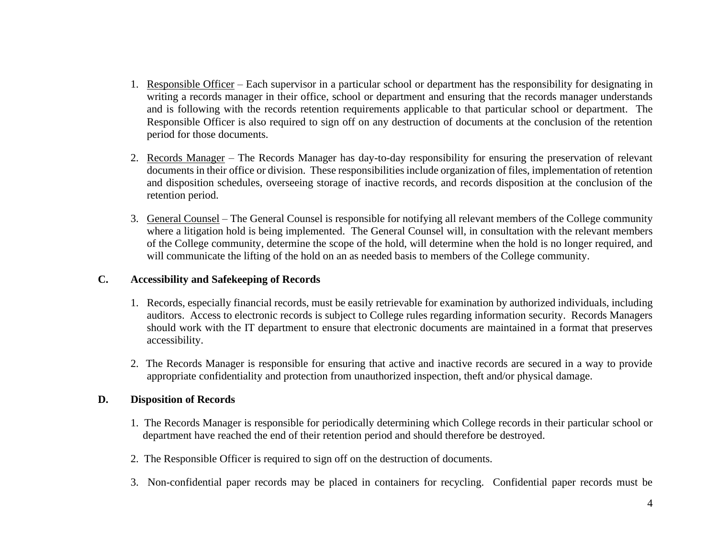- 1. Responsible Officer Each supervisor in a particular school or department has the responsibility for designating in writing a records manager in their office, school or department and ensuring that the records manager understands and is following with the records retention requirements applicable to that particular school or department. The Responsible Officer is also required to sign off on any destruction of documents at the conclusion of the retention period for those documents.
- 2. Records Manager The Records Manager has day-to-day responsibility for ensuring the preservation of relevant documents in their office or division. These responsibilities include organization of files, implementation of retention and disposition schedules, overseeing storage of inactive records, and records disposition at the conclusion of the retention period.
- 3. General Counsel The General Counsel is responsible for notifying all relevant members of the College community where a litigation hold is being implemented. The General Counsel will, in consultation with the relevant members of the College community, determine the scope of the hold, will determine when the hold is no longer required, and will communicate the lifting of the hold on an as needed basis to members of the College community.

#### **C. Accessibility and Safekeeping of Records**

- 1. Records, especially financial records, must be easily retrievable for examination by authorized individuals, including auditors. Access to electronic records is subject to College rules regarding information security. Records Managers should work with the IT department to ensure that electronic documents are maintained in a format that preserves accessibility.
- 2. The Records Manager is responsible for ensuring that active and inactive records are secured in a way to provide appropriate confidentiality and protection from unauthorized inspection, theft and/or physical damage.

#### **D. Disposition of Records**

- 1. The Records Manager is responsible for periodically determining which College records in their particular school or department have reached the end of their retention period and should therefore be destroyed.
- 2. The Responsible Officer is required to sign off on the destruction of documents.
- 3. Non-confidential paper records may be placed in containers for recycling. Confidential paper records must be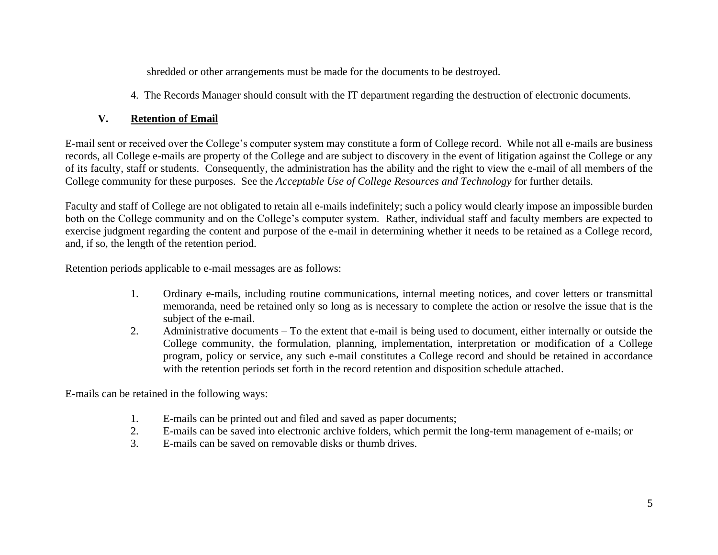shredded or other arrangements must be made for the documents to be destroyed.

4. The Records Manager should consult with the IT department regarding the destruction of electronic documents.

# **V. Retention of Email**

E-mail sent or received over the College's computer system may constitute a form of College record. While not all e-mails are business records, all College e-mails are property of the College and are subject to discovery in the event of litigation against the College or any of its faculty, staff or students. Consequently, the administration has the ability and the right to view the e-mail of all members of the College community for these purposes. See the *Acceptable Use of College Resources and Technology* for further details.

Faculty and staff of College are not obligated to retain all e-mails indefinitely; such a policy would clearly impose an impossible burden both on the College community and on the College's computer system. Rather, individual staff and faculty members are expected to exercise judgment regarding the content and purpose of the e-mail in determining whether it needs to be retained as a College record, and, if so, the length of the retention period.

Retention periods applicable to e-mail messages are as follows:

- 1. Ordinary e-mails, including routine communications, internal meeting notices, and cover letters or transmittal memoranda, need be retained only so long as is necessary to complete the action or resolve the issue that is the subject of the e-mail.
- 2. Administrative documents To the extent that e-mail is being used to document, either internally or outside the College community, the formulation, planning, implementation, interpretation or modification of a College program, policy or service, any such e-mail constitutes a College record and should be retained in accordance with the retention periods set forth in the record retention and disposition schedule attached.

E-mails can be retained in the following ways:

- 1. E-mails can be printed out and filed and saved as paper documents;
- 2. E-mails can be saved into electronic archive folders, which permit the long-term management of e-mails; or
- 3. E-mails can be saved on removable disks or thumb drives.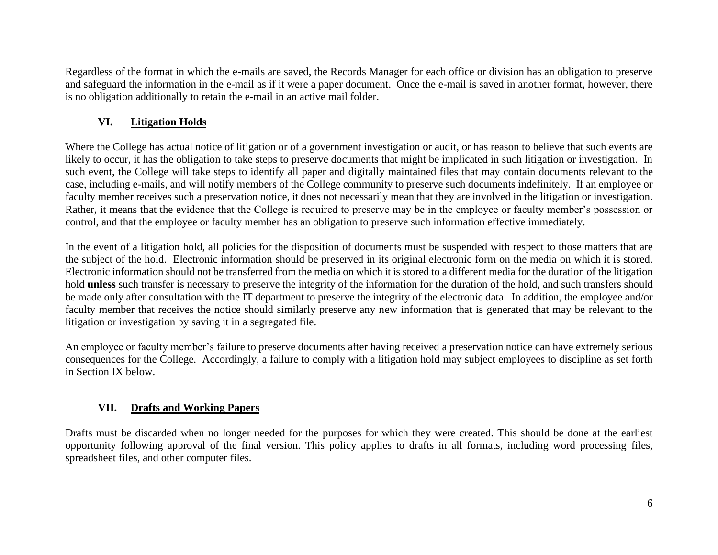Regardless of the format in which the e-mails are saved, the Records Manager for each office or division has an obligation to preserve and safeguard the information in the e-mail as if it were a paper document. Once the e-mail is saved in another format, however, there is no obligation additionally to retain the e-mail in an active mail folder.

### **VI. Litigation Holds**

Where the College has actual notice of litigation or of a government investigation or audit, or has reason to believe that such events are likely to occur, it has the obligation to take steps to preserve documents that might be implicated in such litigation or investigation. In such event, the College will take steps to identify all paper and digitally maintained files that may contain documents relevant to the case, including e-mails, and will notify members of the College community to preserve such documents indefinitely. If an employee or faculty member receives such a preservation notice, it does not necessarily mean that they are involved in the litigation or investigation. Rather, it means that the evidence that the College is required to preserve may be in the employee or faculty member's possession or control, and that the employee or faculty member has an obligation to preserve such information effective immediately.

In the event of a litigation hold, all policies for the disposition of documents must be suspended with respect to those matters that are the subject of the hold. Electronic information should be preserved in its original electronic form on the media on which it is stored. Electronic information should not be transferred from the media on which it is stored to a different media for the duration of the litigation hold **unless** such transfer is necessary to preserve the integrity of the information for the duration of the hold, and such transfers should be made only after consultation with the IT department to preserve the integrity of the electronic data. In addition, the employee and/or faculty member that receives the notice should similarly preserve any new information that is generated that may be relevant to the litigation or investigation by saving it in a segregated file.

An employee or faculty member's failure to preserve documents after having received a preservation notice can have extremely serious consequences for the College. Accordingly, a failure to comply with a litigation hold may subject employees to discipline as set forth in Section IX below.

# **VII. Drafts and Working Papers**

Drafts must be discarded when no longer needed for the purposes for which they were created. This should be done at the earliest opportunity following approval of the final version. This policy applies to drafts in all formats, including word processing files, spreadsheet files, and other computer files.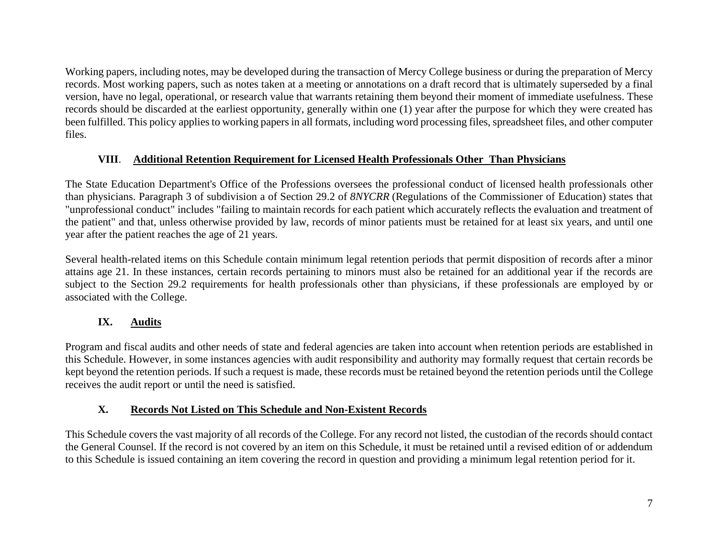Working papers, including notes, may be developed during the transaction of Mercy College business or during the preparation of Mercy records. Most working papers, such as notes taken at a meeting or annotations on a draft record that is ultimately superseded by a final version, have no legal, operational, or research value that warrants retaining them beyond their moment of immediate usefulness. These records should be discarded at the earliest opportunity, generally within one (1) year after the purpose for which they were created has been fulfilled. This policy applies to working papers in all formats, including word processing files, spreadsheet files, and other computer files.

### **VIII**. **Additional Retention Requirement for Licensed Health Professionals Other Than Physicians**

The State Education Department's Office of the Professions oversees the professional conduct of licensed health professionals other than physicians. Paragraph 3 of subdivision a of Section 29.2 of *8NYCRR* (Regulations of the Commissioner of Education) states that "unprofessional conduct" includes "failing to maintain records for each patient which accurately reflects the evaluation and treatment of the patient" and that, unless otherwise provided by law, records of minor patients must be retained for at least six years, and until one year after the patient reaches the age of 21 years.

Several health-related items on this Schedule contain minimum legal retention periods that permit disposition of records after a minor attains age 21. In these instances, certain records pertaining to minors must also be retained for an additional year if the records are subject to the Section 29.2 requirements for health professionals other than physicians, if these professionals are employed by or associated with the College.

# **IX. Audits**

Program and fiscal audits and other needs of state and federal agencies are taken into account when retention periods are established in this Schedule. However, in some instances agencies with audit responsibility and authority may formally request that certain records be kept beyond the retention periods. If such a request is made, these records must be retained beyond the retention periods until the College receives the audit report or until the need is satisfied.

# **X. Records Not Listed on This Schedule and Non-Existent Records**

This Schedule covers the vast majority of all records of the College. For any record not listed, the custodian of the records should contact the General Counsel. If the record is not covered by an item on this Schedule, it must be retained until a revised edition of or addendum to this Schedule is issued containing an item covering the record in question and providing a minimum legal retention period for it.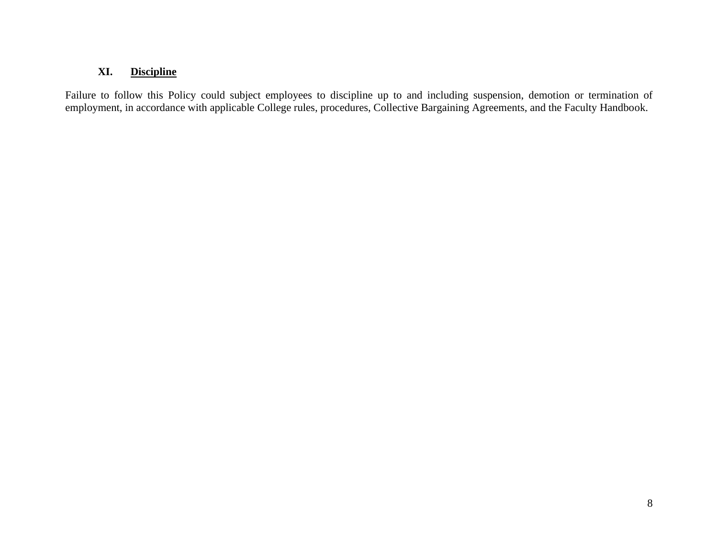#### **XI. Discipline**

Failure to follow this Policy could subject employees to discipline up to and including suspension, demotion or termination of employment, in accordance with applicable College rules, procedures, Collective Bargaining Agreements, and the Faculty Handbook.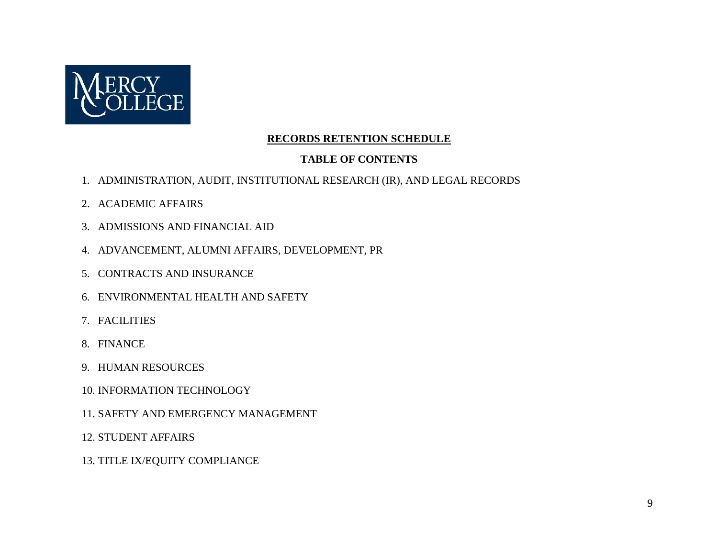

### **RECORDS RETENTION SCHEDULE**

### **TABLE OF CONTENTS**

- 1. ADMINISTRATION, AUDIT, INSTITUTIONAL RESEARCH (IR), AND LEGAL RECORDS
- 2. ACADEMIC AFFAIRS
- 3. ADMISSIONS AND FINANCIAL AID
- 4. ADVANCEMENT, ALUMNI AFFAIRS, DEVELOPMENT, PR
- 5. CONTRACTS AND INSURANCE
- 6. ENVIRONMENTAL HEALTH AND SAFETY
- 7. FACILITIES
- 8. FINANCE
- 9. HUMAN RESOURCES
- 10. INFORMATION TECHNOLOGY
- 11. SAFETY AND EMERGENCY MANAGEMENT
- 12. STUDENT AFFAIRS
- 13. TITLE IX/EQUITY COMPLIANCE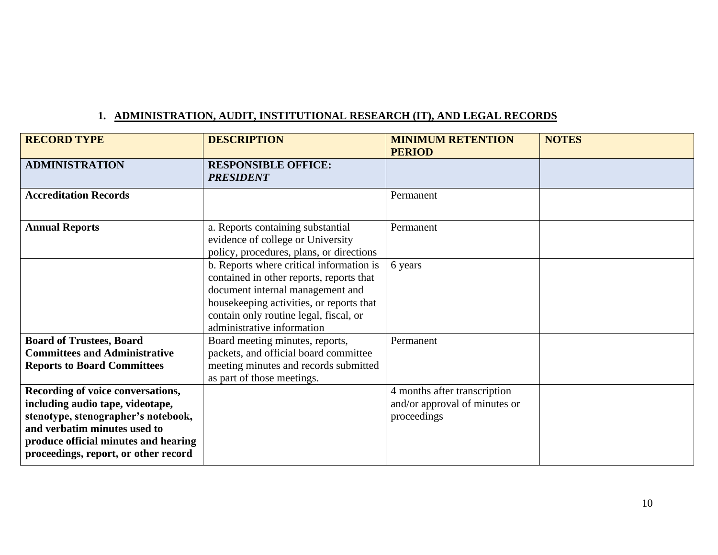# **1. ADMINISTRATION, AUDIT, INSTITUTIONAL RESEARCH (IT), AND LEGAL RECORDS**

| <b>RECORD TYPE</b>                                                                                                                                                                                                           | <b>DESCRIPTION</b>                                                                                                                                                                                                                           | <b>MINIMUM RETENTION</b><br><b>PERIOD</b>                                    | <b>NOTES</b> |
|------------------------------------------------------------------------------------------------------------------------------------------------------------------------------------------------------------------------------|----------------------------------------------------------------------------------------------------------------------------------------------------------------------------------------------------------------------------------------------|------------------------------------------------------------------------------|--------------|
| <b>ADMINISTRATION</b>                                                                                                                                                                                                        | <b>RESPONSIBLE OFFICE:</b><br><b>PRESIDENT</b>                                                                                                                                                                                               |                                                                              |              |
| <b>Accreditation Records</b>                                                                                                                                                                                                 |                                                                                                                                                                                                                                              | Permanent                                                                    |              |
| <b>Annual Reports</b>                                                                                                                                                                                                        | a. Reports containing substantial<br>evidence of college or University<br>policy, procedures, plans, or directions                                                                                                                           | Permanent                                                                    |              |
|                                                                                                                                                                                                                              | b. Reports where critical information is<br>contained in other reports, reports that<br>document internal management and<br>housekeeping activities, or reports that<br>contain only routine legal, fiscal, or<br>administrative information | 6 years                                                                      |              |
| <b>Board of Trustees, Board</b><br><b>Committees and Administrative</b><br><b>Reports to Board Committees</b>                                                                                                                | Board meeting minutes, reports,<br>packets, and official board committee<br>meeting minutes and records submitted<br>as part of those meetings.                                                                                              | Permanent                                                                    |              |
| Recording of voice conversations,<br>including audio tape, videotape,<br>stenotype, stenographer's notebook,<br>and verbatim minutes used to<br>produce official minutes and hearing<br>proceedings, report, or other record |                                                                                                                                                                                                                                              | 4 months after transcription<br>and/or approval of minutes or<br>proceedings |              |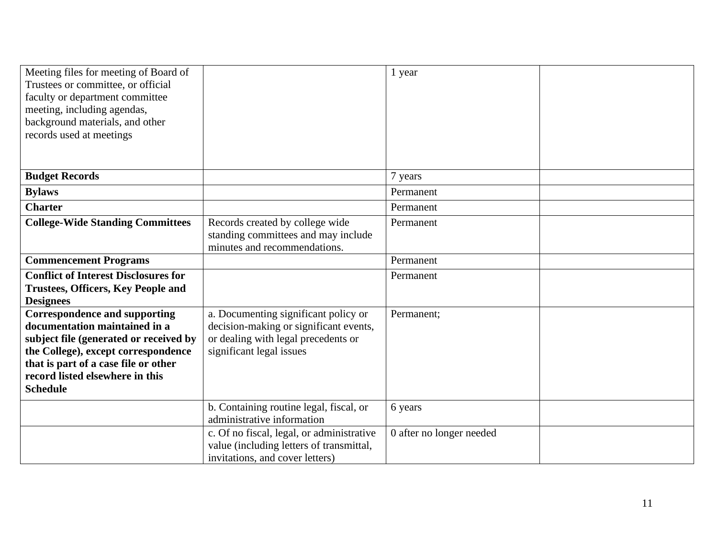| Meeting files for meeting of Board of<br>Trustees or committee, or official<br>faculty or department committee<br>meeting, including agendas,<br>background materials, and other<br>records used at meetings                                         |                                                                                                                                                   | 1 year                   |  |
|------------------------------------------------------------------------------------------------------------------------------------------------------------------------------------------------------------------------------------------------------|---------------------------------------------------------------------------------------------------------------------------------------------------|--------------------------|--|
| <b>Budget Records</b>                                                                                                                                                                                                                                |                                                                                                                                                   | 7 years                  |  |
| <b>Bylaws</b>                                                                                                                                                                                                                                        |                                                                                                                                                   | Permanent                |  |
| <b>Charter</b>                                                                                                                                                                                                                                       |                                                                                                                                                   | Permanent                |  |
| <b>College-Wide Standing Committees</b>                                                                                                                                                                                                              | Records created by college wide<br>standing committees and may include<br>minutes and recommendations.                                            | Permanent                |  |
| <b>Commencement Programs</b>                                                                                                                                                                                                                         |                                                                                                                                                   | Permanent                |  |
| <b>Conflict of Interest Disclosures for</b><br><b>Trustees, Officers, Key People and</b><br><b>Designees</b>                                                                                                                                         |                                                                                                                                                   | Permanent                |  |
| <b>Correspondence and supporting</b><br>documentation maintained in a<br>subject file (generated or received by<br>the College), except correspondence<br>that is part of a case file or other<br>record listed elsewhere in this<br><b>Schedule</b> | a. Documenting significant policy or<br>decision-making or significant events,<br>or dealing with legal precedents or<br>significant legal issues | Permanent;               |  |
|                                                                                                                                                                                                                                                      | b. Containing routine legal, fiscal, or<br>administrative information                                                                             | 6 years                  |  |
|                                                                                                                                                                                                                                                      | c. Of no fiscal, legal, or administrative<br>value (including letters of transmittal,<br>invitations, and cover letters)                          | 0 after no longer needed |  |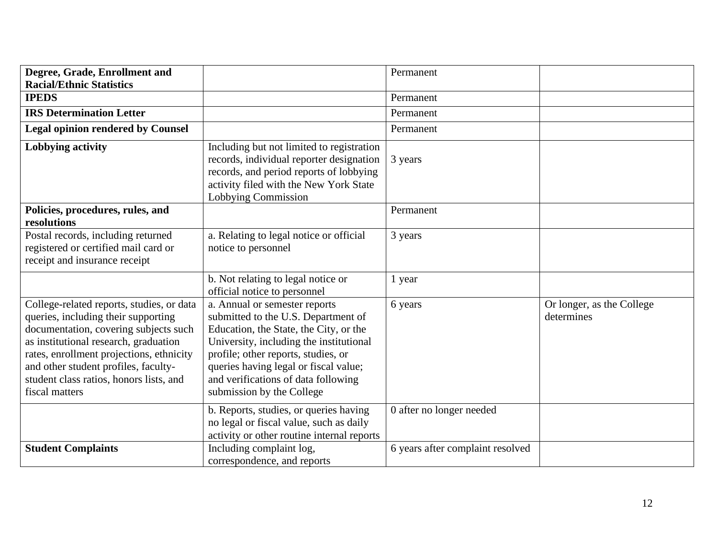| Degree, Grade, Enrollment and                                                                                                                                                                                                                                                                                       |                                                                                                                                                                                                                                                                                                               | Permanent                        |                                         |
|---------------------------------------------------------------------------------------------------------------------------------------------------------------------------------------------------------------------------------------------------------------------------------------------------------------------|---------------------------------------------------------------------------------------------------------------------------------------------------------------------------------------------------------------------------------------------------------------------------------------------------------------|----------------------------------|-----------------------------------------|
| <b>Racial/Ethnic Statistics</b>                                                                                                                                                                                                                                                                                     |                                                                                                                                                                                                                                                                                                               |                                  |                                         |
| <b>IPEDS</b>                                                                                                                                                                                                                                                                                                        |                                                                                                                                                                                                                                                                                                               | Permanent                        |                                         |
| <b>IRS Determination Letter</b>                                                                                                                                                                                                                                                                                     |                                                                                                                                                                                                                                                                                                               | Permanent                        |                                         |
| <b>Legal opinion rendered by Counsel</b>                                                                                                                                                                                                                                                                            |                                                                                                                                                                                                                                                                                                               | Permanent                        |                                         |
| <b>Lobbying activity</b>                                                                                                                                                                                                                                                                                            | Including but not limited to registration<br>records, individual reporter designation<br>records, and period reports of lobbying<br>activity filed with the New York State<br>Lobbying Commission                                                                                                             | 3 years                          |                                         |
| Policies, procedures, rules, and<br>resolutions                                                                                                                                                                                                                                                                     |                                                                                                                                                                                                                                                                                                               | Permanent                        |                                         |
| Postal records, including returned<br>registered or certified mail card or<br>receipt and insurance receipt                                                                                                                                                                                                         | a. Relating to legal notice or official<br>notice to personnel                                                                                                                                                                                                                                                | 3 years                          |                                         |
|                                                                                                                                                                                                                                                                                                                     | b. Not relating to legal notice or<br>official notice to personnel                                                                                                                                                                                                                                            | 1 year                           |                                         |
| College-related reports, studies, or data<br>queries, including their supporting<br>documentation, covering subjects such<br>as institutional research, graduation<br>rates, enrollment projections, ethnicity<br>and other student profiles, faculty-<br>student class ratios, honors lists, and<br>fiscal matters | a. Annual or semester reports<br>submitted to the U.S. Department of<br>Education, the State, the City, or the<br>University, including the institutional<br>profile; other reports, studies, or<br>queries having legal or fiscal value;<br>and verifications of data following<br>submission by the College | 6 years                          | Or longer, as the College<br>determines |
|                                                                                                                                                                                                                                                                                                                     | b. Reports, studies, or queries having<br>no legal or fiscal value, such as daily<br>activity or other routine internal reports                                                                                                                                                                               | 0 after no longer needed         |                                         |
| <b>Student Complaints</b>                                                                                                                                                                                                                                                                                           | Including complaint log,<br>correspondence, and reports                                                                                                                                                                                                                                                       | 6 years after complaint resolved |                                         |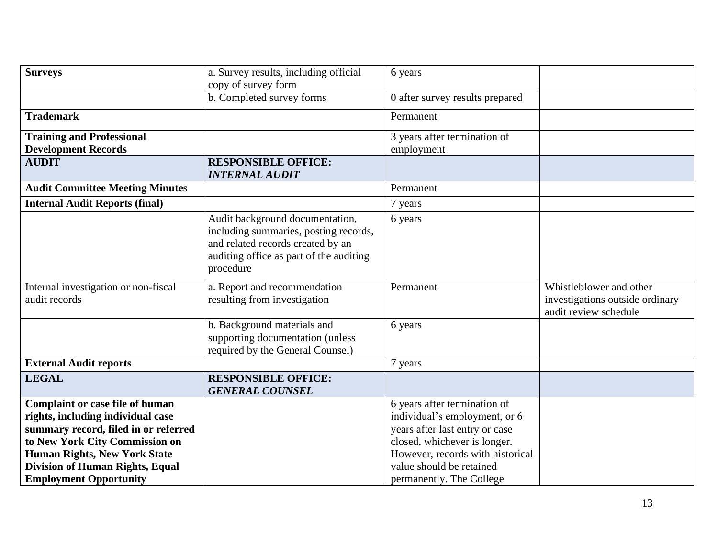| <b>Surveys</b>                                                                                                                                                                                                                                                   | a. Survey results, including official                                                                                                                                 | 6 years                                                                                                                                                                                                                     |                                                                                     |
|------------------------------------------------------------------------------------------------------------------------------------------------------------------------------------------------------------------------------------------------------------------|-----------------------------------------------------------------------------------------------------------------------------------------------------------------------|-----------------------------------------------------------------------------------------------------------------------------------------------------------------------------------------------------------------------------|-------------------------------------------------------------------------------------|
|                                                                                                                                                                                                                                                                  | copy of survey form                                                                                                                                                   |                                                                                                                                                                                                                             |                                                                                     |
|                                                                                                                                                                                                                                                                  | b. Completed survey forms                                                                                                                                             | 0 after survey results prepared                                                                                                                                                                                             |                                                                                     |
| <b>Trademark</b>                                                                                                                                                                                                                                                 |                                                                                                                                                                       | Permanent                                                                                                                                                                                                                   |                                                                                     |
| <b>Training and Professional</b>                                                                                                                                                                                                                                 |                                                                                                                                                                       | 3 years after termination of                                                                                                                                                                                                |                                                                                     |
| <b>Development Records</b>                                                                                                                                                                                                                                       |                                                                                                                                                                       | employment                                                                                                                                                                                                                  |                                                                                     |
| <b>AUDIT</b>                                                                                                                                                                                                                                                     | <b>RESPONSIBLE OFFICE:</b><br><b>INTERNAL AUDIT</b>                                                                                                                   |                                                                                                                                                                                                                             |                                                                                     |
| <b>Audit Committee Meeting Minutes</b>                                                                                                                                                                                                                           |                                                                                                                                                                       | Permanent                                                                                                                                                                                                                   |                                                                                     |
| <b>Internal Audit Reports (final)</b>                                                                                                                                                                                                                            |                                                                                                                                                                       | 7 years                                                                                                                                                                                                                     |                                                                                     |
|                                                                                                                                                                                                                                                                  | Audit background documentation,<br>including summaries, posting records,<br>and related records created by an<br>auditing office as part of the auditing<br>procedure | 6 years                                                                                                                                                                                                                     |                                                                                     |
| Internal investigation or non-fiscal<br>audit records                                                                                                                                                                                                            | a. Report and recommendation<br>resulting from investigation                                                                                                          | Permanent                                                                                                                                                                                                                   | Whistleblower and other<br>investigations outside ordinary<br>audit review schedule |
|                                                                                                                                                                                                                                                                  | b. Background materials and<br>supporting documentation (unless<br>required by the General Counsel)                                                                   | 6 years                                                                                                                                                                                                                     |                                                                                     |
| <b>External Audit reports</b>                                                                                                                                                                                                                                    |                                                                                                                                                                       | 7 years                                                                                                                                                                                                                     |                                                                                     |
| <b>LEGAL</b>                                                                                                                                                                                                                                                     | <b>RESPONSIBLE OFFICE:</b><br><b>GENERAL COUNSEL</b>                                                                                                                  |                                                                                                                                                                                                                             |                                                                                     |
| Complaint or case file of human<br>rights, including individual case<br>summary record, filed in or referred<br>to New York City Commission on<br><b>Human Rights, New York State</b><br><b>Division of Human Rights, Equal</b><br><b>Employment Opportunity</b> |                                                                                                                                                                       | 6 years after termination of<br>individual's employment, or 6<br>years after last entry or case<br>closed, whichever is longer.<br>However, records with historical<br>value should be retained<br>permanently. The College |                                                                                     |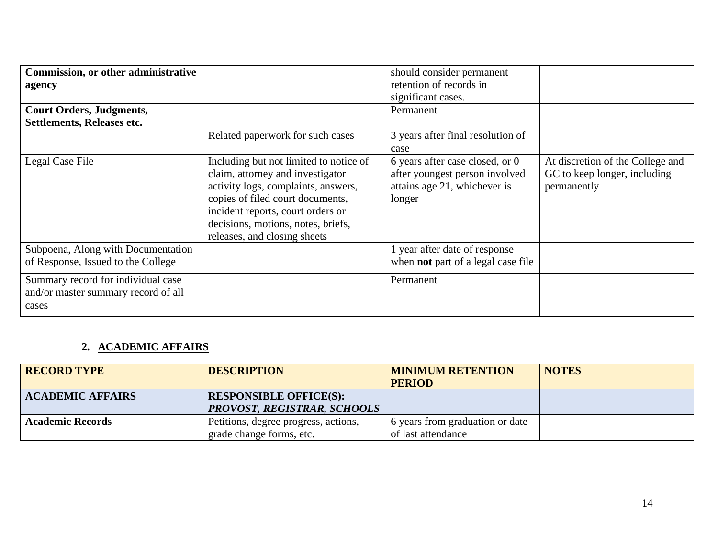| <b>Commission, or other administrative</b><br>agency<br><b>Court Orders, Judgments,</b><br>Settlements, Releases etc. |                                                                                                                                                                                                                                                                  | should consider permanent<br>retention of records in<br>significant cases.<br>Permanent                     |                                                                                 |
|-----------------------------------------------------------------------------------------------------------------------|------------------------------------------------------------------------------------------------------------------------------------------------------------------------------------------------------------------------------------------------------------------|-------------------------------------------------------------------------------------------------------------|---------------------------------------------------------------------------------|
|                                                                                                                       | Related paperwork for such cases                                                                                                                                                                                                                                 | 3 years after final resolution of<br>case                                                                   |                                                                                 |
| Legal Case File                                                                                                       | Including but not limited to notice of<br>claim, attorney and investigator<br>activity logs, complaints, answers,<br>copies of filed court documents,<br>incident reports, court orders or<br>decisions, motions, notes, briefs,<br>releases, and closing sheets | 6 years after case closed, or 0<br>after youngest person involved<br>attains age 21, whichever is<br>longer | At discretion of the College and<br>GC to keep longer, including<br>permanently |
| Subpoena, Along with Documentation<br>of Response, Issued to the College                                              |                                                                                                                                                                                                                                                                  | 1 year after date of response<br>when <b>not</b> part of a legal case file                                  |                                                                                 |
| Summary record for individual case<br>and/or master summary record of all<br>cases                                    |                                                                                                                                                                                                                                                                  | Permanent                                                                                                   |                                                                                 |

# **2. ACADEMIC AFFAIRS**

| <b>RECORD TYPE</b>      | <b>DESCRIPTION</b>                   | <b>MINIMUM RETENTION</b>        | <b>NOTES</b> |
|-------------------------|--------------------------------------|---------------------------------|--------------|
|                         |                                      | <b>PERIOD</b>                   |              |
| <b>ACADEMIC AFFAIRS</b> | <b>RESPONSIBLE OFFICE(S):</b>        |                                 |              |
|                         | <b>PROVOST, REGISTRAR, SCHOOLS</b>   |                                 |              |
| <b>Academic Records</b> | Petitions, degree progress, actions, | 6 years from graduation or date |              |
|                         | grade change forms, etc.             | of last attendance              |              |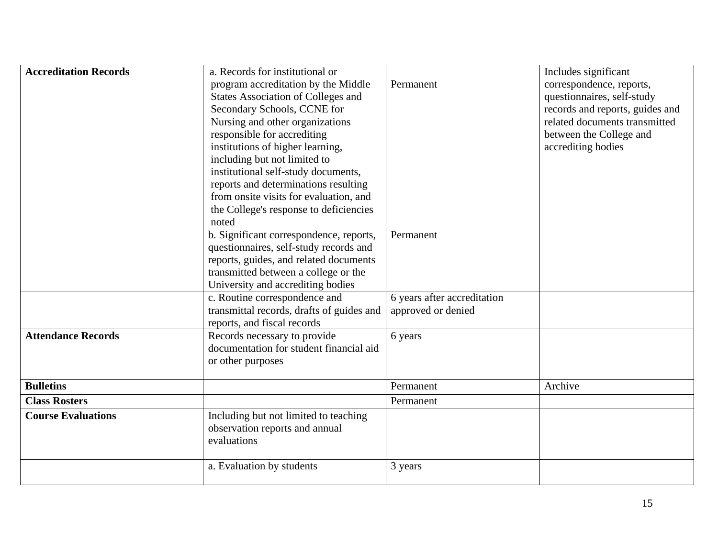| <b>Accreditation Records</b> | a. Records for institutional or<br>program accreditation by the Middle<br><b>States Association of Colleges and</b><br>Secondary Schools, CCNE for<br>Nursing and other organizations<br>responsible for accrediting<br>institutions of higher learning,<br>including but not limited to<br>institutional self-study documents,<br>reports and determinations resulting<br>from onsite visits for evaluation, and<br>the College's response to deficiencies<br>noted | Permanent                                         | Includes significant<br>correspondence, reports,<br>questionnaires, self-study<br>records and reports, guides and<br>related documents transmitted<br>between the College and<br>accrediting bodies |
|------------------------------|----------------------------------------------------------------------------------------------------------------------------------------------------------------------------------------------------------------------------------------------------------------------------------------------------------------------------------------------------------------------------------------------------------------------------------------------------------------------|---------------------------------------------------|-----------------------------------------------------------------------------------------------------------------------------------------------------------------------------------------------------|
|                              | b. Significant correspondence, reports,<br>questionnaires, self-study records and                                                                                                                                                                                                                                                                                                                                                                                    | Permanent                                         |                                                                                                                                                                                                     |
|                              | reports, guides, and related documents                                                                                                                                                                                                                                                                                                                                                                                                                               |                                                   |                                                                                                                                                                                                     |
|                              | transmitted between a college or the<br>University and accrediting bodies                                                                                                                                                                                                                                                                                                                                                                                            |                                                   |                                                                                                                                                                                                     |
|                              | c. Routine correspondence and<br>transmittal records, drafts of guides and<br>reports, and fiscal records                                                                                                                                                                                                                                                                                                                                                            | 6 years after accreditation<br>approved or denied |                                                                                                                                                                                                     |
| <b>Attendance Records</b>    | Records necessary to provide<br>documentation for student financial aid<br>or other purposes                                                                                                                                                                                                                                                                                                                                                                         | 6 years                                           |                                                                                                                                                                                                     |
| <b>Bulletins</b>             |                                                                                                                                                                                                                                                                                                                                                                                                                                                                      | Permanent                                         | Archive                                                                                                                                                                                             |
| <b>Class Rosters</b>         |                                                                                                                                                                                                                                                                                                                                                                                                                                                                      | Permanent                                         |                                                                                                                                                                                                     |
| <b>Course Evaluations</b>    | Including but not limited to teaching<br>observation reports and annual<br>evaluations                                                                                                                                                                                                                                                                                                                                                                               |                                                   |                                                                                                                                                                                                     |
|                              | a. Evaluation by students                                                                                                                                                                                                                                                                                                                                                                                                                                            | 3 years                                           |                                                                                                                                                                                                     |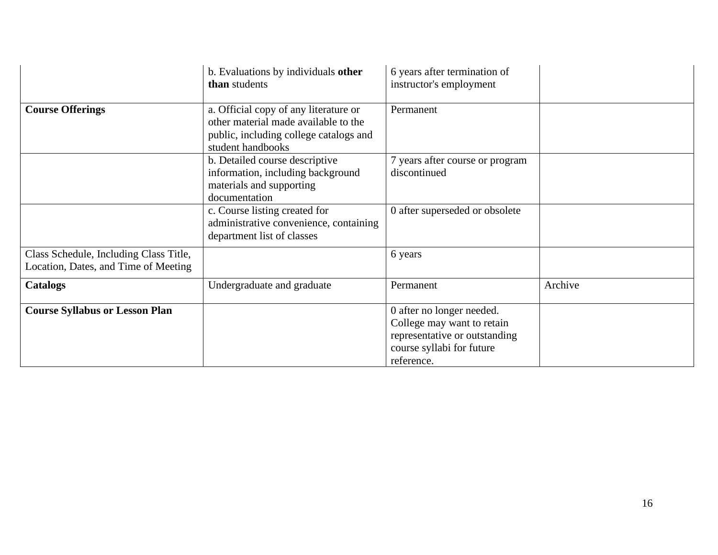|                                                                                | b. Evaluations by individuals other<br>than students                                                                                         | 6 years after termination of<br>instructor's employment                                                                             |         |
|--------------------------------------------------------------------------------|----------------------------------------------------------------------------------------------------------------------------------------------|-------------------------------------------------------------------------------------------------------------------------------------|---------|
| <b>Course Offerings</b>                                                        | a. Official copy of any literature or<br>other material made available to the<br>public, including college catalogs and<br>student handbooks | Permanent                                                                                                                           |         |
|                                                                                | b. Detailed course descriptive<br>information, including background<br>materials and supporting<br>documentation                             | 7 years after course or program<br>discontinued                                                                                     |         |
|                                                                                | c. Course listing created for<br>administrative convenience, containing<br>department list of classes                                        | 0 after superseded or obsolete                                                                                                      |         |
| Class Schedule, Including Class Title,<br>Location, Dates, and Time of Meeting |                                                                                                                                              | 6 years                                                                                                                             |         |
| <b>Catalogs</b>                                                                | Undergraduate and graduate                                                                                                                   | Permanent                                                                                                                           | Archive |
| <b>Course Syllabus or Lesson Plan</b>                                          |                                                                                                                                              | 0 after no longer needed.<br>College may want to retain<br>representative or outstanding<br>course syllabi for future<br>reference. |         |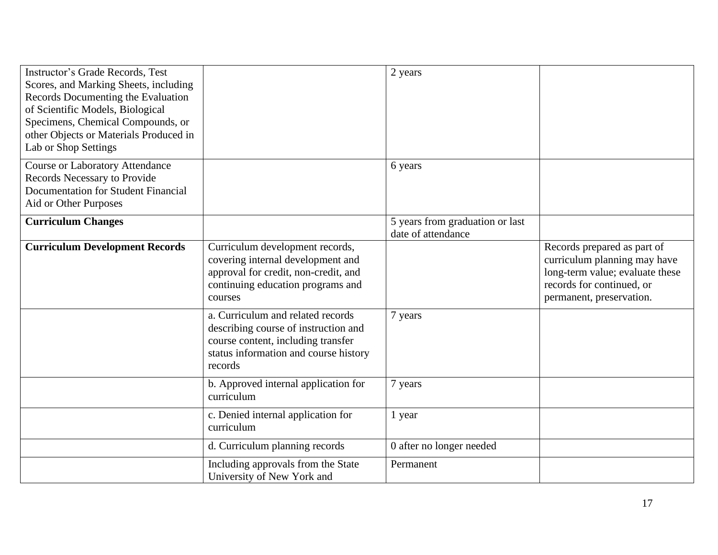| <b>Instructor's Grade Records, Test</b><br>Scores, and Marking Sheets, including<br>Records Documenting the Evaluation<br>of Scientific Models, Biological<br>Specimens, Chemical Compounds, or<br>other Objects or Materials Produced in<br>Lab or Shop Settings |                                                                                                                                                                     | 2 years                                               |                                                                                                                                                         |
|-------------------------------------------------------------------------------------------------------------------------------------------------------------------------------------------------------------------------------------------------------------------|---------------------------------------------------------------------------------------------------------------------------------------------------------------------|-------------------------------------------------------|---------------------------------------------------------------------------------------------------------------------------------------------------------|
| <b>Course or Laboratory Attendance</b><br>Records Necessary to Provide<br><b>Documentation for Student Financial</b><br>Aid or Other Purposes                                                                                                                     |                                                                                                                                                                     | 6 years                                               |                                                                                                                                                         |
| <b>Curriculum Changes</b>                                                                                                                                                                                                                                         |                                                                                                                                                                     | 5 years from graduation or last<br>date of attendance |                                                                                                                                                         |
| <b>Curriculum Development Records</b>                                                                                                                                                                                                                             | Curriculum development records,<br>covering internal development and<br>approval for credit, non-credit, and<br>continuing education programs and<br>courses        |                                                       | Records prepared as part of<br>curriculum planning may have<br>long-term value; evaluate these<br>records for continued, or<br>permanent, preservation. |
|                                                                                                                                                                                                                                                                   | a. Curriculum and related records<br>describing course of instruction and<br>course content, including transfer<br>status information and course history<br>records | 7 years                                               |                                                                                                                                                         |
|                                                                                                                                                                                                                                                                   | b. Approved internal application for<br>curriculum                                                                                                                  | 7 years                                               |                                                                                                                                                         |
|                                                                                                                                                                                                                                                                   | c. Denied internal application for<br>curriculum                                                                                                                    | 1 year                                                |                                                                                                                                                         |
|                                                                                                                                                                                                                                                                   | d. Curriculum planning records                                                                                                                                      | 0 after no longer needed                              |                                                                                                                                                         |
|                                                                                                                                                                                                                                                                   | Including approvals from the State<br>University of New York and                                                                                                    | Permanent                                             |                                                                                                                                                         |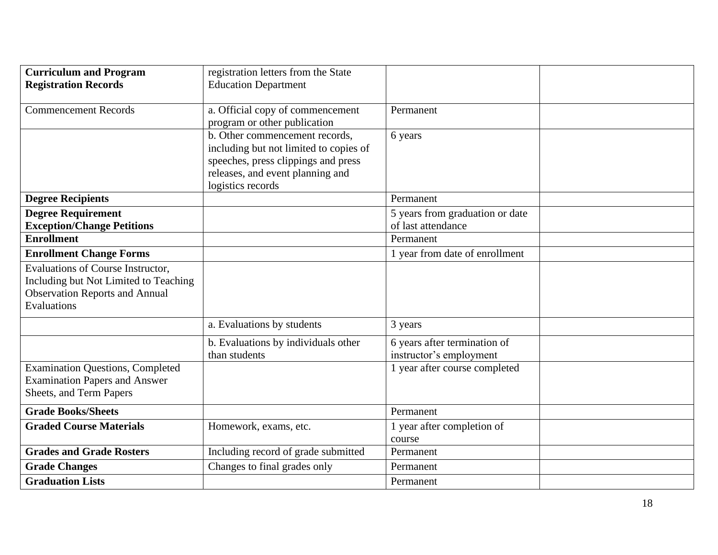| <b>Curriculum and Program</b><br><b>Registration Records</b>                                                                       | registration letters from the State<br><b>Education Department</b>                                                                                                       |                                                         |  |
|------------------------------------------------------------------------------------------------------------------------------------|--------------------------------------------------------------------------------------------------------------------------------------------------------------------------|---------------------------------------------------------|--|
| <b>Commencement Records</b>                                                                                                        | a. Official copy of commencement<br>program or other publication                                                                                                         | Permanent                                               |  |
|                                                                                                                                    | b. Other commencement records,<br>including but not limited to copies of<br>speeches, press clippings and press<br>releases, and event planning and<br>logistics records | 6 years                                                 |  |
| <b>Degree Recipients</b>                                                                                                           |                                                                                                                                                                          | Permanent                                               |  |
| <b>Degree Requirement</b><br><b>Exception/Change Petitions</b>                                                                     |                                                                                                                                                                          | 5 years from graduation or date<br>of last attendance   |  |
| <b>Enrollment</b>                                                                                                                  |                                                                                                                                                                          | Permanent                                               |  |
| <b>Enrollment Change Forms</b>                                                                                                     |                                                                                                                                                                          | 1 year from date of enrollment                          |  |
| Evaluations of Course Instructor,<br>Including but Not Limited to Teaching<br><b>Observation Reports and Annual</b><br>Evaluations |                                                                                                                                                                          |                                                         |  |
|                                                                                                                                    | a. Evaluations by students                                                                                                                                               | 3 years                                                 |  |
|                                                                                                                                    | b. Evaluations by individuals other<br>than students                                                                                                                     | 6 years after termination of<br>instructor's employment |  |
| <b>Examination Questions, Completed</b><br><b>Examination Papers and Answer</b><br>Sheets, and Term Papers                         |                                                                                                                                                                          | 1 year after course completed                           |  |
| <b>Grade Books/Sheets</b>                                                                                                          |                                                                                                                                                                          | Permanent                                               |  |
| <b>Graded Course Materials</b>                                                                                                     | Homework, exams, etc.                                                                                                                                                    | 1 year after completion of<br>course                    |  |
| <b>Grades and Grade Rosters</b>                                                                                                    | Including record of grade submitted                                                                                                                                      | Permanent                                               |  |
| <b>Grade Changes</b>                                                                                                               | Changes to final grades only                                                                                                                                             | Permanent                                               |  |
| <b>Graduation Lists</b>                                                                                                            |                                                                                                                                                                          | Permanent                                               |  |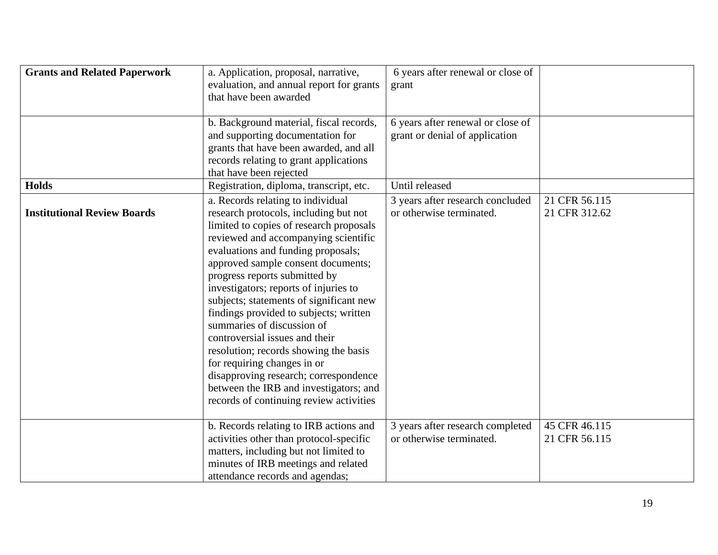| <b>Grants and Related Paperwork</b> | a. Application, proposal, narrative,<br>evaluation, and annual report for grants<br>that have been awarded                                                                                                                                                                                                                                                                                                                                                                                                                                                                                                                                                                     | 6 years after renewal or close of<br>grant                          |                                |
|-------------------------------------|--------------------------------------------------------------------------------------------------------------------------------------------------------------------------------------------------------------------------------------------------------------------------------------------------------------------------------------------------------------------------------------------------------------------------------------------------------------------------------------------------------------------------------------------------------------------------------------------------------------------------------------------------------------------------------|---------------------------------------------------------------------|--------------------------------|
|                                     | b. Background material, fiscal records,<br>and supporting documentation for<br>grants that have been awarded, and all<br>records relating to grant applications<br>that have been rejected                                                                                                                                                                                                                                                                                                                                                                                                                                                                                     | 6 years after renewal or close of<br>grant or denial of application |                                |
| <b>Holds</b>                        | Registration, diploma, transcript, etc.                                                                                                                                                                                                                                                                                                                                                                                                                                                                                                                                                                                                                                        | Until released                                                      |                                |
| <b>Institutional Review Boards</b>  | a. Records relating to individual<br>research protocols, including but not<br>limited to copies of research proposals<br>reviewed and accompanying scientific<br>evaluations and funding proposals;<br>approved sample consent documents;<br>progress reports submitted by<br>investigators; reports of injuries to<br>subjects; statements of significant new<br>findings provided to subjects; written<br>summaries of discussion of<br>controversial issues and their<br>resolution; records showing the basis<br>for requiring changes in or<br>disapproving research; correspondence<br>between the IRB and investigators; and<br>records of continuing review activities | 3 years after research concluded<br>or otherwise terminated.        | 21 CFR 56.115<br>21 CFR 312.62 |
|                                     | b. Records relating to IRB actions and<br>activities other than protocol-specific<br>matters, including but not limited to<br>minutes of IRB meetings and related<br>attendance records and agendas;                                                                                                                                                                                                                                                                                                                                                                                                                                                                           | 3 years after research completed<br>or otherwise terminated.        | 45 CFR 46.115<br>21 CFR 56.115 |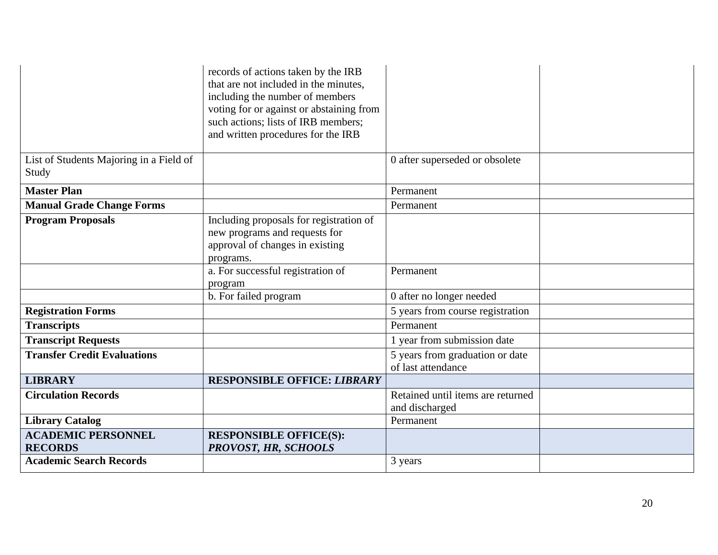|                                         | records of actions taken by the IRB<br>that are not included in the minutes,<br>including the number of members<br>voting for or against or abstaining from<br>such actions; lists of IRB members; |                                                       |  |
|-----------------------------------------|----------------------------------------------------------------------------------------------------------------------------------------------------------------------------------------------------|-------------------------------------------------------|--|
|                                         | and written procedures for the IRB                                                                                                                                                                 |                                                       |  |
| List of Students Majoring in a Field of |                                                                                                                                                                                                    | 0 after superseded or obsolete                        |  |
| Study                                   |                                                                                                                                                                                                    |                                                       |  |
| <b>Master Plan</b>                      |                                                                                                                                                                                                    | Permanent                                             |  |
| <b>Manual Grade Change Forms</b>        |                                                                                                                                                                                                    | Permanent                                             |  |
| <b>Program Proposals</b>                | Including proposals for registration of                                                                                                                                                            |                                                       |  |
|                                         | new programs and requests for                                                                                                                                                                      |                                                       |  |
|                                         | approval of changes in existing                                                                                                                                                                    |                                                       |  |
|                                         | programs.                                                                                                                                                                                          |                                                       |  |
|                                         | a. For successful registration of<br>program                                                                                                                                                       | Permanent                                             |  |
|                                         | b. For failed program                                                                                                                                                                              | 0 after no longer needed                              |  |
| <b>Registration Forms</b>               |                                                                                                                                                                                                    | 5 years from course registration                      |  |
|                                         |                                                                                                                                                                                                    |                                                       |  |
| <b>Transcripts</b>                      |                                                                                                                                                                                                    | Permanent                                             |  |
| <b>Transcript Requests</b>              |                                                                                                                                                                                                    | 1 year from submission date                           |  |
| <b>Transfer Credit Evaluations</b>      |                                                                                                                                                                                                    | 5 years from graduation or date<br>of last attendance |  |
| <b>LIBRARY</b>                          | <b>RESPONSIBLE OFFICE: LIBRARY</b>                                                                                                                                                                 |                                                       |  |
| <b>Circulation Records</b>              |                                                                                                                                                                                                    | Retained until items are returned                     |  |
|                                         |                                                                                                                                                                                                    | and discharged                                        |  |
| <b>Library Catalog</b>                  |                                                                                                                                                                                                    | Permanent                                             |  |
| <b>ACADEMIC PERSONNEL</b>               | <b>RESPONSIBLE OFFICE(S):</b>                                                                                                                                                                      |                                                       |  |
| <b>RECORDS</b>                          | PROVOST, HR, SCHOOLS                                                                                                                                                                               |                                                       |  |
| <b>Academic Search Records</b>          |                                                                                                                                                                                                    | 3 years                                               |  |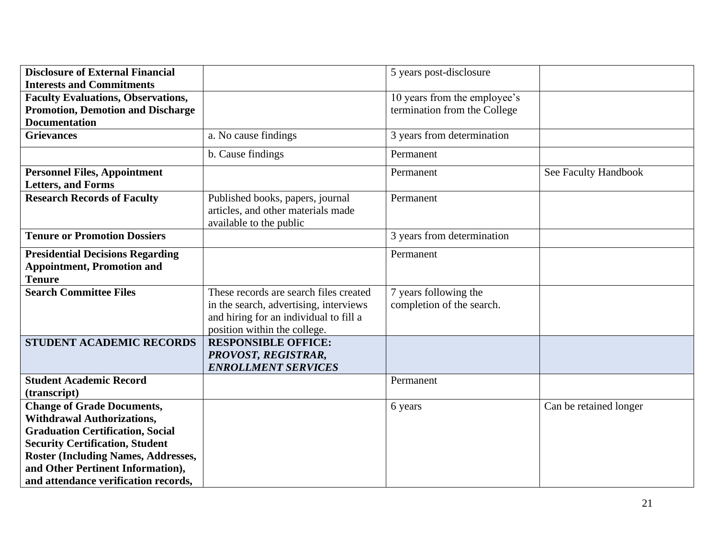| <b>Disclosure of External Financial</b>                                                       |                                                                                                   | 5 years post-disclosure      |                        |
|-----------------------------------------------------------------------------------------------|---------------------------------------------------------------------------------------------------|------------------------------|------------------------|
| <b>Interests and Commitments</b>                                                              |                                                                                                   |                              |                        |
| <b>Faculty Evaluations, Observations,</b>                                                     |                                                                                                   | 10 years from the employee's |                        |
| <b>Promotion, Demotion and Discharge</b>                                                      |                                                                                                   | termination from the College |                        |
| <b>Documentation</b>                                                                          |                                                                                                   |                              |                        |
| <b>Grievances</b>                                                                             | a. No cause findings                                                                              | 3 years from determination   |                        |
|                                                                                               | b. Cause findings                                                                                 | Permanent                    |                        |
| <b>Personnel Files, Appointment</b>                                                           |                                                                                                   | Permanent                    | See Faculty Handbook   |
| <b>Letters, and Forms</b>                                                                     |                                                                                                   |                              |                        |
| <b>Research Records of Faculty</b>                                                            | Published books, papers, journal<br>articles, and other materials made<br>available to the public | Permanent                    |                        |
| <b>Tenure or Promotion Dossiers</b>                                                           |                                                                                                   | 3 years from determination   |                        |
| <b>Presidential Decisions Regarding</b><br><b>Appointment, Promotion and</b><br><b>Tenure</b> |                                                                                                   | Permanent                    |                        |
| <b>Search Committee Files</b>                                                                 | These records are search files created                                                            | 7 years following the        |                        |
|                                                                                               | in the search, advertising, interviews                                                            | completion of the search.    |                        |
|                                                                                               | and hiring for an individual to fill a                                                            |                              |                        |
|                                                                                               | position within the college.                                                                      |                              |                        |
| <b>STUDENT ACADEMIC RECORDS</b>                                                               | <b>RESPONSIBLE OFFICE:</b>                                                                        |                              |                        |
|                                                                                               | PROVOST, REGISTRAR,                                                                               |                              |                        |
|                                                                                               | <b>ENROLLMENT SERVICES</b>                                                                        |                              |                        |
| <b>Student Academic Record</b>                                                                |                                                                                                   | Permanent                    |                        |
| (transcript)                                                                                  |                                                                                                   |                              |                        |
| <b>Change of Grade Documents,</b>                                                             |                                                                                                   | 6 years                      | Can be retained longer |
| <b>Withdrawal Authorizations,</b>                                                             |                                                                                                   |                              |                        |
| <b>Graduation Certification, Social</b>                                                       |                                                                                                   |                              |                        |
| <b>Security Certification, Student</b>                                                        |                                                                                                   |                              |                        |
| <b>Roster (Including Names, Addresses,</b>                                                    |                                                                                                   |                              |                        |
| and Other Pertinent Information),                                                             |                                                                                                   |                              |                        |
| and attendance verification records,                                                          |                                                                                                   |                              |                        |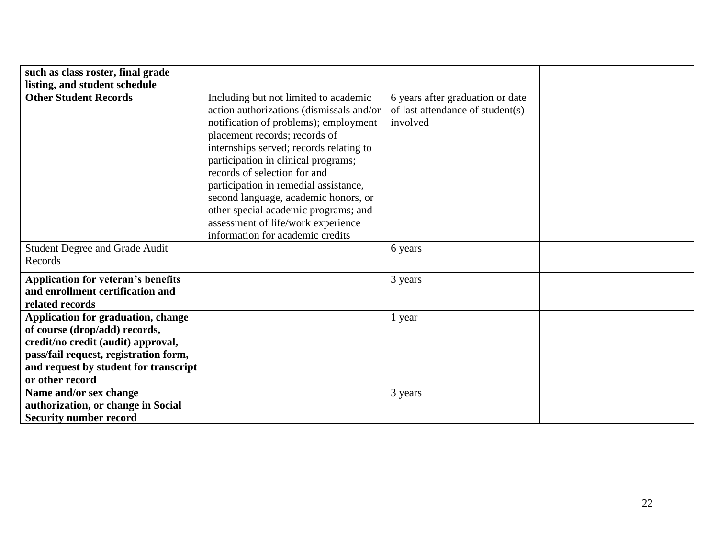| such as class roster, final grade         |                                          |                                  |  |
|-------------------------------------------|------------------------------------------|----------------------------------|--|
| listing, and student schedule             |                                          |                                  |  |
| <b>Other Student Records</b>              | Including but not limited to academic    | 6 years after graduation or date |  |
|                                           | action authorizations (dismissals and/or | of last attendance of student(s) |  |
|                                           | notification of problems); employment    | involved                         |  |
|                                           | placement records; records of            |                                  |  |
|                                           | internships served; records relating to  |                                  |  |
|                                           | participation in clinical programs;      |                                  |  |
|                                           | records of selection for and             |                                  |  |
|                                           |                                          |                                  |  |
|                                           | participation in remedial assistance,    |                                  |  |
|                                           | second language, academic honors, or     |                                  |  |
|                                           | other special academic programs; and     |                                  |  |
|                                           | assessment of life/work experience       |                                  |  |
|                                           | information for academic credits         |                                  |  |
| Student Degree and Grade Audit            |                                          | 6 years                          |  |
| Records                                   |                                          |                                  |  |
|                                           |                                          |                                  |  |
| <b>Application for veteran's benefits</b> |                                          | 3 years                          |  |
| and enrollment certification and          |                                          |                                  |  |
| related records                           |                                          |                                  |  |
| Application for graduation, change        |                                          | 1 year                           |  |
| of course (drop/add) records,             |                                          |                                  |  |
| credit/no credit (audit) approval,        |                                          |                                  |  |
| pass/fail request, registration form,     |                                          |                                  |  |
| and request by student for transcript     |                                          |                                  |  |
| or other record                           |                                          |                                  |  |
| Name and/or sex change                    |                                          | 3 years                          |  |
| authorization, or change in Social        |                                          |                                  |  |
| <b>Security number record</b>             |                                          |                                  |  |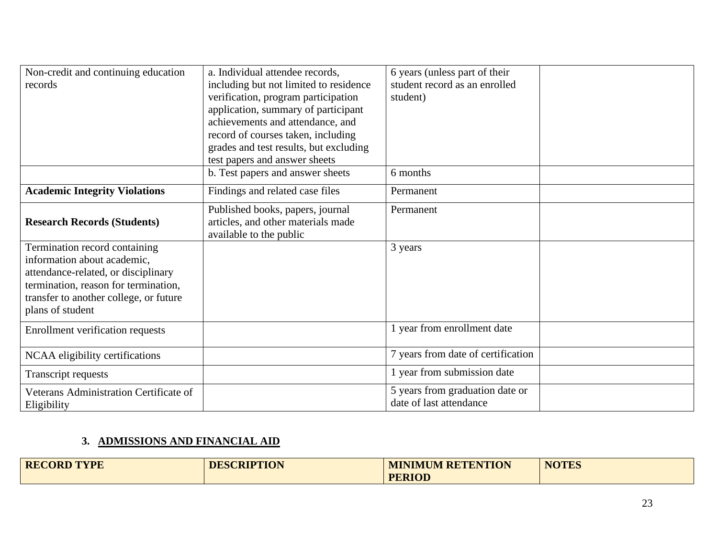| Non-credit and continuing education<br>records                                                                                                                                                            | a. Individual attendee records,<br>including but not limited to residence<br>verification, program participation<br>application, summary of participant<br>achievements and attendance, and<br>record of courses taken, including<br>grades and test results, but excluding<br>test papers and answer sheets | 6 years (unless part of their<br>student record as an enrolled<br>student) |  |
|-----------------------------------------------------------------------------------------------------------------------------------------------------------------------------------------------------------|--------------------------------------------------------------------------------------------------------------------------------------------------------------------------------------------------------------------------------------------------------------------------------------------------------------|----------------------------------------------------------------------------|--|
|                                                                                                                                                                                                           | b. Test papers and answer sheets                                                                                                                                                                                                                                                                             | 6 months                                                                   |  |
| <b>Academic Integrity Violations</b>                                                                                                                                                                      | Findings and related case files                                                                                                                                                                                                                                                                              | Permanent                                                                  |  |
| <b>Research Records (Students)</b>                                                                                                                                                                        | Published books, papers, journal<br>articles, and other materials made<br>available to the public                                                                                                                                                                                                            | Permanent                                                                  |  |
| Termination record containing<br>information about academic,<br>attendance-related, or disciplinary<br>termination, reason for termination,<br>transfer to another college, or future<br>plans of student |                                                                                                                                                                                                                                                                                                              | 3 years                                                                    |  |
| Enrollment verification requests                                                                                                                                                                          |                                                                                                                                                                                                                                                                                                              | 1 year from enrollment date                                                |  |
| NCAA eligibility certifications                                                                                                                                                                           |                                                                                                                                                                                                                                                                                                              | 7 years from date of certification                                         |  |
| Transcript requests                                                                                                                                                                                       |                                                                                                                                                                                                                                                                                                              | 1 year from submission date                                                |  |
| Veterans Administration Certificate of<br>Eligibility                                                                                                                                                     |                                                                                                                                                                                                                                                                                                              | 5 years from graduation date or<br>date of last attendance                 |  |

# **3. ADMISSIONS AND FINANCIAL AID**

| <b>RECORD TYPE</b> | <b>DESCRIPTION</b> | <b>MINIMUM RETENTION</b> | <b>NOTES</b> |
|--------------------|--------------------|--------------------------|--------------|
|                    |                    | <b>PERIOD</b>            |              |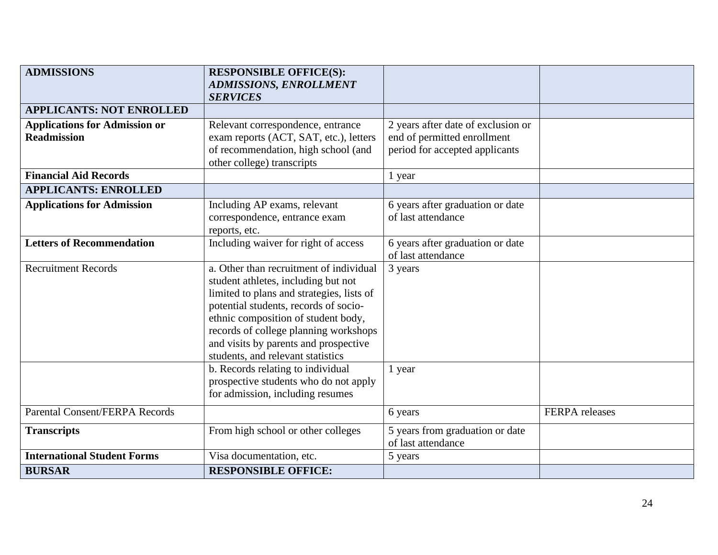| <b>ADMISSIONS</b>                                          | <b>RESPONSIBLE OFFICE(S):</b><br><b>ADMISSIONS, ENROLLMENT</b>                                                                                                                                                                                                                                                                     |                                                                                                     |                       |
|------------------------------------------------------------|------------------------------------------------------------------------------------------------------------------------------------------------------------------------------------------------------------------------------------------------------------------------------------------------------------------------------------|-----------------------------------------------------------------------------------------------------|-----------------------|
|                                                            | <b>SERVICES</b>                                                                                                                                                                                                                                                                                                                    |                                                                                                     |                       |
| <b>APPLICANTS: NOT ENROLLED</b>                            |                                                                                                                                                                                                                                                                                                                                    |                                                                                                     |                       |
| <b>Applications for Admission or</b><br><b>Readmission</b> | Relevant correspondence, entrance<br>exam reports (ACT, SAT, etc.), letters<br>of recommendation, high school (and<br>other college) transcripts                                                                                                                                                                                   | 2 years after date of exclusion or<br>end of permitted enrollment<br>period for accepted applicants |                       |
| <b>Financial Aid Records</b>                               |                                                                                                                                                                                                                                                                                                                                    | 1 year                                                                                              |                       |
| <b>APPLICANTS: ENROLLED</b>                                |                                                                                                                                                                                                                                                                                                                                    |                                                                                                     |                       |
| <b>Applications for Admission</b>                          | Including AP exams, relevant<br>correspondence, entrance exam<br>reports, etc.                                                                                                                                                                                                                                                     | 6 years after graduation or date<br>of last attendance                                              |                       |
| <b>Letters of Recommendation</b>                           | Including waiver for right of access                                                                                                                                                                                                                                                                                               | 6 years after graduation or date<br>of last attendance                                              |                       |
| <b>Recruitment Records</b>                                 | a. Other than recruitment of individual<br>student athletes, including but not<br>limited to plans and strategies, lists of<br>potential students, records of socio-<br>ethnic composition of student body,<br>records of college planning workshops<br>and visits by parents and prospective<br>students, and relevant statistics | 3 years                                                                                             |                       |
|                                                            | b. Records relating to individual<br>prospective students who do not apply<br>for admission, including resumes                                                                                                                                                                                                                     | 1 year                                                                                              |                       |
| <b>Parental Consent/FERPA Records</b>                      |                                                                                                                                                                                                                                                                                                                                    | 6 years                                                                                             | <b>FERPA</b> releases |
| <b>Transcripts</b>                                         | From high school or other colleges                                                                                                                                                                                                                                                                                                 | 5 years from graduation or date<br>of last attendance                                               |                       |
| <b>International Student Forms</b>                         | Visa documentation, etc.                                                                                                                                                                                                                                                                                                           | 5 years                                                                                             |                       |
| <b>BURSAR</b>                                              | <b>RESPONSIBLE OFFICE:</b>                                                                                                                                                                                                                                                                                                         |                                                                                                     |                       |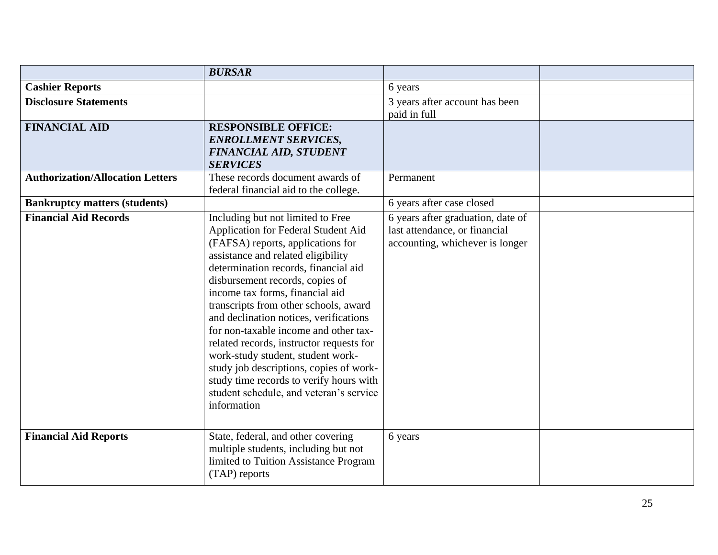|                                         | <b>BURSAR</b>                                                                                                                                                                                                                                                                                                                                                                                                                                                                                                                                                                                                                  |                                                                                                       |  |
|-----------------------------------------|--------------------------------------------------------------------------------------------------------------------------------------------------------------------------------------------------------------------------------------------------------------------------------------------------------------------------------------------------------------------------------------------------------------------------------------------------------------------------------------------------------------------------------------------------------------------------------------------------------------------------------|-------------------------------------------------------------------------------------------------------|--|
| <b>Cashier Reports</b>                  |                                                                                                                                                                                                                                                                                                                                                                                                                                                                                                                                                                                                                                | 6 years                                                                                               |  |
| <b>Disclosure Statements</b>            |                                                                                                                                                                                                                                                                                                                                                                                                                                                                                                                                                                                                                                | 3 years after account has been<br>paid in full                                                        |  |
| <b>FINANCIAL AID</b>                    | <b>RESPONSIBLE OFFICE:</b><br><b>ENROLLMENT SERVICES,</b><br><b>FINANCIAL AID, STUDENT</b><br><b>SERVICES</b>                                                                                                                                                                                                                                                                                                                                                                                                                                                                                                                  |                                                                                                       |  |
| <b>Authorization/Allocation Letters</b> | These records document awards of<br>federal financial aid to the college.                                                                                                                                                                                                                                                                                                                                                                                                                                                                                                                                                      | Permanent                                                                                             |  |
| <b>Bankruptcy matters (students)</b>    |                                                                                                                                                                                                                                                                                                                                                                                                                                                                                                                                                                                                                                | 6 years after case closed                                                                             |  |
| <b>Financial Aid Records</b>            | Including but not limited to Free<br>Application for Federal Student Aid<br>(FAFSA) reports, applications for<br>assistance and related eligibility<br>determination records, financial aid<br>disbursement records, copies of<br>income tax forms, financial aid<br>transcripts from other schools, award<br>and declination notices, verifications<br>for non-taxable income and other tax-<br>related records, instructor requests for<br>work-study student, student work-<br>study job descriptions, copies of work-<br>study time records to verify hours with<br>student schedule, and veteran's service<br>information | 6 years after graduation, date of<br>last attendance, or financial<br>accounting, whichever is longer |  |
| <b>Financial Aid Reports</b>            | State, federal, and other covering<br>multiple students, including but not<br>limited to Tuition Assistance Program<br>(TAP) reports                                                                                                                                                                                                                                                                                                                                                                                                                                                                                           | 6 years                                                                                               |  |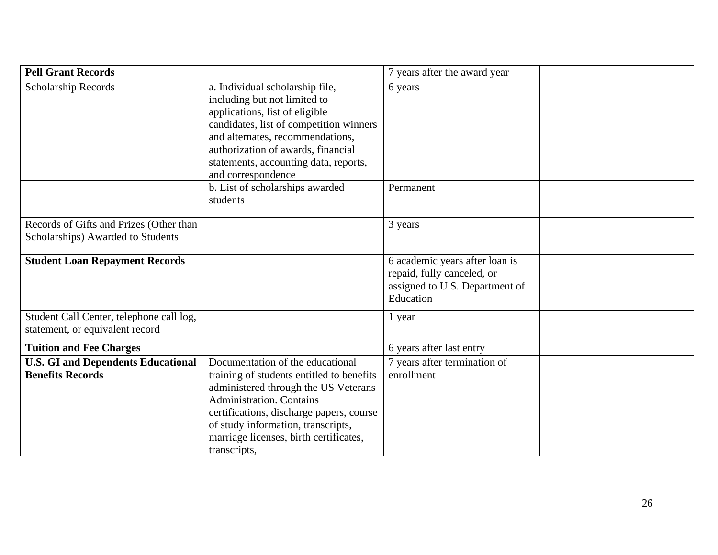| <b>Pell Grant Records</b>                                                    |                                                                                                                                                                                                                                                                                                      | 7 years after the award year                                                                                |  |
|------------------------------------------------------------------------------|------------------------------------------------------------------------------------------------------------------------------------------------------------------------------------------------------------------------------------------------------------------------------------------------------|-------------------------------------------------------------------------------------------------------------|--|
| Scholarship Records                                                          | a. Individual scholarship file,<br>including but not limited to<br>applications, list of eligible<br>candidates, list of competition winners<br>and alternates, recommendations,<br>authorization of awards, financial<br>statements, accounting data, reports,<br>and correspondence                | 6 years                                                                                                     |  |
|                                                                              | b. List of scholarships awarded<br>students                                                                                                                                                                                                                                                          | Permanent                                                                                                   |  |
| Records of Gifts and Prizes (Other than<br>Scholarships) Awarded to Students |                                                                                                                                                                                                                                                                                                      | 3 years                                                                                                     |  |
| <b>Student Loan Repayment Records</b>                                        |                                                                                                                                                                                                                                                                                                      | 6 academic years after loan is<br>repaid, fully canceled, or<br>assigned to U.S. Department of<br>Education |  |
| Student Call Center, telephone call log,<br>statement, or equivalent record  |                                                                                                                                                                                                                                                                                                      | 1 year                                                                                                      |  |
| <b>Tuition and Fee Charges</b>                                               |                                                                                                                                                                                                                                                                                                      | 6 years after last entry                                                                                    |  |
| <b>U.S. GI and Dependents Educational</b><br><b>Benefits Records</b>         | Documentation of the educational<br>training of students entitled to benefits<br>administered through the US Veterans<br><b>Administration. Contains</b><br>certifications, discharge papers, course<br>of study information, transcripts,<br>marriage licenses, birth certificates,<br>transcripts, | 7 years after termination of<br>enrollment                                                                  |  |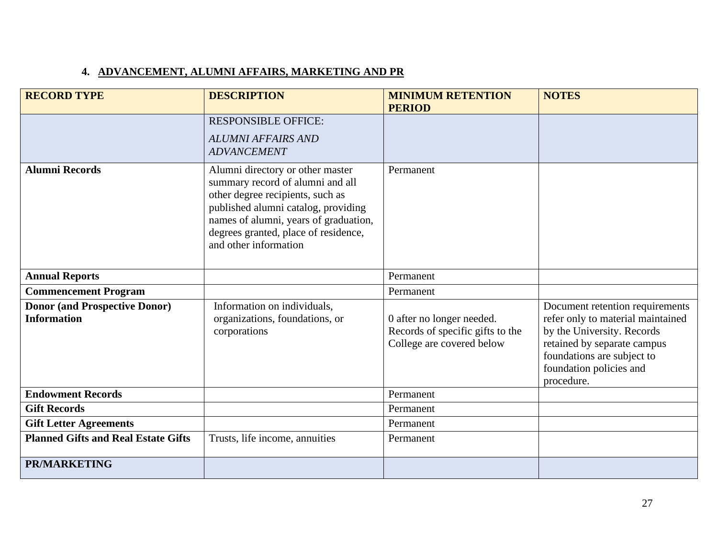# **4. ADVANCEMENT, ALUMNI AFFAIRS, MARKETING AND PR**

| <b>RECORD TYPE</b>                                         | <b>DESCRIPTION</b>                                                                                                                                                                                                                                        | <b>MINIMUM RETENTION</b>                                                                   | <b>NOTES</b>                                                                                                                                                                                             |
|------------------------------------------------------------|-----------------------------------------------------------------------------------------------------------------------------------------------------------------------------------------------------------------------------------------------------------|--------------------------------------------------------------------------------------------|----------------------------------------------------------------------------------------------------------------------------------------------------------------------------------------------------------|
|                                                            | <b>RESPONSIBLE OFFICE:</b>                                                                                                                                                                                                                                | <b>PERIOD</b>                                                                              |                                                                                                                                                                                                          |
|                                                            | <b>ALUMNI AFFAIRS AND</b><br><b>ADVANCEMENT</b>                                                                                                                                                                                                           |                                                                                            |                                                                                                                                                                                                          |
| <b>Alumni Records</b>                                      | Alumni directory or other master<br>summary record of alumni and all<br>other degree recipients, such as<br>published alumni catalog, providing<br>names of alumni, years of graduation,<br>degrees granted, place of residence,<br>and other information | Permanent                                                                                  |                                                                                                                                                                                                          |
| <b>Annual Reports</b>                                      |                                                                                                                                                                                                                                                           | Permanent                                                                                  |                                                                                                                                                                                                          |
| <b>Commencement Program</b>                                |                                                                                                                                                                                                                                                           | Permanent                                                                                  |                                                                                                                                                                                                          |
| <b>Donor (and Prospective Donor)</b><br><b>Information</b> | Information on individuals,<br>organizations, foundations, or<br>corporations                                                                                                                                                                             | 0 after no longer needed.<br>Records of specific gifts to the<br>College are covered below | Document retention requirements<br>refer only to material maintained<br>by the University. Records<br>retained by separate campus<br>foundations are subject to<br>foundation policies and<br>procedure. |
| <b>Endowment Records</b>                                   |                                                                                                                                                                                                                                                           | Permanent                                                                                  |                                                                                                                                                                                                          |
| <b>Gift Records</b>                                        |                                                                                                                                                                                                                                                           | Permanent                                                                                  |                                                                                                                                                                                                          |
| <b>Gift Letter Agreements</b>                              |                                                                                                                                                                                                                                                           | Permanent                                                                                  |                                                                                                                                                                                                          |
| <b>Planned Gifts and Real Estate Gifts</b>                 | Trusts, life income, annuities                                                                                                                                                                                                                            | Permanent                                                                                  |                                                                                                                                                                                                          |
| <b>PR/MARKETING</b>                                        |                                                                                                                                                                                                                                                           |                                                                                            |                                                                                                                                                                                                          |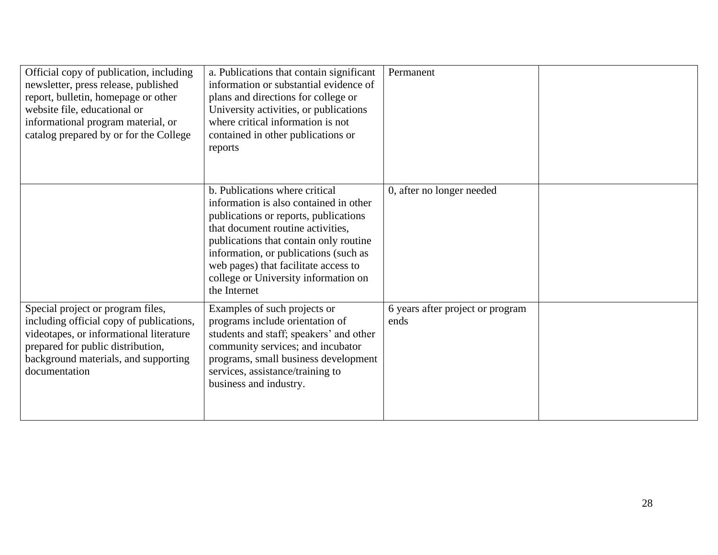| Official copy of publication, including<br>newsletter, press release, published<br>report, bulletin, homepage or other<br>website file, educational or<br>informational program material, or<br>catalog prepared by or for the College | a. Publications that contain significant<br>information or substantial evidence of<br>plans and directions for college or<br>University activities, or publications<br>where critical information is not<br>contained in other publications or<br>reports                                                                                 | Permanent                                |  |
|----------------------------------------------------------------------------------------------------------------------------------------------------------------------------------------------------------------------------------------|-------------------------------------------------------------------------------------------------------------------------------------------------------------------------------------------------------------------------------------------------------------------------------------------------------------------------------------------|------------------------------------------|--|
|                                                                                                                                                                                                                                        | b. Publications where critical<br>information is also contained in other<br>publications or reports, publications<br>that document routine activities,<br>publications that contain only routine<br>information, or publications (such as<br>web pages) that facilitate access to<br>college or University information on<br>the Internet | 0, after no longer needed                |  |
| Special project or program files,<br>including official copy of publications,<br>videotapes, or informational literature<br>prepared for public distribution,<br>background materials, and supporting<br>documentation                 | Examples of such projects or<br>programs include orientation of<br>students and staff; speakers' and other<br>community services; and incubator<br>programs, small business development<br>services, assistance/training to<br>business and industry.                                                                                     | 6 years after project or program<br>ends |  |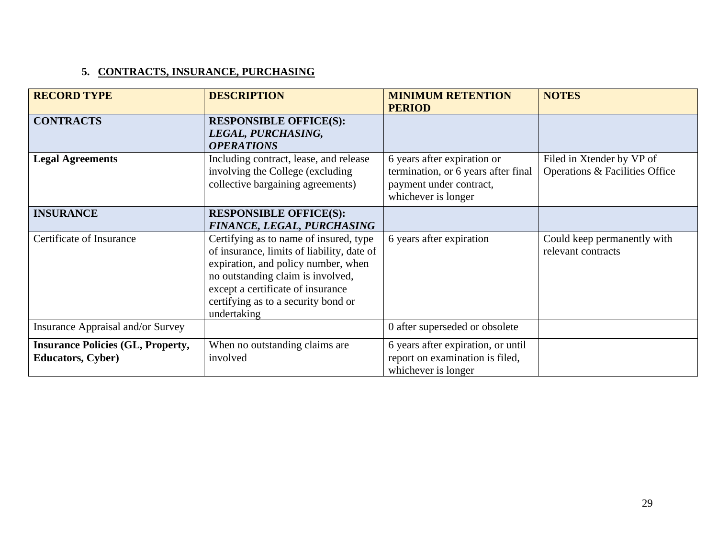# **5. CONTRACTS, INSURANCE, PURCHASING**

| <b>RECORD TYPE</b>                                                   | <b>DESCRIPTION</b>                                                                                                                                                                                                                                          | <b>MINIMUM RETENTION</b><br><b>PERIOD</b>                                                                            | <b>NOTES</b>                                                |
|----------------------------------------------------------------------|-------------------------------------------------------------------------------------------------------------------------------------------------------------------------------------------------------------------------------------------------------------|----------------------------------------------------------------------------------------------------------------------|-------------------------------------------------------------|
| <b>CONTRACTS</b>                                                     | <b>RESPONSIBLE OFFICE(S):</b><br>LEGAL, PURCHASING,<br><b>OPERATIONS</b>                                                                                                                                                                                    |                                                                                                                      |                                                             |
| <b>Legal Agreements</b>                                              | Including contract, lease, and release<br>involving the College (excluding<br>collective bargaining agreements)                                                                                                                                             | 6 years after expiration or<br>termination, or 6 years after final<br>payment under contract,<br>whichever is longer | Filed in Xtender by VP of<br>Operations & Facilities Office |
| <b>INSURANCE</b>                                                     | <b>RESPONSIBLE OFFICE(S):</b><br>FINANCE, LEGAL, PURCHASING                                                                                                                                                                                                 |                                                                                                                      |                                                             |
| Certificate of Insurance                                             | Certifying as to name of insured, type<br>of insurance, limits of liability, date of<br>expiration, and policy number, when<br>no outstanding claim is involved,<br>except a certificate of insurance<br>certifying as to a security bond or<br>undertaking | 6 years after expiration                                                                                             | Could keep permanently with<br>relevant contracts           |
| Insurance Appraisal and/or Survey                                    |                                                                                                                                                                                                                                                             | 0 after superseded or obsolete                                                                                       |                                                             |
| <b>Insurance Policies (GL, Property,</b><br><b>Educators, Cyber)</b> | When no outstanding claims are<br>involved                                                                                                                                                                                                                  | 6 years after expiration, or until<br>report on examination is filed,<br>whichever is longer                         |                                                             |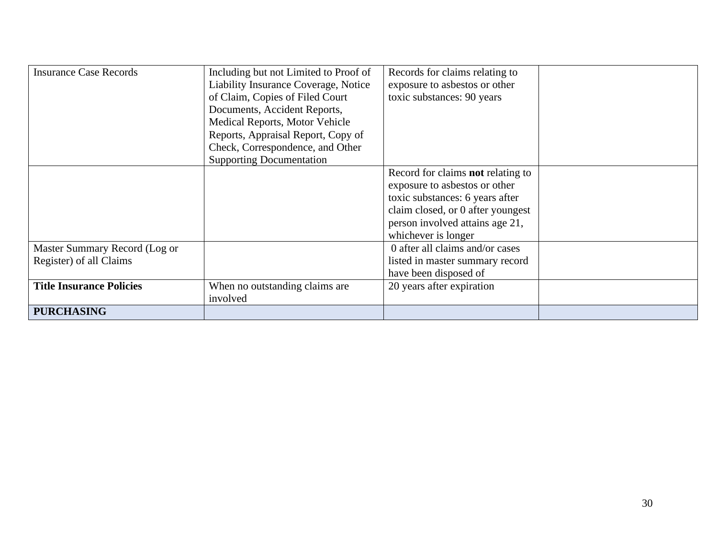| <b>Insurance Case Records</b>   | Including but not Limited to Proof of<br>Liability Insurance Coverage, Notice<br>of Claim, Copies of Filed Court | Records for claims relating to<br>exposure to asbestos or other<br>toxic substances: 90 years |  |
|---------------------------------|------------------------------------------------------------------------------------------------------------------|-----------------------------------------------------------------------------------------------|--|
|                                 | Documents, Accident Reports,                                                                                     |                                                                                               |  |
|                                 | Medical Reports, Motor Vehicle                                                                                   |                                                                                               |  |
|                                 | Reports, Appraisal Report, Copy of                                                                               |                                                                                               |  |
|                                 | Check, Correspondence, and Other                                                                                 |                                                                                               |  |
|                                 | <b>Supporting Documentation</b>                                                                                  |                                                                                               |  |
|                                 |                                                                                                                  | Record for claims <b>not</b> relating to                                                      |  |
|                                 |                                                                                                                  | exposure to asbestos or other                                                                 |  |
|                                 |                                                                                                                  | toxic substances: 6 years after                                                               |  |
|                                 |                                                                                                                  | claim closed, or 0 after youngest                                                             |  |
|                                 |                                                                                                                  | person involved attains age 21,                                                               |  |
|                                 |                                                                                                                  | whichever is longer                                                                           |  |
| Master Summary Record (Log or   |                                                                                                                  | 0 after all claims and/or cases                                                               |  |
| Register) of all Claims         |                                                                                                                  | listed in master summary record                                                               |  |
|                                 |                                                                                                                  | have been disposed of                                                                         |  |
| <b>Title Insurance Policies</b> | When no outstanding claims are<br>involved                                                                       | 20 years after expiration                                                                     |  |
| <b>PURCHASING</b>               |                                                                                                                  |                                                                                               |  |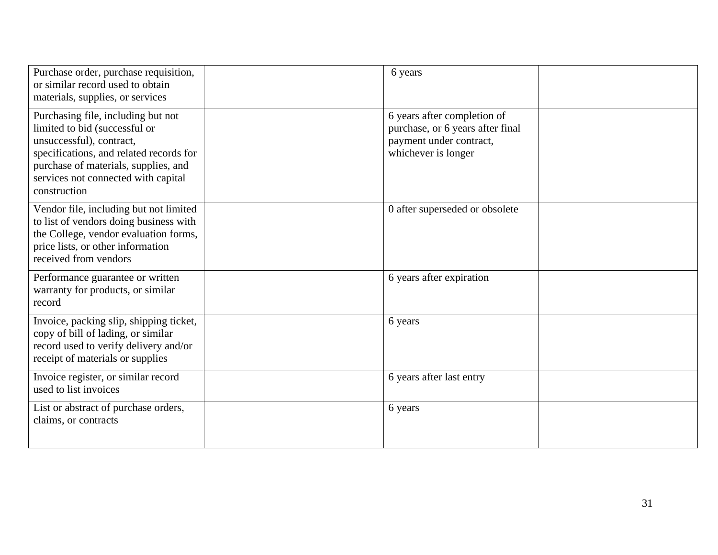| Purchase order, purchase requisition,<br>or similar record used to obtain<br>materials, supplies, or services                                                                                                                             | 6 years                                                                                                           |  |
|-------------------------------------------------------------------------------------------------------------------------------------------------------------------------------------------------------------------------------------------|-------------------------------------------------------------------------------------------------------------------|--|
| Purchasing file, including but not<br>limited to bid (successful or<br>unsuccessful), contract,<br>specifications, and related records for<br>purchase of materials, supplies, and<br>services not connected with capital<br>construction | 6 years after completion of<br>purchase, or 6 years after final<br>payment under contract,<br>whichever is longer |  |
| Vendor file, including but not limited<br>to list of vendors doing business with<br>the College, vendor evaluation forms,<br>price lists, or other information<br>received from vendors                                                   | 0 after superseded or obsolete                                                                                    |  |
| Performance guarantee or written<br>warranty for products, or similar<br>record                                                                                                                                                           | 6 years after expiration                                                                                          |  |
| Invoice, packing slip, shipping ticket,<br>copy of bill of lading, or similar<br>record used to verify delivery and/or<br>receipt of materials or supplies                                                                                | 6 years                                                                                                           |  |
| Invoice register, or similar record<br>used to list invoices                                                                                                                                                                              | 6 years after last entry                                                                                          |  |
| List or abstract of purchase orders,<br>claims, or contracts                                                                                                                                                                              | 6 years                                                                                                           |  |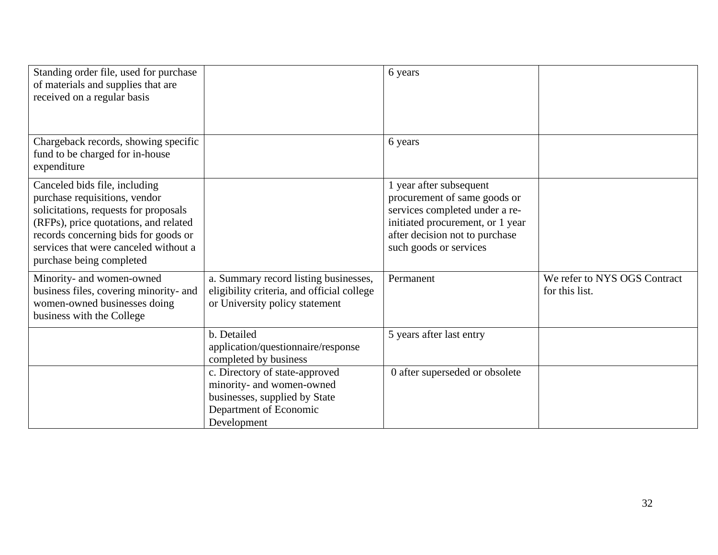| Standing order file, used for purchase<br>of materials and supplies that are<br>received on a regular basis                                                                                                                                                   |                                                                                                                                       | 6 years                                                                                                                                                                                   |                                                |
|---------------------------------------------------------------------------------------------------------------------------------------------------------------------------------------------------------------------------------------------------------------|---------------------------------------------------------------------------------------------------------------------------------------|-------------------------------------------------------------------------------------------------------------------------------------------------------------------------------------------|------------------------------------------------|
| Chargeback records, showing specific<br>fund to be charged for in-house<br>expenditure                                                                                                                                                                        |                                                                                                                                       | 6 years                                                                                                                                                                                   |                                                |
| Canceled bids file, including<br>purchase requisitions, vendor<br>solicitations, requests for proposals<br>(RFPs), price quotations, and related<br>records concerning bids for goods or<br>services that were canceled without a<br>purchase being completed |                                                                                                                                       | 1 year after subsequent<br>procurement of same goods or<br>services completed under a re-<br>initiated procurement, or 1 year<br>after decision not to purchase<br>such goods or services |                                                |
| Minority- and women-owned<br>business files, covering minority- and<br>women-owned businesses doing<br>business with the College                                                                                                                              | a. Summary record listing businesses,<br>eligibility criteria, and official college<br>or University policy statement                 | Permanent                                                                                                                                                                                 | We refer to NYS OGS Contract<br>for this list. |
|                                                                                                                                                                                                                                                               | b. Detailed<br>application/questionnaire/response<br>completed by business                                                            | 5 years after last entry                                                                                                                                                                  |                                                |
|                                                                                                                                                                                                                                                               | c. Directory of state-approved<br>minority- and women-owned<br>businesses, supplied by State<br>Department of Economic<br>Development | 0 after superseded or obsolete                                                                                                                                                            |                                                |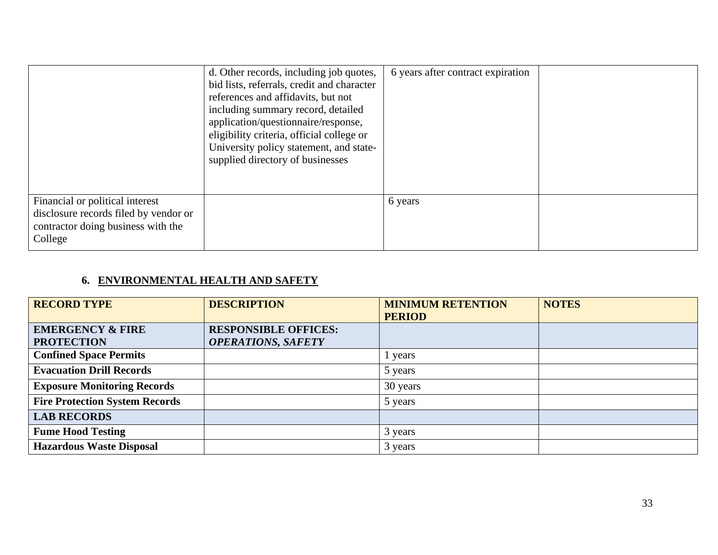|                                                                                                                           | d. Other records, including job quotes,<br>bid lists, referrals, credit and character<br>references and affidavits, but not<br>including summary record, detailed<br>application/questionnaire/response,<br>eligibility criteria, official college or<br>University policy statement, and state-<br>supplied directory of businesses | 6 years after contract expiration |  |
|---------------------------------------------------------------------------------------------------------------------------|--------------------------------------------------------------------------------------------------------------------------------------------------------------------------------------------------------------------------------------------------------------------------------------------------------------------------------------|-----------------------------------|--|
| Financial or political interest<br>disclosure records filed by vendor or<br>contractor doing business with the<br>College |                                                                                                                                                                                                                                                                                                                                      | 6 years                           |  |

# **6. ENVIRONMENTAL HEALTH AND SAFETY**

| <b>RECORD TYPE</b>                    | <b>DESCRIPTION</b>          | <b>MINIMUM RETENTION</b> | <b>NOTES</b> |
|---------------------------------------|-----------------------------|--------------------------|--------------|
|                                       |                             | <b>PERIOD</b>            |              |
| <b>EMERGENCY &amp; FIRE</b>           | <b>RESPONSIBLE OFFICES:</b> |                          |              |
| <b>PROTECTION</b>                     | <b>OPERATIONS, SAFETY</b>   |                          |              |
| <b>Confined Space Permits</b>         |                             | years                    |              |
| <b>Evacuation Drill Records</b>       |                             | 5 years                  |              |
| <b>Exposure Monitoring Records</b>    |                             | 30 years                 |              |
| <b>Fire Protection System Records</b> |                             | 5 years                  |              |
| <b>LAB RECORDS</b>                    |                             |                          |              |
| <b>Fume Hood Testing</b>              |                             | 3 years                  |              |
| <b>Hazardous Waste Disposal</b>       |                             | 3 years                  |              |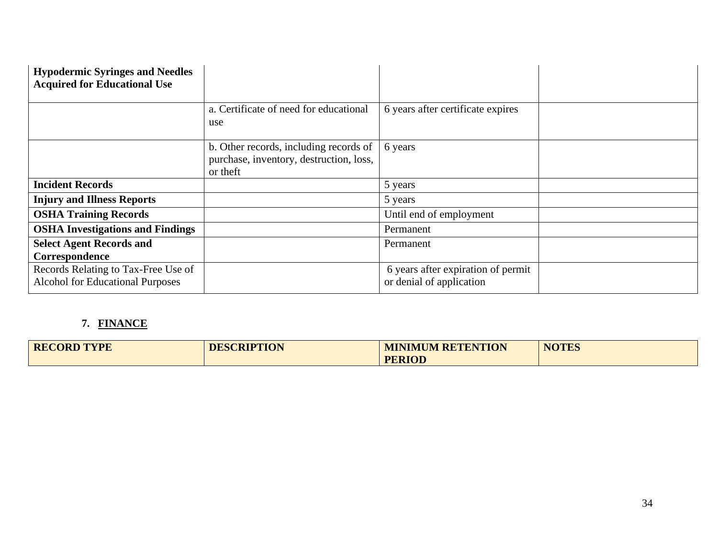| <b>Hypodermic Syringes and Needles</b><br><b>Acquired for Educational Use</b>  |                                                                                               |                                                                |  |
|--------------------------------------------------------------------------------|-----------------------------------------------------------------------------------------------|----------------------------------------------------------------|--|
|                                                                                | a. Certificate of need for educational<br>use                                                 | 6 years after certificate expires                              |  |
|                                                                                | b. Other records, including records of<br>purchase, inventory, destruction, loss,<br>or theft | 6 years                                                        |  |
| <b>Incident Records</b>                                                        |                                                                                               | 5 years                                                        |  |
| <b>Injury and Illness Reports</b>                                              |                                                                                               | 5 years                                                        |  |
| <b>OSHA Training Records</b>                                                   |                                                                                               | Until end of employment                                        |  |
| <b>OSHA Investigations and Findings</b>                                        |                                                                                               | Permanent                                                      |  |
| <b>Select Agent Records and</b>                                                |                                                                                               | Permanent                                                      |  |
| Correspondence                                                                 |                                                                                               |                                                                |  |
| Records Relating to Tax-Free Use of<br><b>Alcohol for Educational Purposes</b> |                                                                                               | 6 years after expiration of permit<br>or denial of application |  |

# **7. FINANCE**

| <b>RECORD TYPE</b> | <b>DESCRIPTION</b> | <b>MINIMUM RETENTION</b> | <b>NOTES</b> |
|--------------------|--------------------|--------------------------|--------------|
|                    |                    | <b>PERIOD</b>            |              |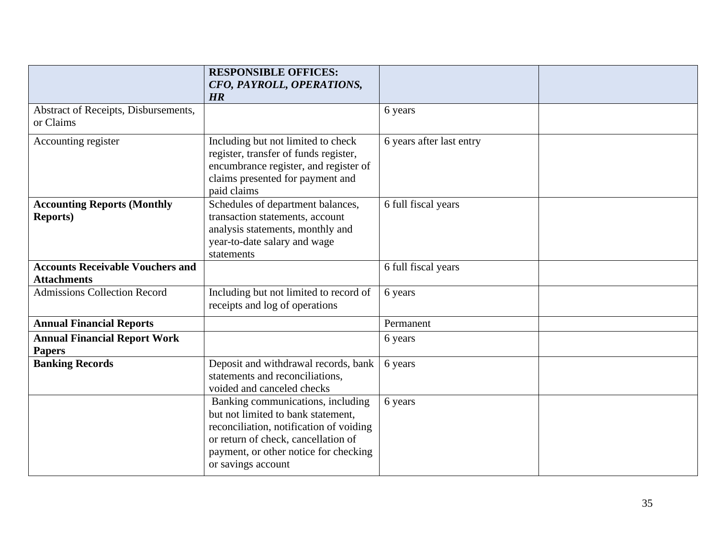|                                                               | <b>RESPONSIBLE OFFICES:</b><br>CFO, PAYROLL, OPERATIONS,<br>HR                                                                                                                                                           |                          |  |
|---------------------------------------------------------------|--------------------------------------------------------------------------------------------------------------------------------------------------------------------------------------------------------------------------|--------------------------|--|
| Abstract of Receipts, Disbursements,<br>or Claims             |                                                                                                                                                                                                                          | 6 years                  |  |
| Accounting register                                           | Including but not limited to check<br>register, transfer of funds register,<br>encumbrance register, and register of<br>claims presented for payment and<br>paid claims                                                  | 6 years after last entry |  |
| <b>Accounting Reports (Monthly</b><br><b>Reports</b> )        | Schedules of department balances,<br>transaction statements, account<br>analysis statements, monthly and<br>year-to-date salary and wage<br>statements                                                                   | 6 full fiscal years      |  |
| <b>Accounts Receivable Vouchers and</b><br><b>Attachments</b> |                                                                                                                                                                                                                          | 6 full fiscal years      |  |
| <b>Admissions Collection Record</b>                           | Including but not limited to record of<br>receipts and log of operations                                                                                                                                                 | 6 years                  |  |
| <b>Annual Financial Reports</b>                               |                                                                                                                                                                                                                          | Permanent                |  |
| <b>Annual Financial Report Work</b><br><b>Papers</b>          |                                                                                                                                                                                                                          | 6 years                  |  |
| <b>Banking Records</b>                                        | Deposit and withdrawal records, bank<br>statements and reconciliations,<br>voided and canceled checks                                                                                                                    | 6 years                  |  |
|                                                               | Banking communications, including<br>but not limited to bank statement,<br>reconciliation, notification of voiding<br>or return of check, cancellation of<br>payment, or other notice for checking<br>or savings account | 6 years                  |  |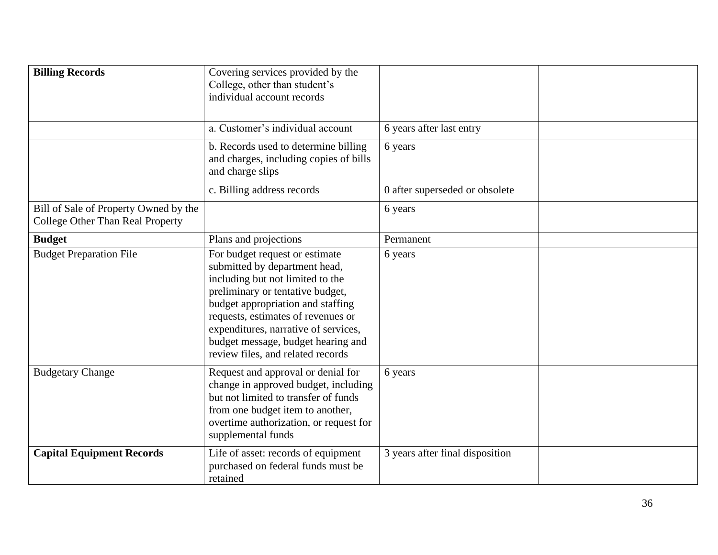| <b>Billing Records</b>                                                           | Covering services provided by the<br>College, other than student's<br>individual account records<br>a. Customer's individual account<br>b. Records used to determine billing<br>and charges, including copies of bills<br>and charge slips                                                                                            | 6 years after last entry<br>6 years |  |
|----------------------------------------------------------------------------------|---------------------------------------------------------------------------------------------------------------------------------------------------------------------------------------------------------------------------------------------------------------------------------------------------------------------------------------|-------------------------------------|--|
|                                                                                  | c. Billing address records                                                                                                                                                                                                                                                                                                            | 0 after superseded or obsolete      |  |
| Bill of Sale of Property Owned by the<br><b>College Other Than Real Property</b> |                                                                                                                                                                                                                                                                                                                                       | 6 years                             |  |
| <b>Budget</b>                                                                    | Plans and projections                                                                                                                                                                                                                                                                                                                 | Permanent                           |  |
| <b>Budget Preparation File</b>                                                   | For budget request or estimate<br>submitted by department head,<br>including but not limited to the<br>preliminary or tentative budget,<br>budget appropriation and staffing<br>requests, estimates of revenues or<br>expenditures, narrative of services,<br>budget message, budget hearing and<br>review files, and related records | 6 years                             |  |
| <b>Budgetary Change</b>                                                          | Request and approval or denial for<br>change in approved budget, including<br>but not limited to transfer of funds<br>from one budget item to another,<br>overtime authorization, or request for<br>supplemental funds                                                                                                                | 6 years                             |  |
| <b>Capital Equipment Records</b>                                                 | Life of asset: records of equipment<br>purchased on federal funds must be<br>retained                                                                                                                                                                                                                                                 | 3 years after final disposition     |  |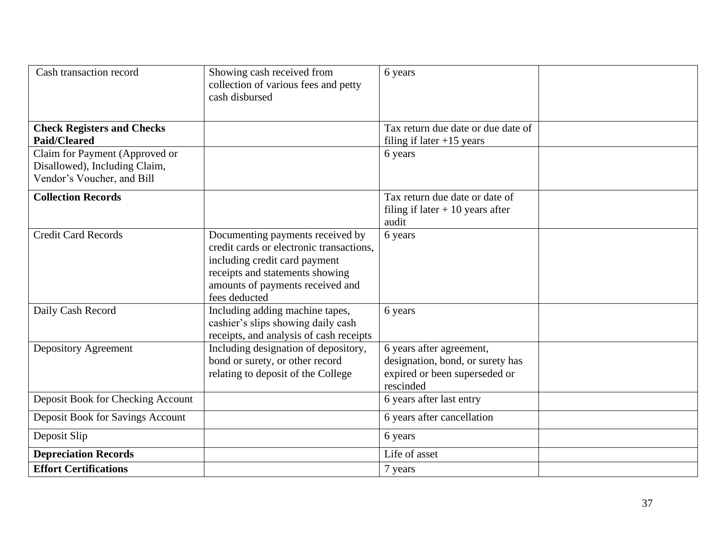| Cash transaction record           | Showing cash received from<br>collection of various fees and petty<br>cash disbursed | 6 years                                    |  |
|-----------------------------------|--------------------------------------------------------------------------------------|--------------------------------------------|--|
| <b>Check Registers and Checks</b> |                                                                                      | Tax return due date or due date of         |  |
| <b>Paid/Cleared</b>               |                                                                                      | filing if later $+15$ years                |  |
| Claim for Payment (Approved or    |                                                                                      | 6 years                                    |  |
| Disallowed), Including Claim,     |                                                                                      |                                            |  |
| Vendor's Voucher, and Bill        |                                                                                      |                                            |  |
| <b>Collection Records</b>         |                                                                                      | Tax return due date or date of             |  |
|                                   |                                                                                      | filing if later $+10$ years after          |  |
|                                   |                                                                                      | audit                                      |  |
| <b>Credit Card Records</b>        | Documenting payments received by<br>credit cards or electronic transactions,         | 6 years                                    |  |
|                                   | including credit card payment                                                        |                                            |  |
|                                   | receipts and statements showing                                                      |                                            |  |
|                                   | amounts of payments received and                                                     |                                            |  |
|                                   | fees deducted                                                                        |                                            |  |
| Daily Cash Record                 | Including adding machine tapes,                                                      | 6 years                                    |  |
|                                   | cashier's slips showing daily cash                                                   |                                            |  |
|                                   | receipts, and analysis of cash receipts                                              |                                            |  |
| Depository Agreement              | Including designation of depository,                                                 | 6 years after agreement,                   |  |
|                                   | bond or surety, or other record                                                      | designation, bond, or surety has           |  |
|                                   | relating to deposit of the College                                                   | expired or been superseded or<br>rescinded |  |
| Deposit Book for Checking Account |                                                                                      | 6 years after last entry                   |  |
|                                   |                                                                                      |                                            |  |
| Deposit Book for Savings Account  |                                                                                      | 6 years after cancellation                 |  |
| Deposit Slip                      |                                                                                      | 6 years                                    |  |
| <b>Depreciation Records</b>       |                                                                                      | Life of asset                              |  |
| <b>Effort Certifications</b>      |                                                                                      | 7 years                                    |  |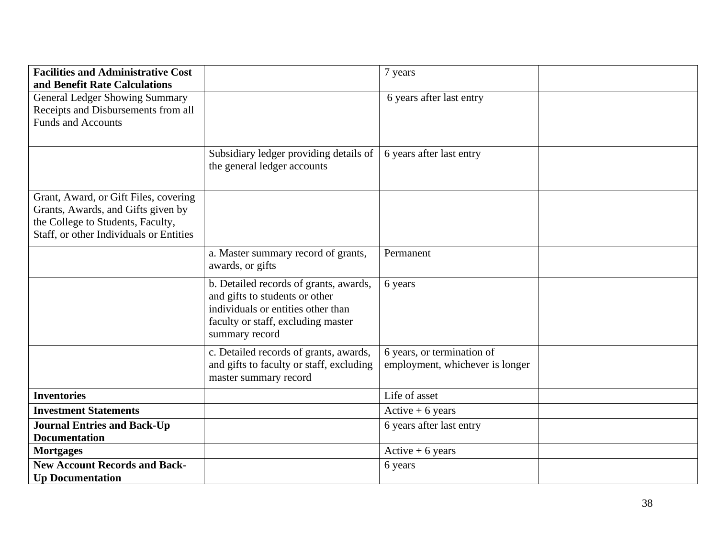| <b>Facilities and Administrative Cost</b><br>and Benefit Rate Calculations |                                                                          | 7 years                         |  |
|----------------------------------------------------------------------------|--------------------------------------------------------------------------|---------------------------------|--|
| <b>General Ledger Showing Summary</b>                                      |                                                                          | 6 years after last entry        |  |
| Receipts and Disbursements from all                                        |                                                                          |                                 |  |
| <b>Funds and Accounts</b>                                                  |                                                                          |                                 |  |
|                                                                            |                                                                          |                                 |  |
|                                                                            | Subsidiary ledger providing details of<br>the general ledger accounts    | 6 years after last entry        |  |
| Grant, Award, or Gift Files, covering                                      |                                                                          |                                 |  |
| Grants, Awards, and Gifts given by                                         |                                                                          |                                 |  |
| the College to Students, Faculty,                                          |                                                                          |                                 |  |
| Staff, or other Individuals or Entities                                    |                                                                          |                                 |  |
|                                                                            | a. Master summary record of grants,                                      | Permanent                       |  |
|                                                                            | awards, or gifts                                                         |                                 |  |
|                                                                            | b. Detailed records of grants, awards,<br>and gifts to students or other | 6 years                         |  |
|                                                                            | individuals or entities other than<br>faculty or staff, excluding master |                                 |  |
|                                                                            | summary record                                                           |                                 |  |
|                                                                            | c. Detailed records of grants, awards,                                   | 6 years, or termination of      |  |
|                                                                            | and gifts to faculty or staff, excluding<br>master summary record        | employment, whichever is longer |  |
| <b>Inventories</b>                                                         |                                                                          | Life of asset                   |  |
| <b>Investment Statements</b>                                               |                                                                          | Active $+6$ years               |  |
| <b>Journal Entries and Back-Up</b>                                         |                                                                          | 6 years after last entry        |  |
| <b>Documentation</b>                                                       |                                                                          |                                 |  |
| <b>Mortgages</b>                                                           |                                                                          | Active $+ 6$ years              |  |
| <b>New Account Records and Back-</b>                                       |                                                                          | 6 years                         |  |
| <b>Up Documentation</b>                                                    |                                                                          |                                 |  |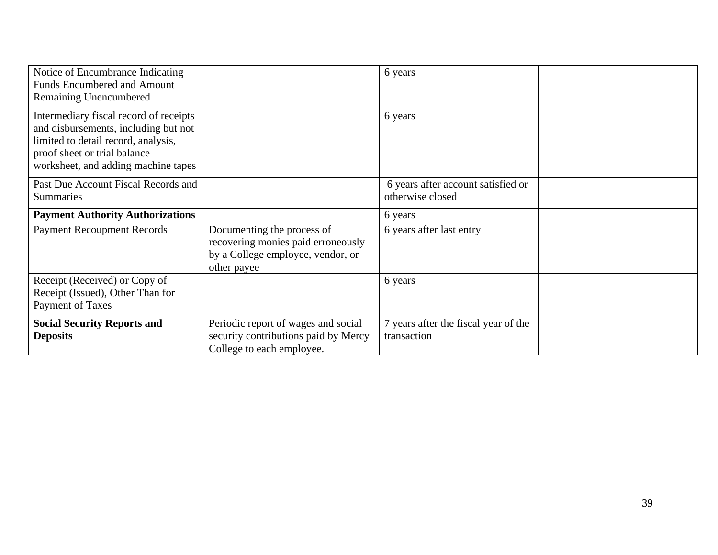| Notice of Encumbrance Indicating<br><b>Funds Encumbered and Amount</b><br>Remaining Unencumbered                                                                                             |                                                                                                                      | 6 years                                                |  |
|----------------------------------------------------------------------------------------------------------------------------------------------------------------------------------------------|----------------------------------------------------------------------------------------------------------------------|--------------------------------------------------------|--|
| Intermediary fiscal record of receipts<br>and disbursements, including but not<br>limited to detail record, analysis,<br>proof sheet or trial balance<br>worksheet, and adding machine tapes |                                                                                                                      | 6 years                                                |  |
| Past Due Account Fiscal Records and<br><b>Summaries</b>                                                                                                                                      |                                                                                                                      | 6 years after account satisfied or<br>otherwise closed |  |
| <b>Payment Authority Authorizations</b>                                                                                                                                                      |                                                                                                                      | 6 years                                                |  |
| <b>Payment Recoupment Records</b>                                                                                                                                                            | Documenting the process of<br>recovering monies paid erroneously<br>by a College employee, vendor, or<br>other payee | 6 years after last entry                               |  |
| Receipt (Received) or Copy of<br>Receipt (Issued), Other Than for<br>Payment of Taxes                                                                                                        |                                                                                                                      | 6 years                                                |  |
| <b>Social Security Reports and</b><br><b>Deposits</b>                                                                                                                                        | Periodic report of wages and social<br>security contributions paid by Mercy<br>College to each employee.             | 7 years after the fiscal year of the<br>transaction    |  |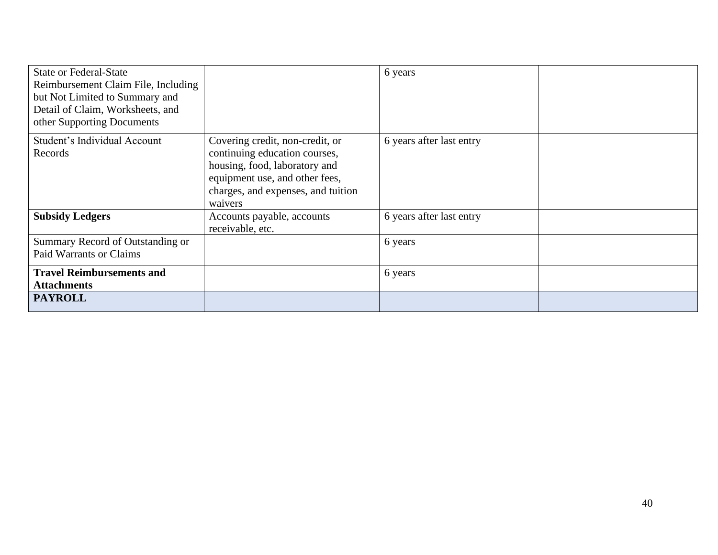| <b>State or Federal-State</b><br>Reimbursement Claim File, Including<br>but Not Limited to Summary and<br>Detail of Claim, Worksheets, and<br>other Supporting Documents |                                                                                                                                                                                      | 6 years                  |  |
|--------------------------------------------------------------------------------------------------------------------------------------------------------------------------|--------------------------------------------------------------------------------------------------------------------------------------------------------------------------------------|--------------------------|--|
| Student's Individual Account<br>Records                                                                                                                                  | Covering credit, non-credit, or<br>continuing education courses,<br>housing, food, laboratory and<br>equipment use, and other fees,<br>charges, and expenses, and tuition<br>waivers | 6 years after last entry |  |
| <b>Subsidy Ledgers</b>                                                                                                                                                   | Accounts payable, accounts<br>receivable, etc.                                                                                                                                       | 6 years after last entry |  |
| Summary Record of Outstanding or<br><b>Paid Warrants or Claims</b>                                                                                                       |                                                                                                                                                                                      | 6 years                  |  |
| <b>Travel Reimbursements and</b><br><b>Attachments</b><br><b>PAYROLL</b>                                                                                                 |                                                                                                                                                                                      | 6 years                  |  |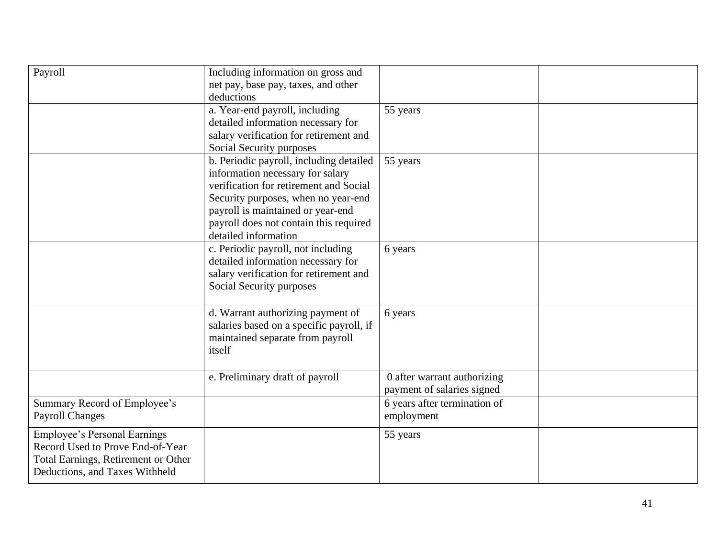| Payroll                                                                                                                                          | Including information on gross and<br>net pay, base pay, taxes, and other<br>deductions                                                                                                                                                                             |                                                           |  |
|--------------------------------------------------------------------------------------------------------------------------------------------------|---------------------------------------------------------------------------------------------------------------------------------------------------------------------------------------------------------------------------------------------------------------------|-----------------------------------------------------------|--|
|                                                                                                                                                  | a. Year-end payroll, including<br>detailed information necessary for<br>salary verification for retirement and<br>Social Security purposes                                                                                                                          | 55 years                                                  |  |
|                                                                                                                                                  | b. Periodic payroll, including detailed<br>information necessary for salary<br>verification for retirement and Social<br>Security purposes, when no year-end<br>payroll is maintained or year-end<br>payroll does not contain this required<br>detailed information | 55 years                                                  |  |
|                                                                                                                                                  | c. Periodic payroll, not including<br>detailed information necessary for<br>salary verification for retirement and<br>Social Security purposes                                                                                                                      | 6 years                                                   |  |
|                                                                                                                                                  | d. Warrant authorizing payment of<br>salaries based on a specific payroll, if<br>maintained separate from payroll<br>itself                                                                                                                                         | 6 years                                                   |  |
|                                                                                                                                                  | e. Preliminary draft of payroll                                                                                                                                                                                                                                     | 0 after warrant authorizing<br>payment of salaries signed |  |
| Summary Record of Employee's<br><b>Payroll Changes</b>                                                                                           |                                                                                                                                                                                                                                                                     | 6 years after termination of<br>employment                |  |
| <b>Employee's Personal Earnings</b><br>Record Used to Prove End-of-Year<br>Total Earnings, Retirement or Other<br>Deductions, and Taxes Withheld |                                                                                                                                                                                                                                                                     | 55 years                                                  |  |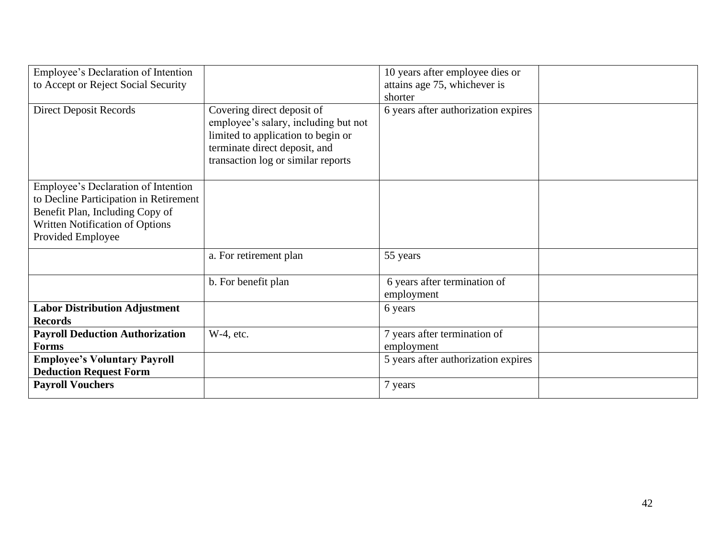| Employee's Declaration of Intention    |                                                                    | 10 years after employee dies or     |  |
|----------------------------------------|--------------------------------------------------------------------|-------------------------------------|--|
| to Accept or Reject Social Security    |                                                                    | attains age 75, whichever is        |  |
|                                        |                                                                    | shorter                             |  |
| <b>Direct Deposit Records</b>          | Covering direct deposit of<br>employee's salary, including but not | 6 years after authorization expires |  |
|                                        | limited to application to begin or                                 |                                     |  |
|                                        | terminate direct deposit, and                                      |                                     |  |
|                                        | transaction log or similar reports                                 |                                     |  |
|                                        |                                                                    |                                     |  |
| Employee's Declaration of Intention    |                                                                    |                                     |  |
| to Decline Participation in Retirement |                                                                    |                                     |  |
| Benefit Plan, Including Copy of        |                                                                    |                                     |  |
| Written Notification of Options        |                                                                    |                                     |  |
| Provided Employee                      |                                                                    |                                     |  |
|                                        | a. For retirement plan                                             | 55 years                            |  |
|                                        |                                                                    |                                     |  |
|                                        | b. For benefit plan                                                | 6 years after termination of        |  |
|                                        |                                                                    | employment                          |  |
| <b>Labor Distribution Adjustment</b>   |                                                                    | 6 years                             |  |
| <b>Records</b>                         |                                                                    |                                     |  |
| <b>Payroll Deduction Authorization</b> | W-4, etc.                                                          | 7 years after termination of        |  |
| <b>Forms</b>                           |                                                                    | employment                          |  |
| <b>Employee's Voluntary Payroll</b>    |                                                                    | 5 years after authorization expires |  |
| <b>Deduction Request Form</b>          |                                                                    |                                     |  |
| <b>Payroll Vouchers</b>                |                                                                    | 7 years                             |  |
|                                        |                                                                    |                                     |  |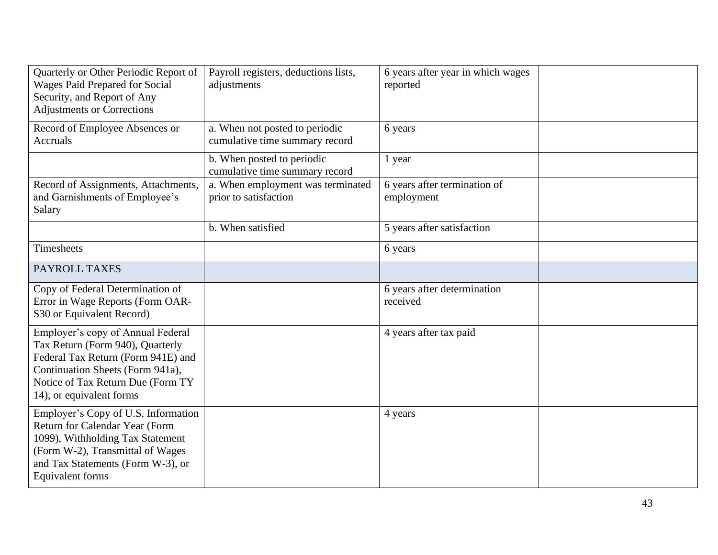| Quarterly or Other Periodic Report of<br>Wages Paid Prepared for Social<br>Security, and Report of Any<br><b>Adjustments or Corrections</b>                                                                      | Payroll registers, deductions lists,<br>adjustments              | 6 years after year in which wages<br>reported |  |
|------------------------------------------------------------------------------------------------------------------------------------------------------------------------------------------------------------------|------------------------------------------------------------------|-----------------------------------------------|--|
| Record of Employee Absences or<br>Accruals                                                                                                                                                                       | a. When not posted to periodic<br>cumulative time summary record | 6 years                                       |  |
|                                                                                                                                                                                                                  | b. When posted to periodic<br>cumulative time summary record     | 1 year                                        |  |
| Record of Assignments, Attachments,<br>and Garnishments of Employee's<br>Salary                                                                                                                                  | a. When employment was terminated<br>prior to satisfaction       | 6 years after termination of<br>employment    |  |
|                                                                                                                                                                                                                  | b. When satisfied                                                | 5 years after satisfaction                    |  |
| <b>Timesheets</b>                                                                                                                                                                                                |                                                                  | 6 years                                       |  |
| PAYROLL TAXES                                                                                                                                                                                                    |                                                                  |                                               |  |
| Copy of Federal Determination of<br>Error in Wage Reports (Form OAR-<br>S30 or Equivalent Record)                                                                                                                |                                                                  | 6 years after determination<br>received       |  |
| Employer's copy of Annual Federal<br>Tax Return (Form 940), Quarterly<br>Federal Tax Return (Form 941E) and<br>Continuation Sheets (Form 941a),<br>Notice of Tax Return Due (Form TY<br>14), or equivalent forms |                                                                  | 4 years after tax paid                        |  |
| Employer's Copy of U.S. Information<br>Return for Calendar Year (Form<br>1099), Withholding Tax Statement<br>(Form W-2), Transmittal of Wages<br>and Tax Statements (Form W-3), or<br>Equivalent forms           |                                                                  | 4 years                                       |  |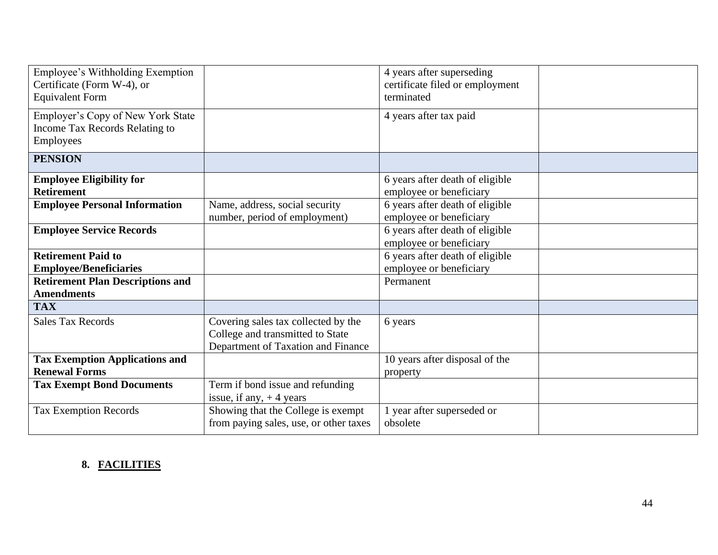| Employee's Withholding Exemption<br>Certificate (Form W-4), or<br><b>Equivalent Form</b> |                                                                                                               | 4 years after superseding<br>certificate filed or employment<br>terminated |  |
|------------------------------------------------------------------------------------------|---------------------------------------------------------------------------------------------------------------|----------------------------------------------------------------------------|--|
| Employer's Copy of New York State<br>Income Tax Records Relating to<br>Employees         |                                                                                                               | 4 years after tax paid                                                     |  |
| <b>PENSION</b>                                                                           |                                                                                                               |                                                                            |  |
| <b>Employee Eligibility for</b><br><b>Retirement</b>                                     |                                                                                                               | 6 years after death of eligible<br>employee or beneficiary                 |  |
| <b>Employee Personal Information</b>                                                     | Name, address, social security<br>number, period of employment)                                               | 6 years after death of eligible<br>employee or beneficiary                 |  |
| <b>Employee Service Records</b>                                                          |                                                                                                               | 6 years after death of eligible<br>employee or beneficiary                 |  |
| <b>Retirement Paid to</b><br><b>Employee/Beneficiaries</b>                               |                                                                                                               | 6 years after death of eligible<br>employee or beneficiary                 |  |
| <b>Retirement Plan Descriptions and</b><br><b>Amendments</b>                             |                                                                                                               | Permanent                                                                  |  |
| <b>TAX</b>                                                                               |                                                                                                               |                                                                            |  |
| <b>Sales Tax Records</b>                                                                 | Covering sales tax collected by the<br>College and transmitted to State<br>Department of Taxation and Finance | 6 years                                                                    |  |
| <b>Tax Exemption Applications and</b><br><b>Renewal Forms</b>                            |                                                                                                               | 10 years after disposal of the<br>property                                 |  |
| <b>Tax Exempt Bond Documents</b>                                                         | Term if bond issue and refunding<br>issue, if any, $+4$ years                                                 |                                                                            |  |
| <b>Tax Exemption Records</b>                                                             | Showing that the College is exempt<br>from paying sales, use, or other taxes                                  | year after superseded or<br>obsolete                                       |  |

## **8. FACILITIES**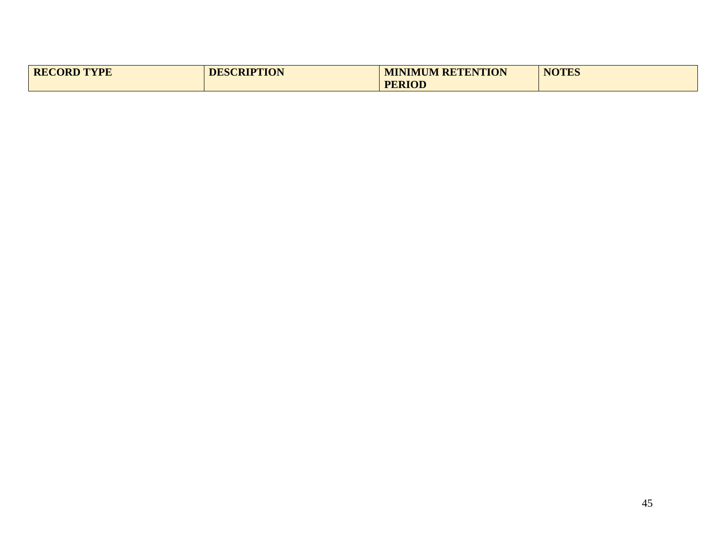| <b>RECORD TYPE</b> | <b>DESCRIPTION</b> | <b>MINIMUM RETENTION</b> | <b>NOTES</b> |
|--------------------|--------------------|--------------------------|--------------|
|                    |                    | <b>PERIOD</b>            |              |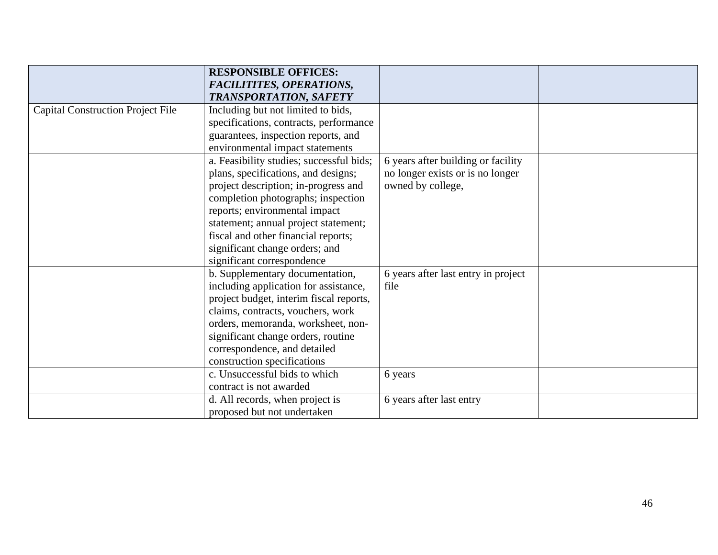|                                          | <b>RESPONSIBLE OFFICES:</b>              |                                     |  |
|------------------------------------------|------------------------------------------|-------------------------------------|--|
|                                          | <b>FACILITITES, OPERATIONS,</b>          |                                     |  |
|                                          | <b>TRANSPORTATION, SAFETY</b>            |                                     |  |
| <b>Capital Construction Project File</b> | Including but not limited to bids,       |                                     |  |
|                                          | specifications, contracts, performance   |                                     |  |
|                                          | guarantees, inspection reports, and      |                                     |  |
|                                          | environmental impact statements          |                                     |  |
|                                          | a. Feasibility studies; successful bids; | 6 years after building or facility  |  |
|                                          | plans, specifications, and designs;      | no longer exists or is no longer    |  |
|                                          | project description; in-progress and     | owned by college,                   |  |
|                                          | completion photographs; inspection       |                                     |  |
|                                          | reports; environmental impact            |                                     |  |
|                                          | statement; annual project statement;     |                                     |  |
|                                          | fiscal and other financial reports;      |                                     |  |
|                                          | significant change orders; and           |                                     |  |
|                                          | significant correspondence               |                                     |  |
|                                          | b. Supplementary documentation,          | 6 years after last entry in project |  |
|                                          | including application for assistance,    | file                                |  |
|                                          | project budget, interim fiscal reports,  |                                     |  |
|                                          | claims, contracts, vouchers, work        |                                     |  |
|                                          | orders, memoranda, worksheet, non-       |                                     |  |
|                                          | significant change orders, routine       |                                     |  |
|                                          | correspondence, and detailed             |                                     |  |
|                                          | construction specifications              |                                     |  |
|                                          | c. Unsuccessful bids to which            | 6 years                             |  |
|                                          | contract is not awarded                  |                                     |  |
|                                          | d. All records, when project is          | 6 years after last entry            |  |
|                                          | proposed but not undertaken              |                                     |  |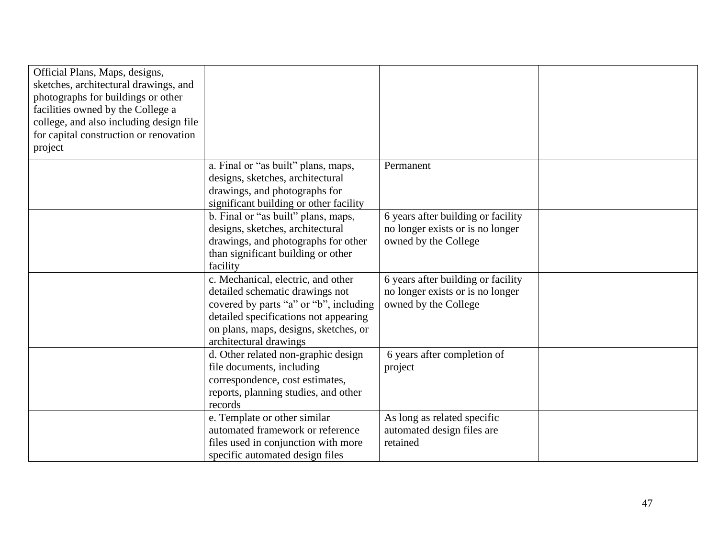| Official Plans, Maps, designs,<br>sketches, architectural drawings, and<br>photographs for buildings or other<br>facilities owned by the College a<br>college, and also including design file<br>for capital construction or renovation<br>project |                                                                                                                                                                                                                             |                                                                                                |  |
|----------------------------------------------------------------------------------------------------------------------------------------------------------------------------------------------------------------------------------------------------|-----------------------------------------------------------------------------------------------------------------------------------------------------------------------------------------------------------------------------|------------------------------------------------------------------------------------------------|--|
|                                                                                                                                                                                                                                                    | a. Final or "as built" plans, maps,<br>designs, sketches, architectural<br>drawings, and photographs for<br>significant building or other facility                                                                          | Permanent                                                                                      |  |
|                                                                                                                                                                                                                                                    | b. Final or "as built" plans, maps,<br>designs, sketches, architectural<br>drawings, and photographs for other<br>than significant building or other<br>facility                                                            | 6 years after building or facility<br>no longer exists or is no longer<br>owned by the College |  |
|                                                                                                                                                                                                                                                    | c. Mechanical, electric, and other<br>detailed schematic drawings not<br>covered by parts "a" or "b", including<br>detailed specifications not appearing<br>on plans, maps, designs, sketches, or<br>architectural drawings | 6 years after building or facility<br>no longer exists or is no longer<br>owned by the College |  |
|                                                                                                                                                                                                                                                    | d. Other related non-graphic design<br>file documents, including<br>correspondence, cost estimates,<br>reports, planning studies, and other<br>records                                                                      | 6 years after completion of<br>project                                                         |  |
|                                                                                                                                                                                                                                                    | e. Template or other similar<br>automated framework or reference<br>files used in conjunction with more<br>specific automated design files                                                                                  | As long as related specific<br>automated design files are<br>retained                          |  |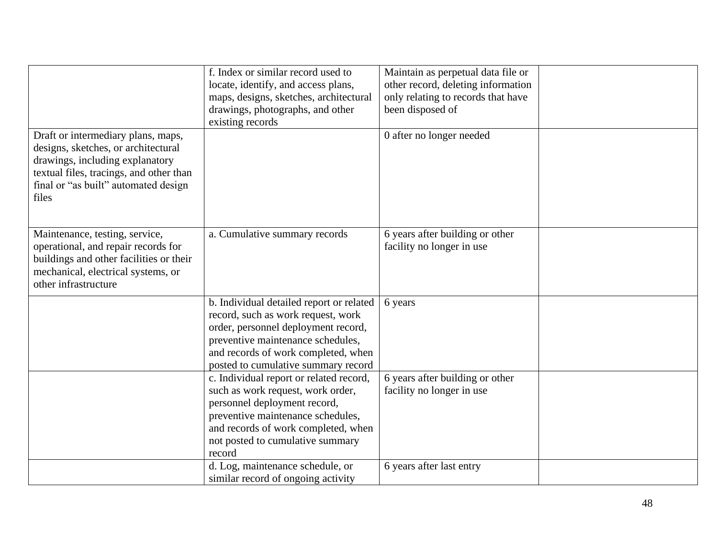|                                                                                                                                                                                                          | f. Index or similar record used to<br>locate, identify, and access plans,<br>maps, designs, sketches, architectural<br>drawings, photographs, and other<br>existing records                                                              | Maintain as perpetual data file or<br>other record, deleting information<br>only relating to records that have<br>been disposed of |  |
|----------------------------------------------------------------------------------------------------------------------------------------------------------------------------------------------------------|------------------------------------------------------------------------------------------------------------------------------------------------------------------------------------------------------------------------------------------|------------------------------------------------------------------------------------------------------------------------------------|--|
| Draft or intermediary plans, maps,<br>designs, sketches, or architectural<br>drawings, including explanatory<br>textual files, tracings, and other than<br>final or "as built" automated design<br>files |                                                                                                                                                                                                                                          | 0 after no longer needed                                                                                                           |  |
| Maintenance, testing, service,<br>operational, and repair records for<br>buildings and other facilities or their<br>mechanical, electrical systems, or<br>other infrastructure                           | a. Cumulative summary records                                                                                                                                                                                                            | 6 years after building or other<br>facility no longer in use                                                                       |  |
|                                                                                                                                                                                                          | b. Individual detailed report or related<br>record, such as work request, work<br>order, personnel deployment record,<br>preventive maintenance schedules,<br>and records of work completed, when<br>posted to cumulative summary record | 6 years                                                                                                                            |  |
|                                                                                                                                                                                                          | c. Individual report or related record,<br>such as work request, work order,<br>personnel deployment record,<br>preventive maintenance schedules,<br>and records of work completed, when<br>not posted to cumulative summary<br>record   | 6 years after building or other<br>facility no longer in use                                                                       |  |
|                                                                                                                                                                                                          | d. Log, maintenance schedule, or<br>similar record of ongoing activity                                                                                                                                                                   | 6 years after last entry                                                                                                           |  |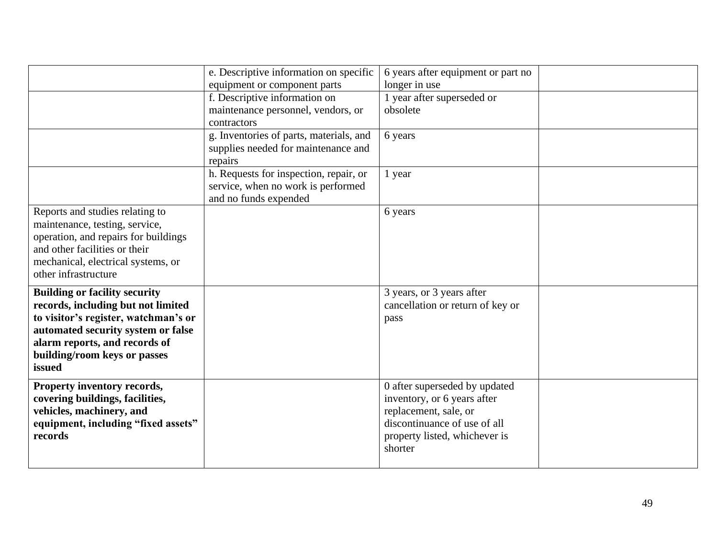|                                      | e. Descriptive information on specific  | 6 years after equipment or part no |  |
|--------------------------------------|-----------------------------------------|------------------------------------|--|
|                                      | equipment or component parts            | longer in use                      |  |
|                                      | f. Descriptive information on           | year after superseded or           |  |
|                                      | maintenance personnel, vendors, or      | obsolete                           |  |
|                                      | contractors                             |                                    |  |
|                                      | g. Inventories of parts, materials, and | 6 years                            |  |
|                                      | supplies needed for maintenance and     |                                    |  |
|                                      | repairs                                 |                                    |  |
|                                      | h. Requests for inspection, repair, or  | l year                             |  |
|                                      | service, when no work is performed      |                                    |  |
|                                      | and no funds expended                   |                                    |  |
| Reports and studies relating to      |                                         | 6 years                            |  |
| maintenance, testing, service,       |                                         |                                    |  |
| operation, and repairs for buildings |                                         |                                    |  |
| and other facilities or their        |                                         |                                    |  |
| mechanical, electrical systems, or   |                                         |                                    |  |
| other infrastructure                 |                                         |                                    |  |
| <b>Building or facility security</b> |                                         | 3 years, or 3 years after          |  |
| records, including but not limited   |                                         | cancellation or return of key or   |  |
| to visitor's register, watchman's or |                                         | pass                               |  |
| automated security system or false   |                                         |                                    |  |
| alarm reports, and records of        |                                         |                                    |  |
| building/room keys or passes         |                                         |                                    |  |
| issued                               |                                         |                                    |  |
| Property inventory records,          |                                         | 0 after superseded by updated      |  |
| covering buildings, facilities,      |                                         | inventory, or 6 years after        |  |
| vehicles, machinery, and             |                                         | replacement, sale, or              |  |
| equipment, including "fixed assets"  |                                         | discontinuance of use of all       |  |
| records                              |                                         | property listed, whichever is      |  |
|                                      |                                         | shorter                            |  |
|                                      |                                         |                                    |  |
|                                      |                                         |                                    |  |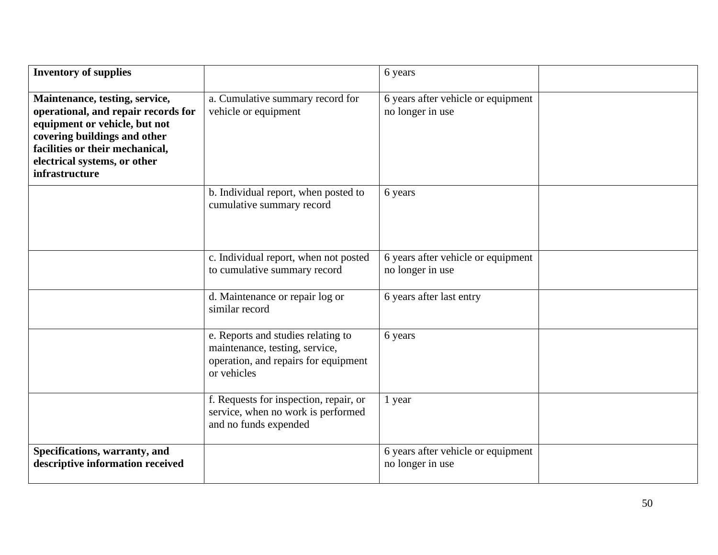| <b>Inventory of supplies</b>                                                                                                                                                                                                       |                                                                                                                             | 6 years                                                |  |
|------------------------------------------------------------------------------------------------------------------------------------------------------------------------------------------------------------------------------------|-----------------------------------------------------------------------------------------------------------------------------|--------------------------------------------------------|--|
| Maintenance, testing, service,<br>operational, and repair records for<br>equipment or vehicle, but not<br>covering buildings and other<br>facilities or their mechanical,<br>electrical systems, or other<br><i>infrastructure</i> | a. Cumulative summary record for<br>vehicle or equipment                                                                    | 6 years after vehicle or equipment<br>no longer in use |  |
|                                                                                                                                                                                                                                    | b. Individual report, when posted to<br>cumulative summary record                                                           | 6 years                                                |  |
|                                                                                                                                                                                                                                    | c. Individual report, when not posted<br>to cumulative summary record                                                       | 6 years after vehicle or equipment<br>no longer in use |  |
|                                                                                                                                                                                                                                    | d. Maintenance or repair log or<br>similar record                                                                           | 6 years after last entry                               |  |
|                                                                                                                                                                                                                                    | e. Reports and studies relating to<br>maintenance, testing, service,<br>operation, and repairs for equipment<br>or vehicles | 6 years                                                |  |
|                                                                                                                                                                                                                                    | f. Requests for inspection, repair, or<br>service, when no work is performed<br>and no funds expended                       | 1 year                                                 |  |
| Specifications, warranty, and<br>descriptive information received                                                                                                                                                                  |                                                                                                                             | 6 years after vehicle or equipment<br>no longer in use |  |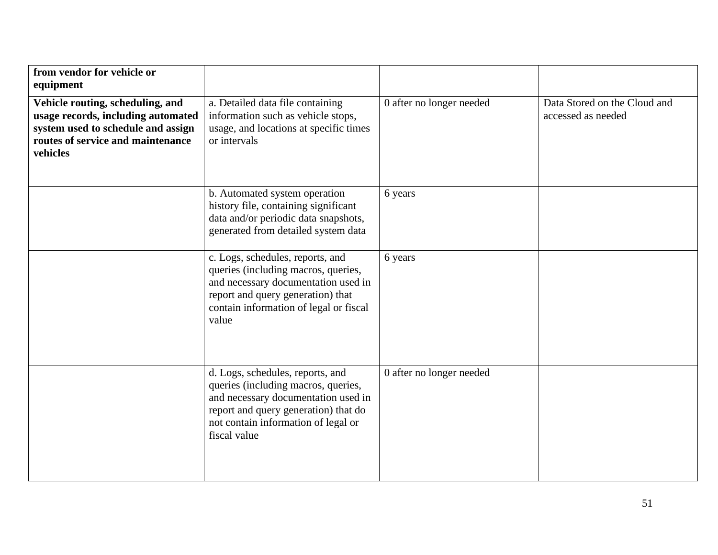| from vendor for vehicle or<br>equipment                                                                                                                       |                                                                                                                                                                                                               |                          |                                                    |
|---------------------------------------------------------------------------------------------------------------------------------------------------------------|---------------------------------------------------------------------------------------------------------------------------------------------------------------------------------------------------------------|--------------------------|----------------------------------------------------|
| Vehicle routing, scheduling, and<br>usage records, including automated<br>system used to schedule and assign<br>routes of service and maintenance<br>vehicles | a. Detailed data file containing<br>information such as vehicle stops,<br>usage, and locations at specific times<br>or intervals                                                                              | 0 after no longer needed | Data Stored on the Cloud and<br>accessed as needed |
|                                                                                                                                                               | b. Automated system operation<br>history file, containing significant<br>data and/or periodic data snapshots,<br>generated from detailed system data                                                          | 6 years                  |                                                    |
|                                                                                                                                                               | c. Logs, schedules, reports, and<br>queries (including macros, queries,<br>and necessary documentation used in<br>report and query generation) that<br>contain information of legal or fiscal<br>value        | 6 years                  |                                                    |
|                                                                                                                                                               | d. Logs, schedules, reports, and<br>queries (including macros, queries,<br>and necessary documentation used in<br>report and query generation) that do<br>not contain information of legal or<br>fiscal value | 0 after no longer needed |                                                    |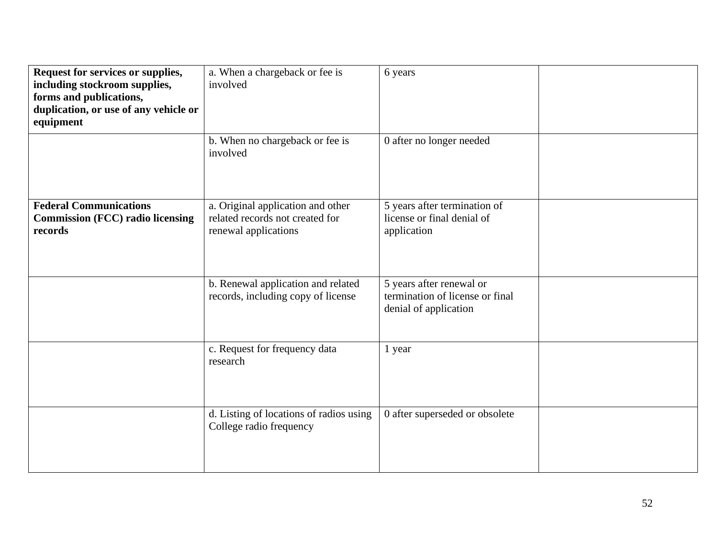| Request for services or supplies,<br>including stockroom supplies,<br>forms and publications,<br>duplication, or use of any vehicle or<br>equipment | a. When a chargeback or fee is<br>involved<br>b. When no chargeback or fee is<br>involved    | 6 years<br>0 after no longer needed                                                  |  |
|-----------------------------------------------------------------------------------------------------------------------------------------------------|----------------------------------------------------------------------------------------------|--------------------------------------------------------------------------------------|--|
| <b>Federal Communications</b><br><b>Commission (FCC) radio licensing</b><br>records                                                                 | a. Original application and other<br>related records not created for<br>renewal applications | 5 years after termination of<br>license or final denial of<br>application            |  |
|                                                                                                                                                     | b. Renewal application and related<br>records, including copy of license                     | 5 years after renewal or<br>termination of license or final<br>denial of application |  |
|                                                                                                                                                     | c. Request for frequency data<br>research                                                    | 1 year                                                                               |  |
|                                                                                                                                                     | d. Listing of locations of radios using<br>College radio frequency                           | 0 after superseded or obsolete                                                       |  |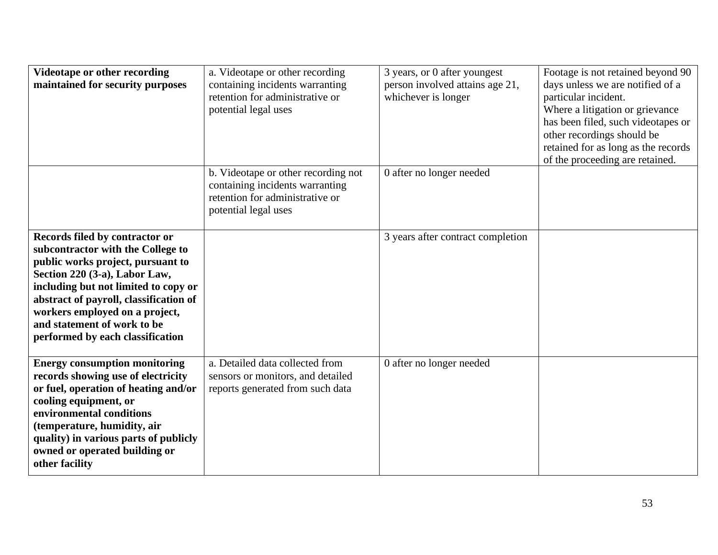| Videotape or other recording<br>maintained for security purposes                                                                                                                                                                                                                                                                 | a. Videotape or other recording<br>containing incidents warranting<br>retention for administrative or<br>potential legal uses     | 3 years, or 0 after youngest<br>person involved attains age 21,<br>whichever is longer | Footage is not retained beyond 90<br>days unless we are notified of a<br>particular incident.<br>Where a litigation or grievance<br>has been filed, such videotapes or<br>other recordings should be<br>retained for as long as the records<br>of the proceeding are retained. |
|----------------------------------------------------------------------------------------------------------------------------------------------------------------------------------------------------------------------------------------------------------------------------------------------------------------------------------|-----------------------------------------------------------------------------------------------------------------------------------|----------------------------------------------------------------------------------------|--------------------------------------------------------------------------------------------------------------------------------------------------------------------------------------------------------------------------------------------------------------------------------|
|                                                                                                                                                                                                                                                                                                                                  | b. Videotape or other recording not<br>containing incidents warranting<br>retention for administrative or<br>potential legal uses | 0 after no longer needed                                                               |                                                                                                                                                                                                                                                                                |
| Records filed by contractor or<br>subcontractor with the College to<br>public works project, pursuant to<br>Section 220 (3-a), Labor Law,<br>including but not limited to copy or<br>abstract of payroll, classification of<br>workers employed on a project,<br>and statement of work to be<br>performed by each classification |                                                                                                                                   | 3 years after contract completion                                                      |                                                                                                                                                                                                                                                                                |
| <b>Energy consumption monitoring</b><br>records showing use of electricity<br>or fuel, operation of heating and/or<br>cooling equipment, or<br>environmental conditions<br>(temperature, humidity, air<br>quality) in various parts of publicly<br>owned or operated building or<br>other facility                               | a. Detailed data collected from<br>sensors or monitors, and detailed<br>reports generated from such data                          | 0 after no longer needed                                                               |                                                                                                                                                                                                                                                                                |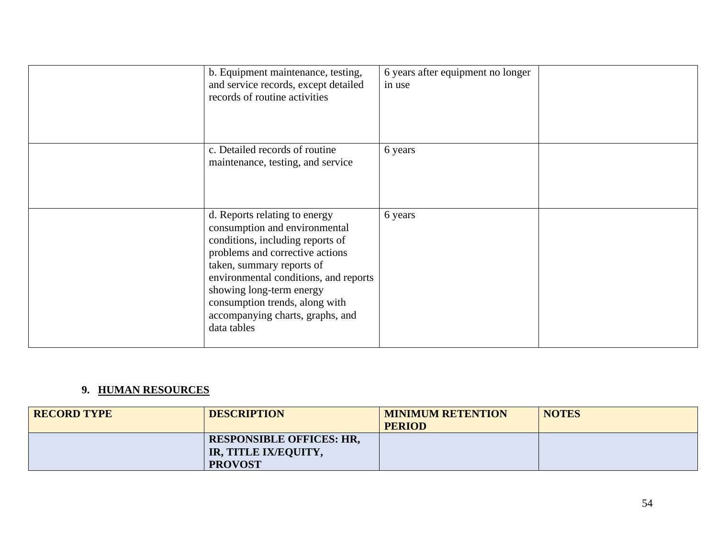| b. Equipment maintenance, testing,<br>and service records, except detailed<br>records of routine activities                                                                                                                                                                                                                  | 6 years after equipment no longer<br>in use |  |
|------------------------------------------------------------------------------------------------------------------------------------------------------------------------------------------------------------------------------------------------------------------------------------------------------------------------------|---------------------------------------------|--|
| c. Detailed records of routine<br>maintenance, testing, and service                                                                                                                                                                                                                                                          | 6 years                                     |  |
| d. Reports relating to energy<br>consumption and environmental<br>conditions, including reports of<br>problems and corrective actions<br>taken, summary reports of<br>environmental conditions, and reports<br>showing long-term energy<br>consumption trends, along with<br>accompanying charts, graphs, and<br>data tables | 6 years                                     |  |

## **9. HUMAN RESOURCES**

| <b>RECORD TYPE</b> | <b>DESCRIPTION</b>                                                        | <b>MINIMUM RETENTION</b><br><b>PERIOD</b> | <b>NOTES</b> |
|--------------------|---------------------------------------------------------------------------|-------------------------------------------|--------------|
|                    | <b>RESPONSIBLE OFFICES: HR.</b><br>IR, TITLE IX/EQUITY,<br><b>PROVOST</b> |                                           |              |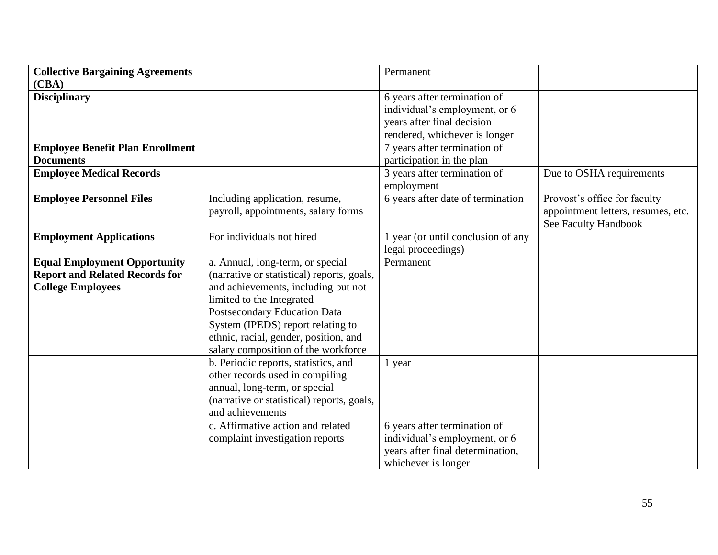| <b>Collective Bargaining Agreements</b> |                                            | Permanent                          |                                    |
|-----------------------------------------|--------------------------------------------|------------------------------------|------------------------------------|
| (CBA)                                   |                                            |                                    |                                    |
| <b>Disciplinary</b>                     |                                            | 6 years after termination of       |                                    |
|                                         |                                            | individual's employment, or 6      |                                    |
|                                         |                                            | years after final decision         |                                    |
|                                         |                                            | rendered, whichever is longer      |                                    |
| <b>Employee Benefit Plan Enrollment</b> |                                            | 7 years after termination of       |                                    |
| <b>Documents</b>                        |                                            | participation in the plan          |                                    |
| <b>Employee Medical Records</b>         |                                            | 3 years after termination of       | Due to OSHA requirements           |
|                                         |                                            | employment                         |                                    |
| <b>Employee Personnel Files</b>         | Including application, resume,             | 6 years after date of termination  | Provost's office for faculty       |
|                                         | payroll, appointments, salary forms        |                                    | appointment letters, resumes, etc. |
|                                         |                                            |                                    | See Faculty Handbook               |
| <b>Employment Applications</b>          | For individuals not hired                  | 1 year (or until conclusion of any |                                    |
|                                         |                                            | legal proceedings)                 |                                    |
| <b>Equal Employment Opportunity</b>     | a. Annual, long-term, or special           | Permanent                          |                                    |
| <b>Report and Related Records for</b>   | (narrative or statistical) reports, goals, |                                    |                                    |
| <b>College Employees</b>                | and achievements, including but not        |                                    |                                    |
|                                         | limited to the Integrated                  |                                    |                                    |
|                                         | Postsecondary Education Data               |                                    |                                    |
|                                         | System (IPEDS) report relating to          |                                    |                                    |
|                                         | ethnic, racial, gender, position, and      |                                    |                                    |
|                                         | salary composition of the workforce        |                                    |                                    |
|                                         | b. Periodic reports, statistics, and       | 1 year                             |                                    |
|                                         | other records used in compiling            |                                    |                                    |
|                                         | annual, long-term, or special              |                                    |                                    |
|                                         | (narrative or statistical) reports, goals, |                                    |                                    |
|                                         | and achievements                           |                                    |                                    |
|                                         | c. Affirmative action and related          | 6 years after termination of       |                                    |
|                                         | complaint investigation reports            | individual's employment, or 6      |                                    |
|                                         |                                            | years after final determination,   |                                    |
|                                         |                                            | whichever is longer                |                                    |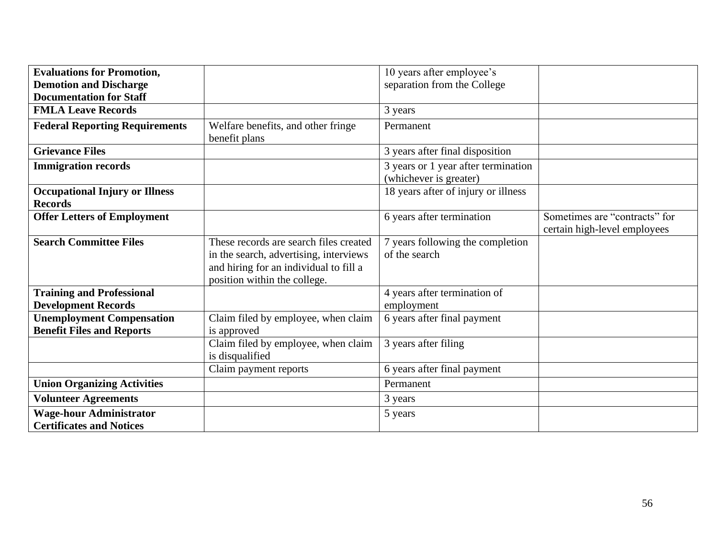| <b>Evaluations for Promotion,</b>                                    |                                                                                                                                                            | 10 years after employee's                                     |                                                               |
|----------------------------------------------------------------------|------------------------------------------------------------------------------------------------------------------------------------------------------------|---------------------------------------------------------------|---------------------------------------------------------------|
| <b>Demotion and Discharge</b>                                        |                                                                                                                                                            | separation from the College                                   |                                                               |
| <b>Documentation for Staff</b>                                       |                                                                                                                                                            |                                                               |                                                               |
| <b>FMLA Leave Records</b>                                            |                                                                                                                                                            | 3 years                                                       |                                                               |
| <b>Federal Reporting Requirements</b>                                | Welfare benefits, and other fringe<br>benefit plans                                                                                                        | Permanent                                                     |                                                               |
| <b>Grievance Files</b>                                               |                                                                                                                                                            | 3 years after final disposition                               |                                                               |
| <b>Immigration records</b>                                           |                                                                                                                                                            | 3 years or 1 year after termination<br>(whichever is greater) |                                                               |
| <b>Occupational Injury or Illness</b><br><b>Records</b>              |                                                                                                                                                            | 18 years after of injury or illness                           |                                                               |
| <b>Offer Letters of Employment</b>                                   |                                                                                                                                                            | 6 years after termination                                     | Sometimes are "contracts" for<br>certain high-level employees |
| <b>Search Committee Files</b>                                        | These records are search files created<br>in the search, advertising, interviews<br>and hiring for an individual to fill a<br>position within the college. | 7 years following the completion<br>of the search             |                                                               |
| <b>Training and Professional</b><br><b>Development Records</b>       |                                                                                                                                                            | 4 years after termination of<br>employment                    |                                                               |
| <b>Unemployment Compensation</b><br><b>Benefit Files and Reports</b> | Claim filed by employee, when claim<br>is approved                                                                                                         | 6 years after final payment                                   |                                                               |
|                                                                      | Claim filed by employee, when claim<br>is disqualified                                                                                                     | 3 years after filing                                          |                                                               |
|                                                                      | Claim payment reports                                                                                                                                      | 6 years after final payment                                   |                                                               |
| <b>Union Organizing Activities</b>                                   |                                                                                                                                                            | Permanent                                                     |                                                               |
| <b>Volunteer Agreements</b>                                          |                                                                                                                                                            | 3 years                                                       |                                                               |
| <b>Wage-hour Administrator</b><br><b>Certificates and Notices</b>    |                                                                                                                                                            | 5 years                                                       |                                                               |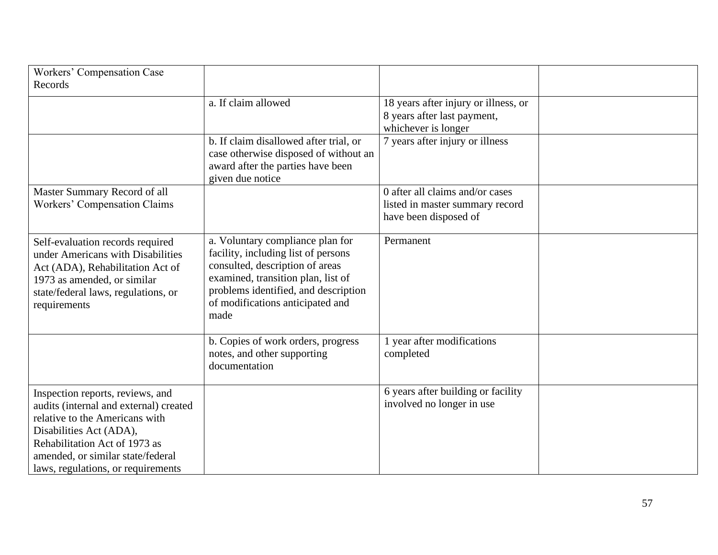| Workers' Compensation Case<br>Records                                                                                                                                                                                                               |                                                                                                                                                                                                                                      |                                                                                             |  |
|-----------------------------------------------------------------------------------------------------------------------------------------------------------------------------------------------------------------------------------------------------|--------------------------------------------------------------------------------------------------------------------------------------------------------------------------------------------------------------------------------------|---------------------------------------------------------------------------------------------|--|
|                                                                                                                                                                                                                                                     | a. If claim allowed                                                                                                                                                                                                                  | 18 years after injury or illness, or<br>8 years after last payment,<br>whichever is longer  |  |
|                                                                                                                                                                                                                                                     | b. If claim disallowed after trial, or<br>case otherwise disposed of without an<br>award after the parties have been<br>given due notice                                                                                             | 7 years after injury or illness                                                             |  |
| Master Summary Record of all<br>Workers' Compensation Claims                                                                                                                                                                                        |                                                                                                                                                                                                                                      | 0 after all claims and/or cases<br>listed in master summary record<br>have been disposed of |  |
| Self-evaluation records required<br>under Americans with Disabilities<br>Act (ADA), Rehabilitation Act of<br>1973 as amended, or similar<br>state/federal laws, regulations, or<br>requirements                                                     | a. Voluntary compliance plan for<br>facility, including list of persons<br>consulted, description of areas<br>examined, transition plan, list of<br>problems identified, and description<br>of modifications anticipated and<br>made | Permanent                                                                                   |  |
|                                                                                                                                                                                                                                                     | b. Copies of work orders, progress<br>notes, and other supporting<br>documentation                                                                                                                                                   | 1 year after modifications<br>completed                                                     |  |
| Inspection reports, reviews, and<br>audits (internal and external) created<br>relative to the Americans with<br>Disabilities Act (ADA),<br>Rehabilitation Act of 1973 as<br>amended, or similar state/federal<br>laws, regulations, or requirements |                                                                                                                                                                                                                                      | 6 years after building or facility<br>involved no longer in use                             |  |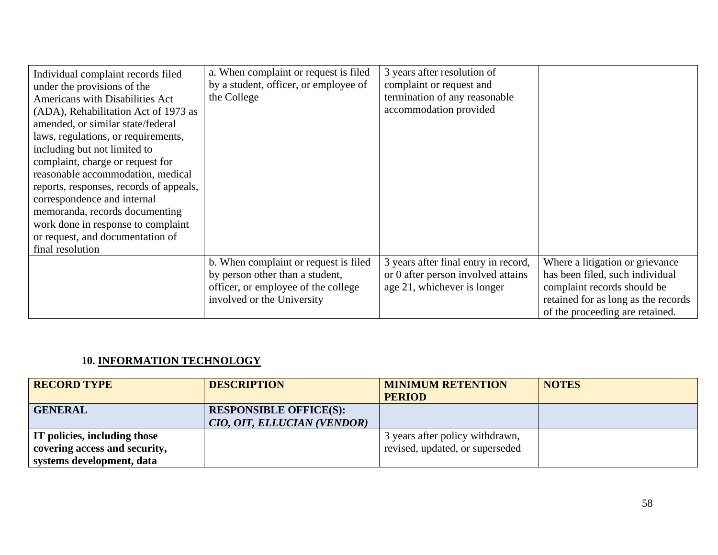| Individual complaint records filed<br>under the provisions of the<br><b>Americans with Disabilities Act</b><br>(ADA), Rehabilitation Act of 1973 as<br>amended, or similar state/federal<br>laws, regulations, or requirements,<br>including but not limited to<br>complaint, charge or request for<br>reasonable accommodation, medical<br>reports, responses, records of appeals,<br>correspondence and internal<br>memoranda, records documenting<br>work done in response to complaint | a. When complaint or request is filed<br>by a student, officer, or employee of<br>the College                                                 | 3 years after resolution of<br>complaint or request and<br>termination of any reasonable<br>accommodation provided |                                                                                                                                                                             |
|--------------------------------------------------------------------------------------------------------------------------------------------------------------------------------------------------------------------------------------------------------------------------------------------------------------------------------------------------------------------------------------------------------------------------------------------------------------------------------------------|-----------------------------------------------------------------------------------------------------------------------------------------------|--------------------------------------------------------------------------------------------------------------------|-----------------------------------------------------------------------------------------------------------------------------------------------------------------------------|
| or request, and documentation of                                                                                                                                                                                                                                                                                                                                                                                                                                                           |                                                                                                                                               |                                                                                                                    |                                                                                                                                                                             |
| final resolution                                                                                                                                                                                                                                                                                                                                                                                                                                                                           |                                                                                                                                               |                                                                                                                    |                                                                                                                                                                             |
|                                                                                                                                                                                                                                                                                                                                                                                                                                                                                            | b. When complaint or request is filed<br>by person other than a student,<br>officer, or employee of the college<br>involved or the University | 3 years after final entry in record,<br>or 0 after person involved attains<br>age 21, whichever is longer          | Where a litigation or grievance<br>has been filed, such individual<br>complaint records should be<br>retained for as long as the records<br>of the proceeding are retained. |

## **10. INFORMATION TECHNOLOGY**

| <b>RECORD TYPE</b>                  | <b>DESCRIPTION</b>            | <b>MINIMUM RETENTION</b>        | <b>NOTES</b> |
|-------------------------------------|-------------------------------|---------------------------------|--------------|
|                                     |                               | <b>PERIOD</b>                   |              |
| <b>GENERAL</b>                      | <b>RESPONSIBLE OFFICE(S):</b> |                                 |              |
|                                     | CIO, OIT, ELLUCIAN (VENDOR)   |                                 |              |
| <b>IT policies, including those</b> |                               | 3 years after policy withdrawn, |              |
| covering access and security,       |                               | revised, updated, or superseded |              |
| systems development, data           |                               |                                 |              |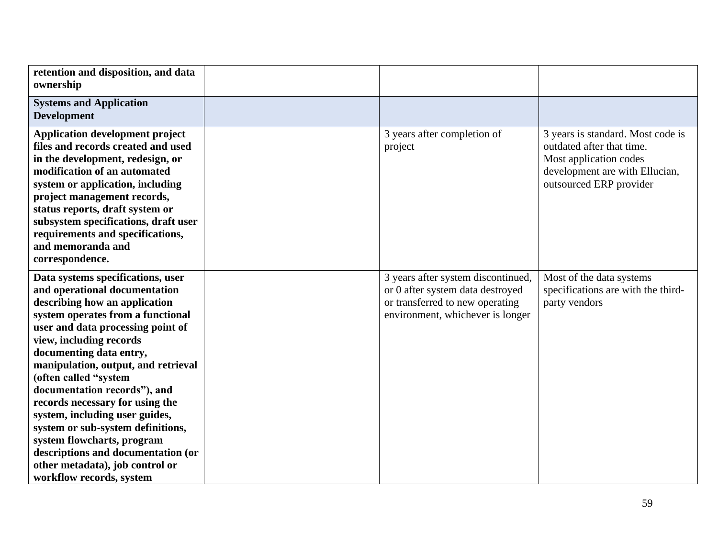| retention and disposition, and data<br>ownership                                                                                                                                                                                                                                                                                                                                                                                                                                                                                                                                 |                                                                                                                                               |                                                                                                                                                       |
|----------------------------------------------------------------------------------------------------------------------------------------------------------------------------------------------------------------------------------------------------------------------------------------------------------------------------------------------------------------------------------------------------------------------------------------------------------------------------------------------------------------------------------------------------------------------------------|-----------------------------------------------------------------------------------------------------------------------------------------------|-------------------------------------------------------------------------------------------------------------------------------------------------------|
| <b>Systems and Application</b><br><b>Development</b>                                                                                                                                                                                                                                                                                                                                                                                                                                                                                                                             |                                                                                                                                               |                                                                                                                                                       |
| <b>Application development project</b><br>files and records created and used<br>in the development, redesign, or<br>modification of an automated<br>system or application, including<br>project management records,<br>status reports, draft system or<br>subsystem specifications, draft user<br>requirements and specifications,<br>and memoranda and<br>correspondence.                                                                                                                                                                                                       | 3 years after completion of<br>project                                                                                                        | 3 years is standard. Most code is<br>outdated after that time.<br>Most application codes<br>development are with Ellucian,<br>outsourced ERP provider |
| Data systems specifications, user<br>and operational documentation<br>describing how an application<br>system operates from a functional<br>user and data processing point of<br>view, including records<br>documenting data entry,<br>manipulation, output, and retrieval<br>(often called "system<br>documentation records"), and<br>records necessary for using the<br>system, including user guides,<br>system or sub-system definitions,<br>system flowcharts, program<br>descriptions and documentation (or<br>other metadata), job control or<br>workflow records, system | 3 years after system discontinued,<br>or 0 after system data destroyed<br>or transferred to new operating<br>environment, whichever is longer | Most of the data systems<br>specifications are with the third-<br>party vendors                                                                       |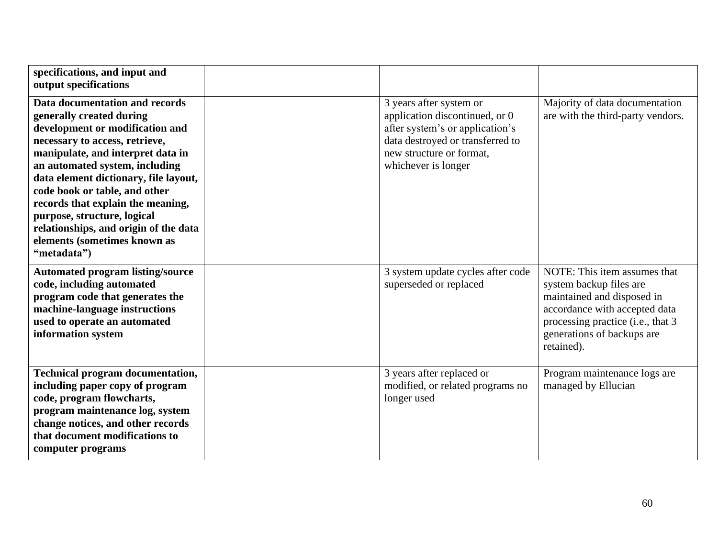| specifications, and input and<br>output specifications                                                                                                                                                                                                                                                                                                                                                                                       |                                                                                                                                                                                     |                                                                                                                                                                                                         |
|----------------------------------------------------------------------------------------------------------------------------------------------------------------------------------------------------------------------------------------------------------------------------------------------------------------------------------------------------------------------------------------------------------------------------------------------|-------------------------------------------------------------------------------------------------------------------------------------------------------------------------------------|---------------------------------------------------------------------------------------------------------------------------------------------------------------------------------------------------------|
| Data documentation and records<br>generally created during<br>development or modification and<br>necessary to access, retrieve,<br>manipulate, and interpret data in<br>an automated system, including<br>data element dictionary, file layout,<br>code book or table, and other<br>records that explain the meaning,<br>purpose, structure, logical<br>relationships, and origin of the data<br>elements (sometimes known as<br>"metadata") | 3 years after system or<br>application discontinued, or 0<br>after system's or application's<br>data destroyed or transferred to<br>new structure or format.<br>whichever is longer | Majority of data documentation<br>are with the third-party vendors.                                                                                                                                     |
| <b>Automated program listing/source</b><br>code, including automated<br>program code that generates the<br>machine-language instructions<br>used to operate an automated<br>information system                                                                                                                                                                                                                                               | 3 system update cycles after code<br>superseded or replaced                                                                                                                         | NOTE: This item assumes that<br>system backup files are<br>maintained and disposed in<br>accordance with accepted data<br>processing practice (i.e., that 3<br>generations of backups are<br>retained). |
| <b>Technical program documentation,</b><br>including paper copy of program<br>code, program flowcharts,<br>program maintenance log, system<br>change notices, and other records<br>that document modifications to<br>computer programs                                                                                                                                                                                                       | 3 years after replaced or<br>modified, or related programs no<br>longer used                                                                                                        | Program maintenance logs are<br>managed by Ellucian                                                                                                                                                     |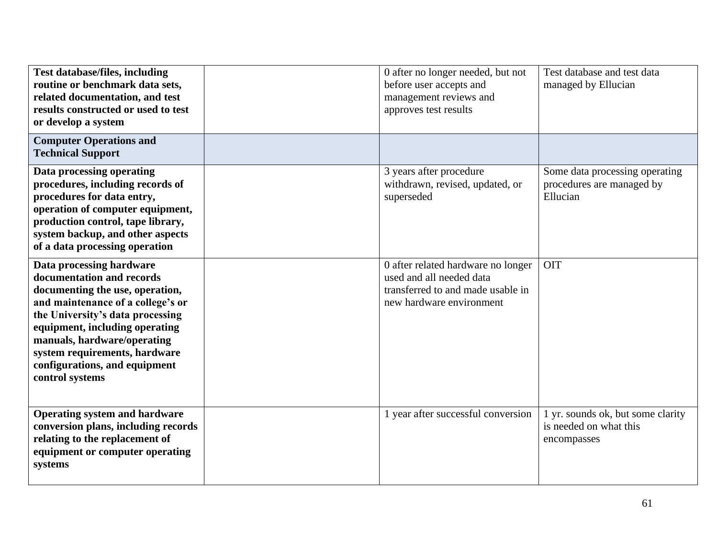| <b>Test database/files, including</b><br>routine or benchmark data sets,<br>related documentation, and test<br>results constructed or used to test<br>or develop a system                                                                                                                                               | 0 after no longer needed, but not<br>before user accepts and<br>management reviews and<br>approves test results                 | Test database and test data<br>managed by Ellucian                         |
|-------------------------------------------------------------------------------------------------------------------------------------------------------------------------------------------------------------------------------------------------------------------------------------------------------------------------|---------------------------------------------------------------------------------------------------------------------------------|----------------------------------------------------------------------------|
| <b>Computer Operations and</b><br><b>Technical Support</b>                                                                                                                                                                                                                                                              |                                                                                                                                 |                                                                            |
| Data processing operating<br>procedures, including records of<br>procedures for data entry,<br>operation of computer equipment,<br>production control, tape library,<br>system backup, and other aspects<br>of a data processing operation                                                                              | 3 years after procedure<br>withdrawn, revised, updated, or<br>superseded                                                        | Some data processing operating<br>procedures are managed by<br>Ellucian    |
| Data processing hardware<br>documentation and records<br>documenting the use, operation,<br>and maintenance of a college's or<br>the University's data processing<br>equipment, including operating<br>manuals, hardware/operating<br>system requirements, hardware<br>configurations, and equipment<br>control systems | 0 after related hardware no longer<br>used and all needed data<br>transferred to and made usable in<br>new hardware environment | <b>OIT</b>                                                                 |
| <b>Operating system and hardware</b><br>conversion plans, including records<br>relating to the replacement of<br>equipment or computer operating<br>systems                                                                                                                                                             | 1 year after successful conversion                                                                                              | 1 yr. sounds ok, but some clarity<br>is needed on what this<br>encompasses |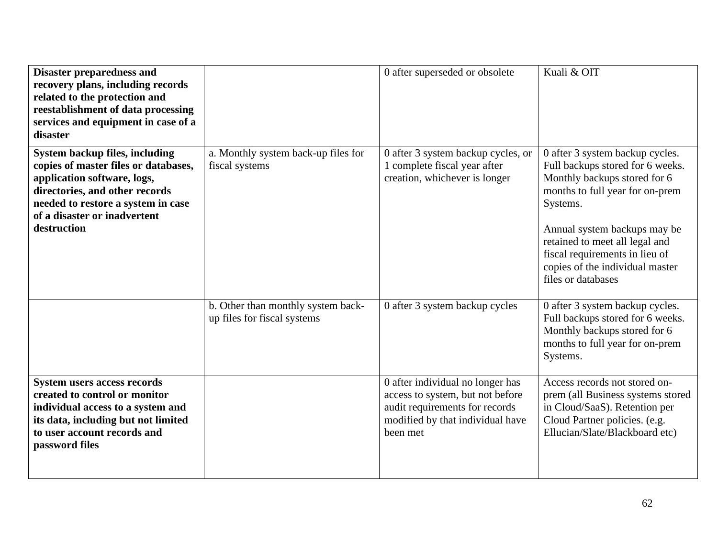| <b>Disaster preparedness and</b><br>recovery plans, including records<br>related to the protection and<br>reestablishment of data processing<br>services and equipment in case of a<br>disaster                              |                                                                   | 0 after superseded or obsolete                                                                                                                         | Kuali & OIT                                                                                                                                                                                                                                                                                                     |
|------------------------------------------------------------------------------------------------------------------------------------------------------------------------------------------------------------------------------|-------------------------------------------------------------------|--------------------------------------------------------------------------------------------------------------------------------------------------------|-----------------------------------------------------------------------------------------------------------------------------------------------------------------------------------------------------------------------------------------------------------------------------------------------------------------|
| System backup files, including<br>copies of master files or databases,<br>application software, logs,<br>directories, and other records<br>needed to restore a system in case<br>of a disaster or inadvertent<br>destruction | a. Monthly system back-up files for<br>fiscal systems             | 0 after 3 system backup cycles, or<br>1 complete fiscal year after<br>creation, whichever is longer                                                    | 0 after 3 system backup cycles.<br>Full backups stored for 6 weeks.<br>Monthly backups stored for 6<br>months to full year for on-prem<br>Systems.<br>Annual system backups may be<br>retained to meet all legal and<br>fiscal requirements in lieu of<br>copies of the individual master<br>files or databases |
|                                                                                                                                                                                                                              | b. Other than monthly system back-<br>up files for fiscal systems | 0 after 3 system backup cycles                                                                                                                         | 0 after 3 system backup cycles.<br>Full backups stored for 6 weeks.<br>Monthly backups stored for 6<br>months to full year for on-prem<br>Systems.                                                                                                                                                              |
| <b>System users access records</b><br>created to control or monitor<br>individual access to a system and<br>its data, including but not limited<br>to user account records and<br>password files                             |                                                                   | 0 after individual no longer has<br>access to system, but not before<br>audit requirements for records<br>modified by that individual have<br>been met | Access records not stored on-<br>prem (all Business systems stored<br>in Cloud/SaaS). Retention per<br>Cloud Partner policies. (e.g.<br>Ellucian/Slate/Blackboard etc)                                                                                                                                          |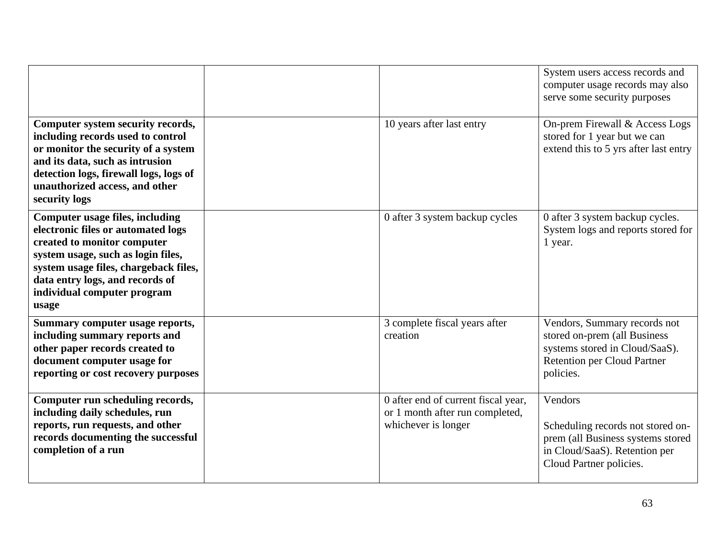|                                                                                                                                                                                                                                                                       |                                                                                               | System users access records and<br>computer usage records may also<br>serve some security purposes                                                |
|-----------------------------------------------------------------------------------------------------------------------------------------------------------------------------------------------------------------------------------------------------------------------|-----------------------------------------------------------------------------------------------|---------------------------------------------------------------------------------------------------------------------------------------------------|
| Computer system security records,<br>including records used to control<br>or monitor the security of a system<br>and its data, such as intrusion<br>detection logs, firewall logs, logs of<br>unauthorized access, and other<br>security logs                         | 10 years after last entry                                                                     | On-prem Firewall & Access Logs<br>stored for 1 year but we can<br>extend this to 5 yrs after last entry                                           |
| <b>Computer usage files, including</b><br>electronic files or automated logs<br>created to monitor computer<br>system usage, such as login files,<br>system usage files, chargeback files,<br>data entry logs, and records of<br>individual computer program<br>usage | 0 after 3 system backup cycles                                                                | 0 after 3 system backup cycles.<br>System logs and reports stored for<br>1 year.                                                                  |
| Summary computer usage reports,<br>including summary reports and<br>other paper records created to<br>document computer usage for<br>reporting or cost recovery purposes                                                                                              | 3 complete fiscal years after<br>creation                                                     | Vendors, Summary records not<br>stored on-prem (all Business<br>systems stored in Cloud/SaaS).<br><b>Retention per Cloud Partner</b><br>policies. |
| Computer run scheduling records,<br>including daily schedules, run<br>reports, run requests, and other<br>records documenting the successful<br>completion of a run                                                                                                   | 0 after end of current fiscal year,<br>or 1 month after run completed,<br>whichever is longer | Vendors<br>Scheduling records not stored on-<br>prem (all Business systems stored<br>in Cloud/SaaS). Retention per<br>Cloud Partner policies.     |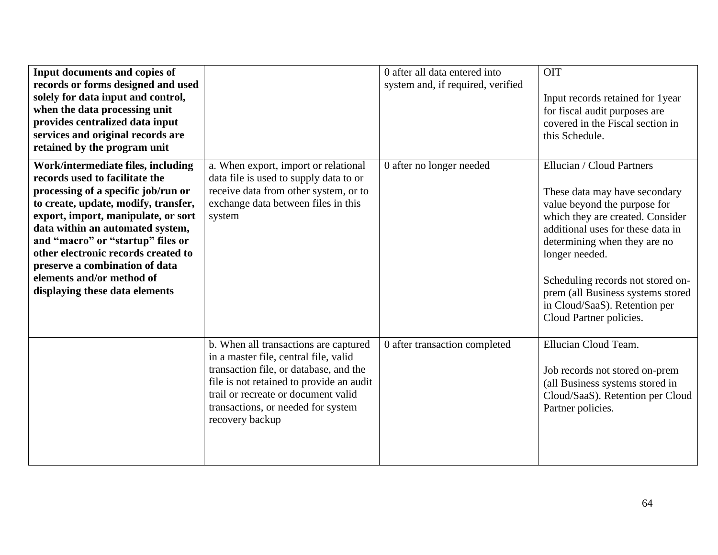| Input documents and copies of<br>records or forms designed and used<br>solely for data input and control,<br>when the data processing unit<br>provides centralized data input<br>services and original records are<br>retained by the program unit                                                                                                                                                          |                                                                                                                                                                                                                                                                      | 0 after all data entered into<br>system and, if required, verified | <b>OIT</b><br>Input records retained for 1year<br>for fiscal audit purposes are<br>covered in the Fiscal section in<br>this Schedule.                                                                                                                                                                                                                       |
|-------------------------------------------------------------------------------------------------------------------------------------------------------------------------------------------------------------------------------------------------------------------------------------------------------------------------------------------------------------------------------------------------------------|----------------------------------------------------------------------------------------------------------------------------------------------------------------------------------------------------------------------------------------------------------------------|--------------------------------------------------------------------|-------------------------------------------------------------------------------------------------------------------------------------------------------------------------------------------------------------------------------------------------------------------------------------------------------------------------------------------------------------|
| Work/intermediate files, including<br>records used to facilitate the<br>processing of a specific job/run or<br>to create, update, modify, transfer,<br>export, import, manipulate, or sort<br>data within an automated system,<br>and "macro" or "startup" files or<br>other electronic records created to<br>preserve a combination of data<br>elements and/or method of<br>displaying these data elements | a. When export, import or relational<br>data file is used to supply data to or<br>receive data from other system, or to<br>exchange data between files in this<br>system                                                                                             | 0 after no longer needed                                           | Ellucian / Cloud Partners<br>These data may have secondary<br>value beyond the purpose for<br>which they are created. Consider<br>additional uses for these data in<br>determining when they are no<br>longer needed.<br>Scheduling records not stored on-<br>prem (all Business systems stored<br>in Cloud/SaaS). Retention per<br>Cloud Partner policies. |
|                                                                                                                                                                                                                                                                                                                                                                                                             | b. When all transactions are captured<br>in a master file, central file, valid<br>transaction file, or database, and the<br>file is not retained to provide an audit<br>trail or recreate or document valid<br>transactions, or needed for system<br>recovery backup | 0 after transaction completed                                      | Ellucian Cloud Team.<br>Job records not stored on-prem<br>(all Business systems stored in<br>Cloud/SaaS). Retention per Cloud<br>Partner policies.                                                                                                                                                                                                          |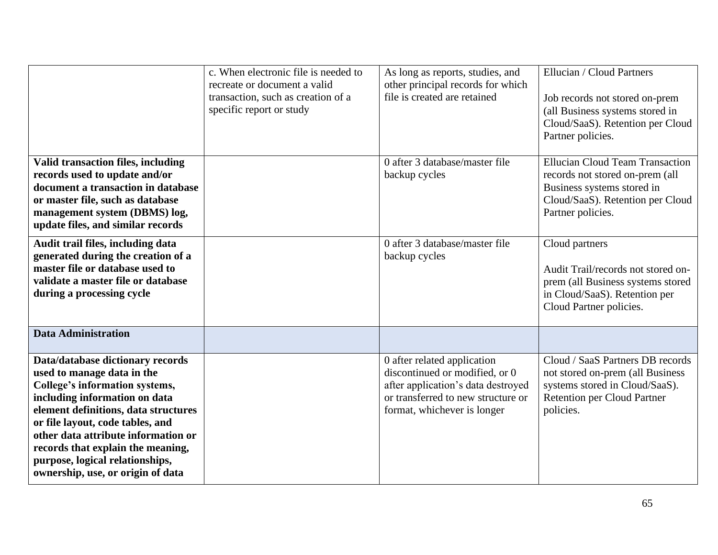|                                                                                                                                                                                                                                                                                                                                                                   | c. When electronic file is needed to<br>recreate or document a valid<br>transaction, such as creation of a<br>specific report or study | As long as reports, studies, and<br>other principal records for which<br>file is created are retained                                                                    | Ellucian / Cloud Partners<br>Job records not stored on-prem<br>(all Business systems stored in<br>Cloud/SaaS). Retention per Cloud<br>Partner policies.          |
|-------------------------------------------------------------------------------------------------------------------------------------------------------------------------------------------------------------------------------------------------------------------------------------------------------------------------------------------------------------------|----------------------------------------------------------------------------------------------------------------------------------------|--------------------------------------------------------------------------------------------------------------------------------------------------------------------------|------------------------------------------------------------------------------------------------------------------------------------------------------------------|
| <b>Valid transaction files, including</b><br>records used to update and/or<br>document a transaction in database<br>or master file, such as database<br>management system (DBMS) log,<br>update files, and similar records                                                                                                                                        |                                                                                                                                        | 0 after 3 database/master file<br>backup cycles                                                                                                                          | <b>Ellucian Cloud Team Transaction</b><br>records not stored on-prem (all<br>Business systems stored in<br>Cloud/SaaS). Retention per Cloud<br>Partner policies. |
| Audit trail files, including data<br>generated during the creation of a<br>master file or database used to<br>validate a master file or database<br>during a processing cycle                                                                                                                                                                                     |                                                                                                                                        | 0 after 3 database/master file<br>backup cycles                                                                                                                          | Cloud partners<br>Audit Trail/records not stored on-<br>prem (all Business systems stored<br>in Cloud/SaaS). Retention per<br>Cloud Partner policies.            |
| <b>Data Administration</b>                                                                                                                                                                                                                                                                                                                                        |                                                                                                                                        |                                                                                                                                                                          |                                                                                                                                                                  |
| Data/database dictionary records<br>used to manage data in the<br>College's information systems,<br>including information on data<br>element definitions, data structures<br>or file layout, code tables, and<br>other data attribute information or<br>records that explain the meaning,<br>purpose, logical relationships,<br>ownership, use, or origin of data |                                                                                                                                        | 0 after related application<br>discontinued or modified, or 0<br>after application's data destroyed<br>or transferred to new structure or<br>format, whichever is longer | Cloud / SaaS Partners DB records<br>not stored on-prem (all Business<br>systems stored in Cloud/SaaS).<br><b>Retention per Cloud Partner</b><br>policies.        |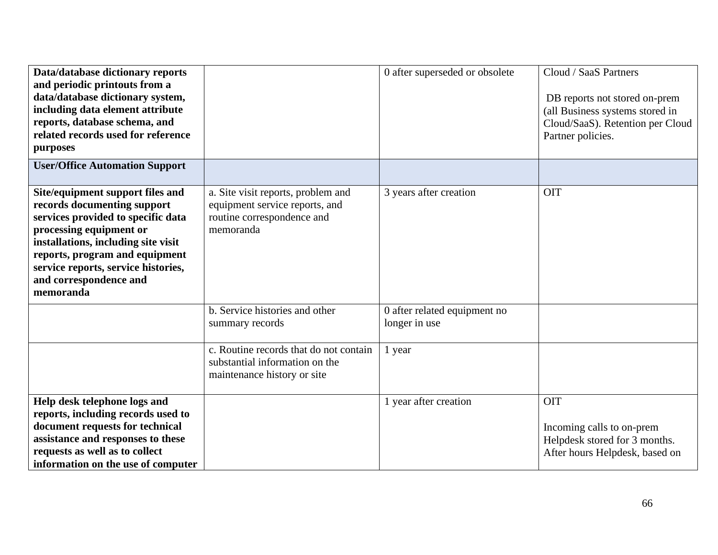| Data/database dictionary reports<br>and periodic printouts from a<br>data/database dictionary system,<br>including data element attribute<br>reports, database schema, and<br>related records used for reference<br>purposes<br><b>User/Office Automation Support</b>                   |                                                                                                                 | 0 after superseded or obsolete                | Cloud / SaaS Partners<br>DB reports not stored on-prem<br>(all Business systems stored in<br>Cloud/SaaS). Retention per Cloud<br>Partner policies. |
|-----------------------------------------------------------------------------------------------------------------------------------------------------------------------------------------------------------------------------------------------------------------------------------------|-----------------------------------------------------------------------------------------------------------------|-----------------------------------------------|----------------------------------------------------------------------------------------------------------------------------------------------------|
|                                                                                                                                                                                                                                                                                         |                                                                                                                 |                                               |                                                                                                                                                    |
| Site/equipment support files and<br>records documenting support<br>services provided to specific data<br>processing equipment or<br>installations, including site visit<br>reports, program and equipment<br>service reports, service histories,<br>and correspondence and<br>memoranda | a. Site visit reports, problem and<br>equipment service reports, and<br>routine correspondence and<br>memoranda | 3 years after creation                        | <b>OIT</b>                                                                                                                                         |
|                                                                                                                                                                                                                                                                                         | b. Service histories and other<br>summary records                                                               | 0 after related equipment no<br>longer in use |                                                                                                                                                    |
|                                                                                                                                                                                                                                                                                         | c. Routine records that do not contain<br>substantial information on the<br>maintenance history or site         | 1 year                                        |                                                                                                                                                    |
| Help desk telephone logs and                                                                                                                                                                                                                                                            |                                                                                                                 | 1 year after creation                         | <b>OIT</b>                                                                                                                                         |
| reports, including records used to                                                                                                                                                                                                                                                      |                                                                                                                 |                                               |                                                                                                                                                    |
| document requests for technical<br>assistance and responses to these                                                                                                                                                                                                                    |                                                                                                                 |                                               | Incoming calls to on-prem                                                                                                                          |
| requests as well as to collect                                                                                                                                                                                                                                                          |                                                                                                                 |                                               | Helpdesk stored for 3 months.<br>After hours Helpdesk, based on                                                                                    |
| information on the use of computer                                                                                                                                                                                                                                                      |                                                                                                                 |                                               |                                                                                                                                                    |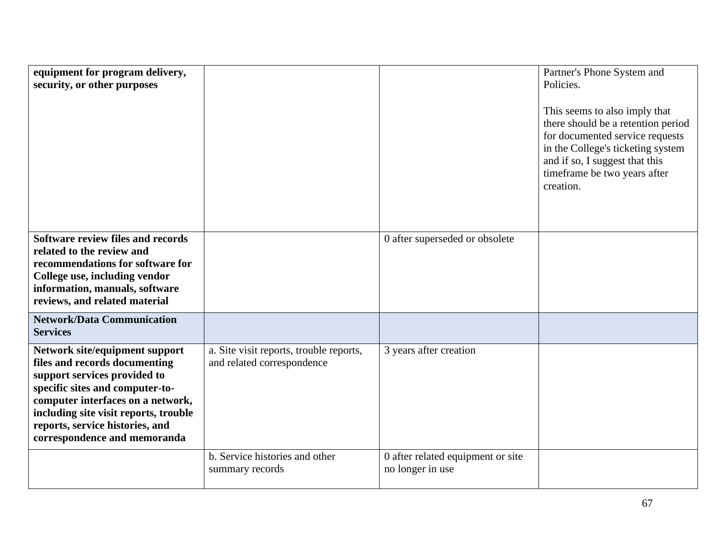| equipment for program delivery,<br>security, or other purposes                                                                                                                                                                                                                      |                                                                       |                                                       | Partner's Phone System and<br>Policies.<br>This seems to also imply that<br>there should be a retention period<br>for documented service requests<br>in the College's ticketing system<br>and if so, I suggest that this<br>timeframe be two years after<br>creation. |
|-------------------------------------------------------------------------------------------------------------------------------------------------------------------------------------------------------------------------------------------------------------------------------------|-----------------------------------------------------------------------|-------------------------------------------------------|-----------------------------------------------------------------------------------------------------------------------------------------------------------------------------------------------------------------------------------------------------------------------|
| Software review files and records<br>related to the review and<br>recommendations for software for<br>College use, including vendor<br>information, manuals, software<br>reviews, and related material                                                                              |                                                                       | 0 after superseded or obsolete                        |                                                                                                                                                                                                                                                                       |
| <b>Network/Data Communication</b><br><b>Services</b>                                                                                                                                                                                                                                |                                                                       |                                                       |                                                                                                                                                                                                                                                                       |
| Network site/equipment support<br>files and records documenting<br>support services provided to<br>specific sites and computer-to-<br>computer interfaces on a network,<br>including site visit reports, trouble<br>reports, service histories, and<br>correspondence and memoranda | a. Site visit reports, trouble reports,<br>and related correspondence | 3 years after creation                                |                                                                                                                                                                                                                                                                       |
|                                                                                                                                                                                                                                                                                     | b. Service histories and other<br>summary records                     | 0 after related equipment or site<br>no longer in use |                                                                                                                                                                                                                                                                       |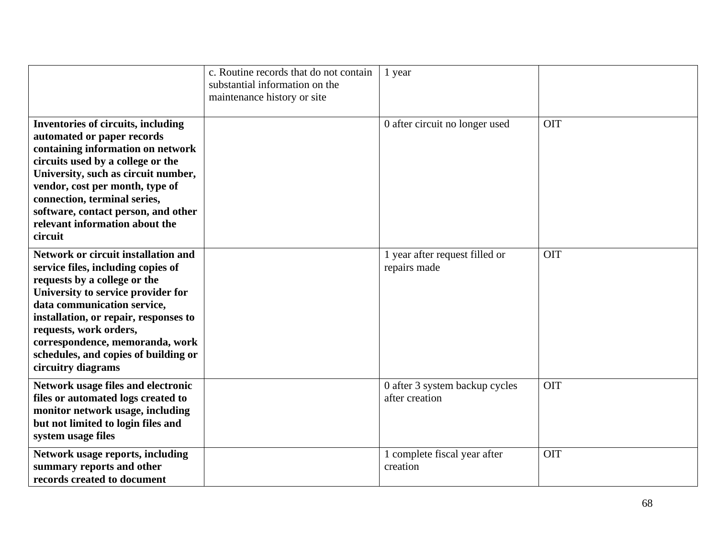|                                                                                                                                                                                                                                                                                                                                                           | c. Routine records that do not contain<br>substantial information on the<br>maintenance history or site | 1 year                                           |            |
|-----------------------------------------------------------------------------------------------------------------------------------------------------------------------------------------------------------------------------------------------------------------------------------------------------------------------------------------------------------|---------------------------------------------------------------------------------------------------------|--------------------------------------------------|------------|
| <b>Inventories of circuits, including</b><br>automated or paper records<br>containing information on network<br>circuits used by a college or the<br>University, such as circuit number,<br>vendor, cost per month, type of<br>connection, terminal series,<br>software, contact person, and other<br>relevant information about the<br>circuit           |                                                                                                         | 0 after circuit no longer used                   | <b>OIT</b> |
| <b>Network or circuit installation and</b><br>service files, including copies of<br>requests by a college or the<br>University to service provider for<br>data communication service,<br>installation, or repair, responses to<br>requests, work orders,<br>correspondence, memoranda, work<br>schedules, and copies of building or<br>circuitry diagrams |                                                                                                         | 1 year after request filled or<br>repairs made   | <b>OIT</b> |
| Network usage files and electronic<br>files or automated logs created to<br>monitor network usage, including<br>but not limited to login files and<br>system usage files                                                                                                                                                                                  |                                                                                                         | 0 after 3 system backup cycles<br>after creation | OIT        |
| Network usage reports, including<br>summary reports and other<br>records created to document                                                                                                                                                                                                                                                              |                                                                                                         | 1 complete fiscal year after<br>creation         | <b>OIT</b> |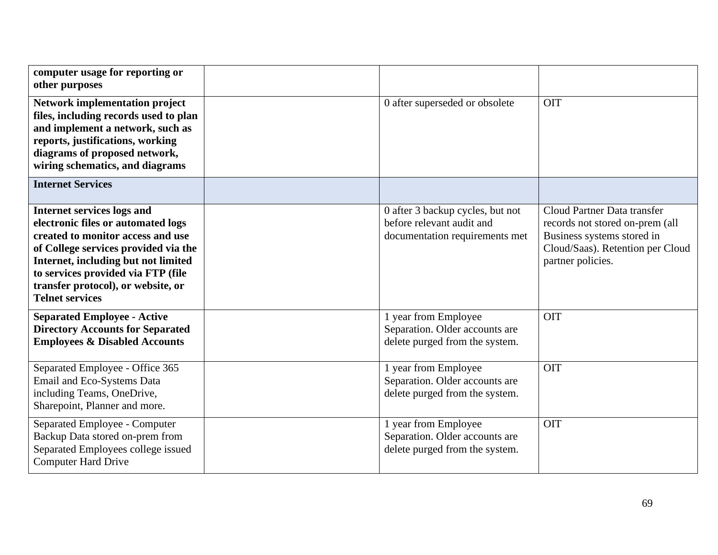| computer usage for reporting or<br>other purposes                                                                                                                                                                                                                                                 |                                                                                                 |                                                                                                                                                       |
|---------------------------------------------------------------------------------------------------------------------------------------------------------------------------------------------------------------------------------------------------------------------------------------------------|-------------------------------------------------------------------------------------------------|-------------------------------------------------------------------------------------------------------------------------------------------------------|
| <b>Network implementation project</b><br>files, including records used to plan<br>and implement a network, such as<br>reports, justifications, working<br>diagrams of proposed network,<br>wiring schematics, and diagrams                                                                        | 0 after superseded or obsolete                                                                  | <b>OIT</b>                                                                                                                                            |
| <b>Internet Services</b>                                                                                                                                                                                                                                                                          |                                                                                                 |                                                                                                                                                       |
| <b>Internet services logs and</b><br>electronic files or automated logs<br>created to monitor access and use<br>of College services provided via the<br>Internet, including but not limited<br>to services provided via FTP (file<br>transfer protocol), or website, or<br><b>Telnet services</b> | 0 after 3 backup cycles, but not<br>before relevant audit and<br>documentation requirements met | Cloud Partner Data transfer<br>records not stored on-prem (all<br>Business systems stored in<br>Cloud/Saas). Retention per Cloud<br>partner policies. |
| <b>Separated Employee - Active</b><br><b>Directory Accounts for Separated</b><br><b>Employees &amp; Disabled Accounts</b>                                                                                                                                                                         | 1 year from Employee<br>Separation. Older accounts are<br>delete purged from the system.        | <b>OIT</b>                                                                                                                                            |
| Separated Employee - Office 365<br>Email and Eco-Systems Data<br>including Teams, OneDrive,<br>Sharepoint, Planner and more.                                                                                                                                                                      | 1 year from Employee<br>Separation. Older accounts are<br>delete purged from the system.        | <b>OIT</b>                                                                                                                                            |
| Separated Employee - Computer<br>Backup Data stored on-prem from<br>Separated Employees college issued<br><b>Computer Hard Drive</b>                                                                                                                                                              | 1 year from Employee<br>Separation. Older accounts are<br>delete purged from the system.        | <b>OIT</b>                                                                                                                                            |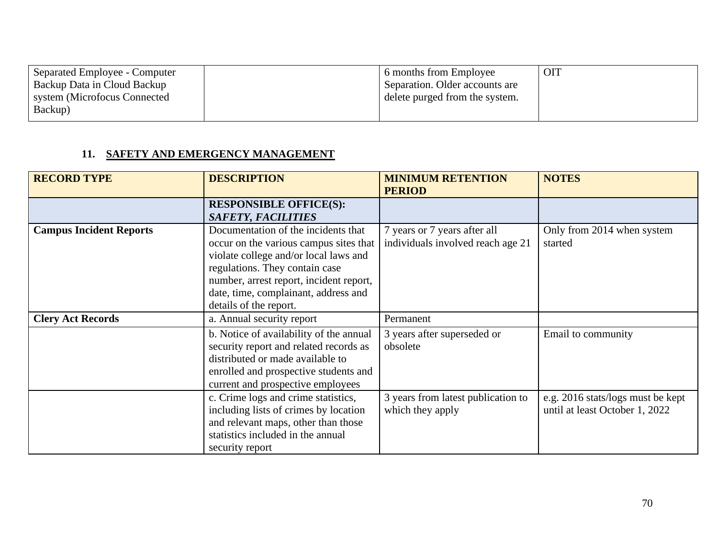| 16 months from Employee        | <b>OI</b> |
|--------------------------------|-----------|
| Separation. Older accounts are |           |
| delete purged from the system. |           |
|                                |           |
|                                |           |

## **11. SAFETY AND EMERGENCY MANAGEMENT**

| <b>RECORD TYPE</b>             | <b>DESCRIPTION</b>                                                                                                                                                                                                                                                    | <b>MINIMUM RETENTION</b><br><b>PERIOD</b>                         | <b>NOTES</b>                                                        |
|--------------------------------|-----------------------------------------------------------------------------------------------------------------------------------------------------------------------------------------------------------------------------------------------------------------------|-------------------------------------------------------------------|---------------------------------------------------------------------|
|                                | <b>RESPONSIBLE OFFICE(S):</b><br><b>SAFETY, FACILITIES</b>                                                                                                                                                                                                            |                                                                   |                                                                     |
| <b>Campus Incident Reports</b> | Documentation of the incidents that<br>occur on the various campus sites that<br>violate college and/or local laws and<br>regulations. They contain case<br>number, arrest report, incident report,<br>date, time, complainant, address and<br>details of the report. | 7 years or 7 years after all<br>individuals involved reach age 21 | Only from 2014 when system<br>started                               |
| <b>Clery Act Records</b>       | a. Annual security report                                                                                                                                                                                                                                             | Permanent                                                         |                                                                     |
|                                | b. Notice of availability of the annual<br>security report and related records as<br>distributed or made available to<br>enrolled and prospective students and<br>current and prospective employees                                                                   | 3 years after superseded or<br>obsolete                           | Email to community                                                  |
|                                | c. Crime logs and crime statistics,<br>including lists of crimes by location<br>and relevant maps, other than those<br>statistics included in the annual<br>security report                                                                                           | 3 years from latest publication to<br>which they apply            | e.g. 2016 stats/logs must be kept<br>until at least October 1, 2022 |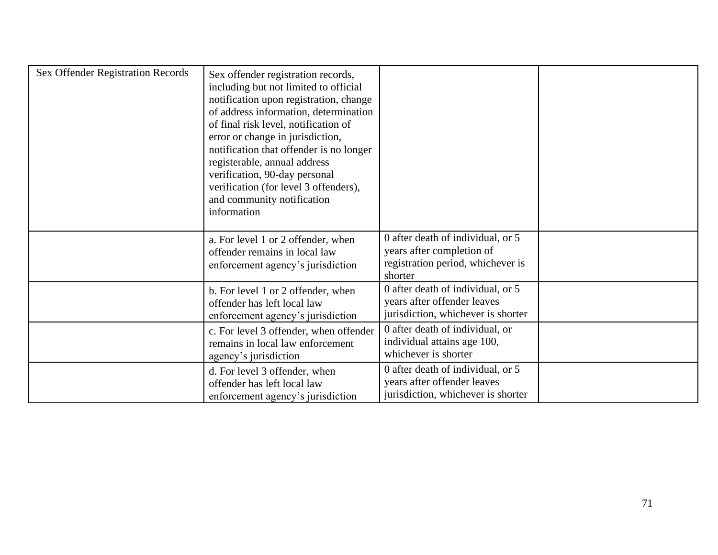| <b>Sex Offender Registration Records</b> | Sex offender registration records,<br>including but not limited to official<br>notification upon registration, change<br>of address information, determination<br>of final risk level, notification of<br>error or change in jurisdiction,<br>notification that offender is no longer<br>registerable, annual address<br>verification, 90-day personal<br>verification (for level 3 offenders),<br>and community notification<br>information |                                                                                                                |  |
|------------------------------------------|----------------------------------------------------------------------------------------------------------------------------------------------------------------------------------------------------------------------------------------------------------------------------------------------------------------------------------------------------------------------------------------------------------------------------------------------|----------------------------------------------------------------------------------------------------------------|--|
|                                          | a. For level 1 or 2 offender, when<br>offender remains in local law<br>enforcement agency's jurisdiction                                                                                                                                                                                                                                                                                                                                     | 0 after death of individual, or 5<br>years after completion of<br>registration period, whichever is<br>shorter |  |
|                                          | b. For level 1 or 2 offender, when<br>offender has left local law<br>enforcement agency's jurisdiction                                                                                                                                                                                                                                                                                                                                       | 0 after death of individual, or 5<br>years after offender leaves<br>jurisdiction, whichever is shorter         |  |
|                                          | c. For level 3 offender, when offender<br>remains in local law enforcement<br>agency's jurisdiction                                                                                                                                                                                                                                                                                                                                          | 0 after death of individual, or<br>individual attains age 100,<br>whichever is shorter                         |  |
|                                          | d. For level 3 offender, when<br>offender has left local law<br>enforcement agency's jurisdiction                                                                                                                                                                                                                                                                                                                                            | 0 after death of individual, or 5<br>years after offender leaves<br>jurisdiction, whichever is shorter         |  |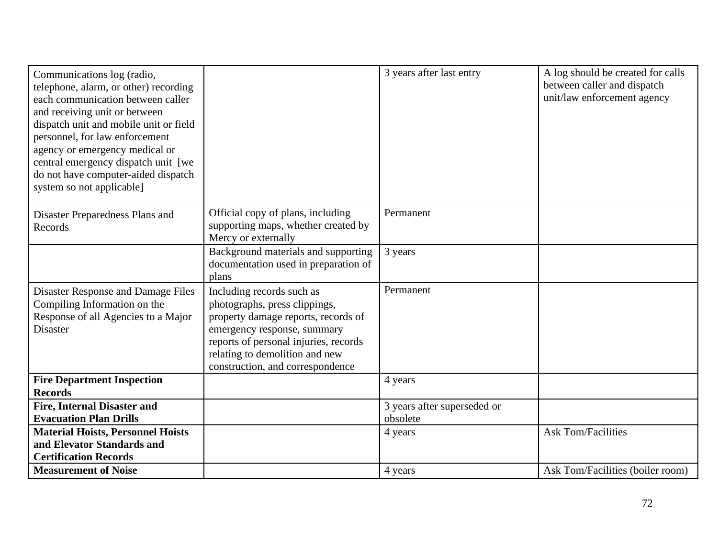| Communications log (radio,<br>telephone, alarm, or other) recording<br>each communication between caller<br>and receiving unit or between<br>dispatch unit and mobile unit or field<br>personnel, for law enforcement<br>agency or emergency medical or<br>central emergency dispatch unit [we<br>do not have computer-aided dispatch<br>system so not applicable] |                                                                                                                                                                                                                                                 | 3 years after last entry                | A log should be created for calls<br>between caller and dispatch<br>unit/law enforcement agency |
|--------------------------------------------------------------------------------------------------------------------------------------------------------------------------------------------------------------------------------------------------------------------------------------------------------------------------------------------------------------------|-------------------------------------------------------------------------------------------------------------------------------------------------------------------------------------------------------------------------------------------------|-----------------------------------------|-------------------------------------------------------------------------------------------------|
| Disaster Preparedness Plans and<br>Records                                                                                                                                                                                                                                                                                                                         | Official copy of plans, including<br>supporting maps, whether created by<br>Mercy or externally                                                                                                                                                 | Permanent                               |                                                                                                 |
|                                                                                                                                                                                                                                                                                                                                                                    | Background materials and supporting<br>documentation used in preparation of<br>plans                                                                                                                                                            | 3 years                                 |                                                                                                 |
| <b>Disaster Response and Damage Files</b><br>Compiling Information on the<br>Response of all Agencies to a Major<br><b>Disaster</b>                                                                                                                                                                                                                                | Including records such as<br>photographs, press clippings,<br>property damage reports, records of<br>emergency response, summary<br>reports of personal injuries, records<br>relating to demolition and new<br>construction, and correspondence | Permanent                               |                                                                                                 |
| <b>Fire Department Inspection</b><br><b>Records</b>                                                                                                                                                                                                                                                                                                                |                                                                                                                                                                                                                                                 | 4 years                                 |                                                                                                 |
| <b>Fire, Internal Disaster and</b><br><b>Evacuation Plan Drills</b>                                                                                                                                                                                                                                                                                                |                                                                                                                                                                                                                                                 | 3 years after superseded or<br>obsolete |                                                                                                 |
| <b>Material Hoists, Personnel Hoists</b><br>and Elevator Standards and<br><b>Certification Records</b>                                                                                                                                                                                                                                                             |                                                                                                                                                                                                                                                 | 4 years                                 | <b>Ask Tom/Facilities</b>                                                                       |
| <b>Measurement of Noise</b>                                                                                                                                                                                                                                                                                                                                        |                                                                                                                                                                                                                                                 | 4 years                                 | Ask Tom/Facilities (boiler room)                                                                |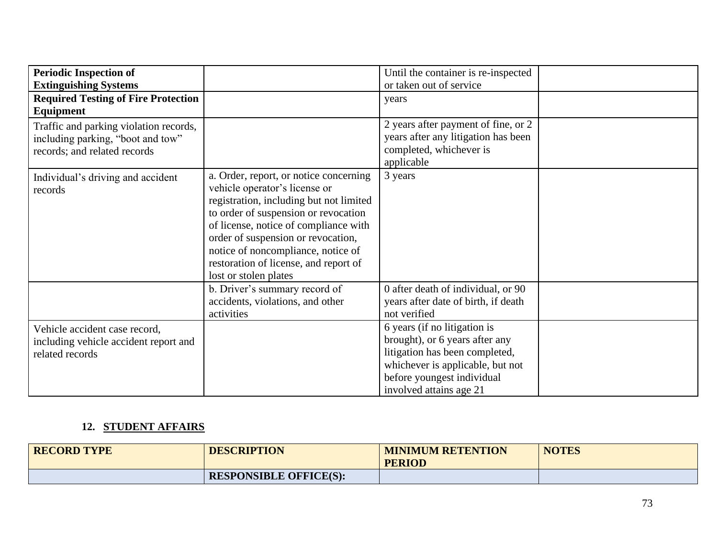| <b>Periodic Inspection of</b>                                                             |                                                                                                                                                                                                                                                                                                                                                   | Until the container is re-inspected                                                                                                                                                           |  |
|-------------------------------------------------------------------------------------------|---------------------------------------------------------------------------------------------------------------------------------------------------------------------------------------------------------------------------------------------------------------------------------------------------------------------------------------------------|-----------------------------------------------------------------------------------------------------------------------------------------------------------------------------------------------|--|
| <b>Extinguishing Systems</b>                                                              |                                                                                                                                                                                                                                                                                                                                                   | or taken out of service                                                                                                                                                                       |  |
| <b>Required Testing of Fire Protection</b>                                                |                                                                                                                                                                                                                                                                                                                                                   | years                                                                                                                                                                                         |  |
| Equipment                                                                                 |                                                                                                                                                                                                                                                                                                                                                   |                                                                                                                                                                                               |  |
| Traffic and parking violation records,                                                    |                                                                                                                                                                                                                                                                                                                                                   | 2 years after payment of fine, or 2                                                                                                                                                           |  |
| including parking, "boot and tow"                                                         |                                                                                                                                                                                                                                                                                                                                                   | years after any litigation has been                                                                                                                                                           |  |
| records; and related records                                                              |                                                                                                                                                                                                                                                                                                                                                   | completed, whichever is<br>applicable                                                                                                                                                         |  |
| Individual's driving and accident<br>records                                              | a. Order, report, or notice concerning<br>vehicle operator's license or<br>registration, including but not limited<br>to order of suspension or revocation<br>of license, notice of compliance with<br>order of suspension or revocation,<br>notice of noncompliance, notice of<br>restoration of license, and report of<br>lost or stolen plates | 3 years                                                                                                                                                                                       |  |
|                                                                                           | b. Driver's summary record of<br>accidents, violations, and other<br>activities                                                                                                                                                                                                                                                                   | 0 after death of individual, or 90<br>years after date of birth, if death<br>not verified                                                                                                     |  |
| Vehicle accident case record,<br>including vehicle accident report and<br>related records |                                                                                                                                                                                                                                                                                                                                                   | 6 years (if no litigation is<br>brought), or 6 years after any<br>litigation has been completed,<br>whichever is applicable, but not<br>before youngest individual<br>involved attains age 21 |  |

## **12. STUDENT AFFAIRS**

| <b>RECORD TYPE</b> | <b>DESCRIPTION</b>            | <b>MINIMUM RETENTION</b><br><b>PERIOD</b> | <b>NOTES</b> |
|--------------------|-------------------------------|-------------------------------------------|--------------|
|                    | <b>RESPONSIBLE OFFICE(S):</b> |                                           |              |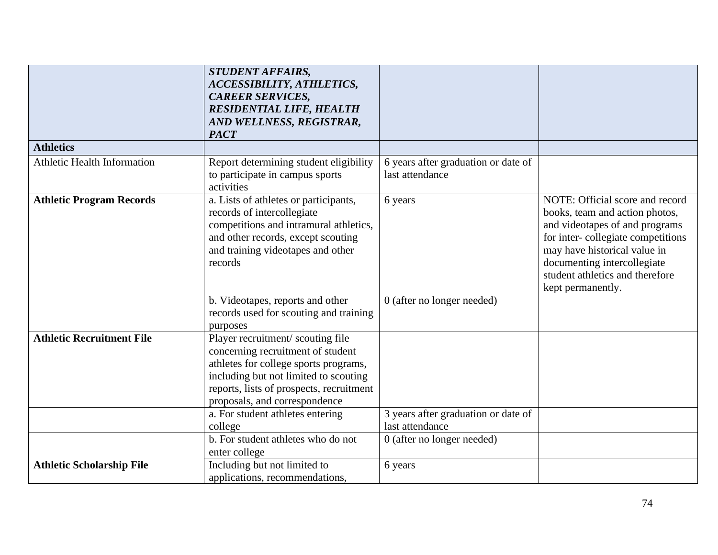|                                  | <b>STUDENT AFFAIRS,</b><br>ACCESSIBILITY, ATHLETICS,<br><b>CAREER SERVICES,</b><br><b>RESIDENTIAL LIFE, HEALTH</b><br>AND WELLNESS, REGISTRAR,                                                                                        |                                                        |                                                                                                                                                                                                                                                                 |
|----------------------------------|---------------------------------------------------------------------------------------------------------------------------------------------------------------------------------------------------------------------------------------|--------------------------------------------------------|-----------------------------------------------------------------------------------------------------------------------------------------------------------------------------------------------------------------------------------------------------------------|
|                                  | <b>PACT</b>                                                                                                                                                                                                                           |                                                        |                                                                                                                                                                                                                                                                 |
| <b>Athletics</b>                 |                                                                                                                                                                                                                                       |                                                        |                                                                                                                                                                                                                                                                 |
| Athletic Health Information      | Report determining student eligibility<br>to participate in campus sports<br>activities                                                                                                                                               | 6 years after graduation or date of<br>last attendance |                                                                                                                                                                                                                                                                 |
| <b>Athletic Program Records</b>  | a. Lists of athletes or participants,<br>records of intercollegiate<br>competitions and intramural athletics,<br>and other records, except scouting<br>and training videotapes and other<br>records                                   | 6 years                                                | NOTE: Official score and record<br>books, team and action photos,<br>and videotapes of and programs<br>for inter-collegiate competitions<br>may have historical value in<br>documenting intercollegiate<br>student athletics and therefore<br>kept permanently. |
|                                  | b. Videotapes, reports and other<br>records used for scouting and training<br>purposes                                                                                                                                                | 0 (after no longer needed)                             |                                                                                                                                                                                                                                                                 |
| <b>Athletic Recruitment File</b> | Player recruitment/ scouting file<br>concerning recruitment of student<br>athletes for college sports programs,<br>including but not limited to scouting<br>reports, lists of prospects, recruitment<br>proposals, and correspondence |                                                        |                                                                                                                                                                                                                                                                 |
|                                  | a. For student athletes entering<br>college                                                                                                                                                                                           | 3 years after graduation or date of<br>last attendance |                                                                                                                                                                                                                                                                 |
|                                  | b. For student athletes who do not<br>enter college                                                                                                                                                                                   | 0 (after no longer needed)                             |                                                                                                                                                                                                                                                                 |
| <b>Athletic Scholarship File</b> | Including but not limited to<br>applications, recommendations,                                                                                                                                                                        | 6 years                                                |                                                                                                                                                                                                                                                                 |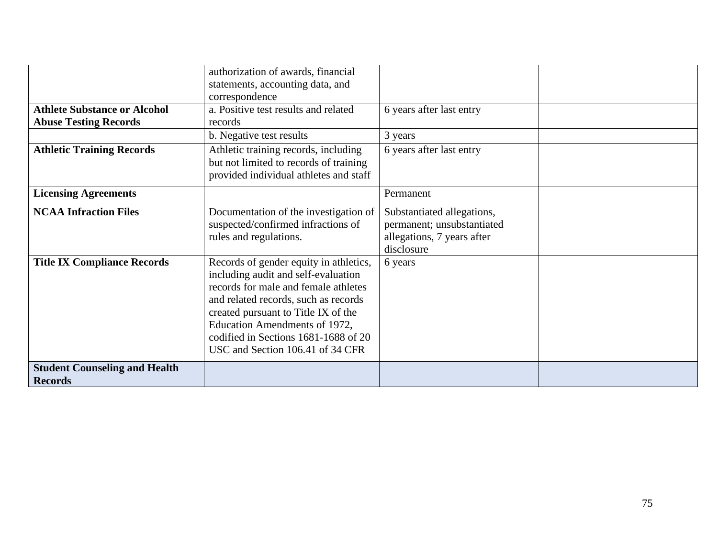|                                                                     | authorization of awards, financial<br>statements, accounting data, and                                                                                                                                                                                                                                            |                                                                                                      |  |
|---------------------------------------------------------------------|-------------------------------------------------------------------------------------------------------------------------------------------------------------------------------------------------------------------------------------------------------------------------------------------------------------------|------------------------------------------------------------------------------------------------------|--|
| <b>Athlete Substance or Alcohol</b><br><b>Abuse Testing Records</b> | correspondence<br>a. Positive test results and related<br>records                                                                                                                                                                                                                                                 | 6 years after last entry                                                                             |  |
|                                                                     | b. Negative test results                                                                                                                                                                                                                                                                                          | 3 years                                                                                              |  |
| <b>Athletic Training Records</b>                                    | Athletic training records, including<br>but not limited to records of training<br>provided individual athletes and staff                                                                                                                                                                                          | 6 years after last entry                                                                             |  |
| <b>Licensing Agreements</b>                                         |                                                                                                                                                                                                                                                                                                                   | Permanent                                                                                            |  |
| <b>NCAA Infraction Files</b>                                        | Documentation of the investigation of<br>suspected/confirmed infractions of<br>rules and regulations.                                                                                                                                                                                                             | Substantiated allegations,<br>permanent; unsubstantiated<br>allegations, 7 years after<br>disclosure |  |
| <b>Title IX Compliance Records</b>                                  | Records of gender equity in athletics,<br>including audit and self-evaluation<br>records for male and female athletes<br>and related records, such as records<br>created pursuant to Title IX of the<br>Education Amendments of 1972,<br>codified in Sections 1681-1688 of 20<br>USC and Section 106.41 of 34 CFR | 6 years                                                                                              |  |
| <b>Student Counseling and Health</b><br><b>Records</b>              |                                                                                                                                                                                                                                                                                                                   |                                                                                                      |  |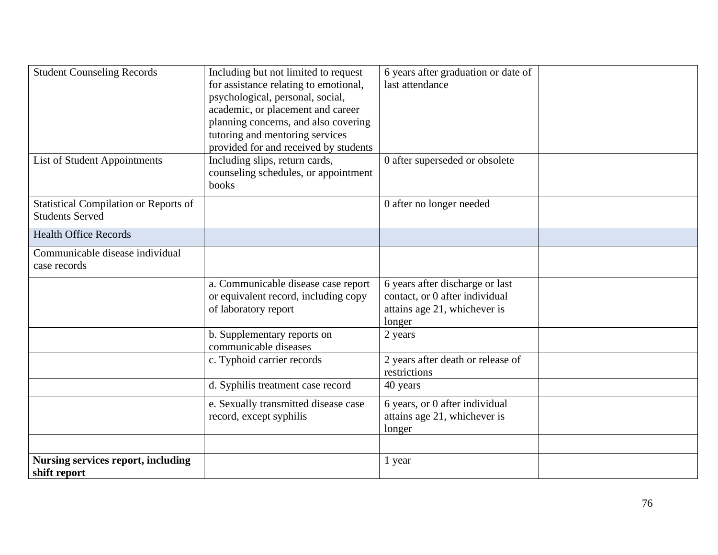| <b>Student Counseling Records</b>                                      | Including but not limited to request<br>for assistance relating to emotional,<br>psychological, personal, social,<br>academic, or placement and career<br>planning concerns, and also covering<br>tutoring and mentoring services<br>provided for and received by students | 6 years after graduation or date of<br>last attendance                                                      |  |
|------------------------------------------------------------------------|----------------------------------------------------------------------------------------------------------------------------------------------------------------------------------------------------------------------------------------------------------------------------|-------------------------------------------------------------------------------------------------------------|--|
| <b>List of Student Appointments</b>                                    | Including slips, return cards,<br>counseling schedules, or appointment<br>books                                                                                                                                                                                            | 0 after superseded or obsolete                                                                              |  |
| <b>Statistical Compilation or Reports of</b><br><b>Students Served</b> |                                                                                                                                                                                                                                                                            | 0 after no longer needed                                                                                    |  |
| <b>Health Office Records</b>                                           |                                                                                                                                                                                                                                                                            |                                                                                                             |  |
| Communicable disease individual<br>case records                        |                                                                                                                                                                                                                                                                            |                                                                                                             |  |
|                                                                        | a. Communicable disease case report<br>or equivalent record, including copy<br>of laboratory report                                                                                                                                                                        | 6 years after discharge or last<br>contact, or 0 after individual<br>attains age 21, whichever is<br>longer |  |
|                                                                        | b. Supplementary reports on<br>communicable diseases                                                                                                                                                                                                                       | 2 years                                                                                                     |  |
|                                                                        | c. Typhoid carrier records                                                                                                                                                                                                                                                 | 2 years after death or release of<br>restrictions                                                           |  |
|                                                                        | d. Syphilis treatment case record                                                                                                                                                                                                                                          | 40 years                                                                                                    |  |
|                                                                        | e. Sexually transmitted disease case<br>record, except syphilis                                                                                                                                                                                                            | 6 years, or 0 after individual<br>attains age 21, whichever is<br>longer                                    |  |
|                                                                        |                                                                                                                                                                                                                                                                            |                                                                                                             |  |
| <b>Nursing services report, including</b><br>shift report              |                                                                                                                                                                                                                                                                            | 1 year                                                                                                      |  |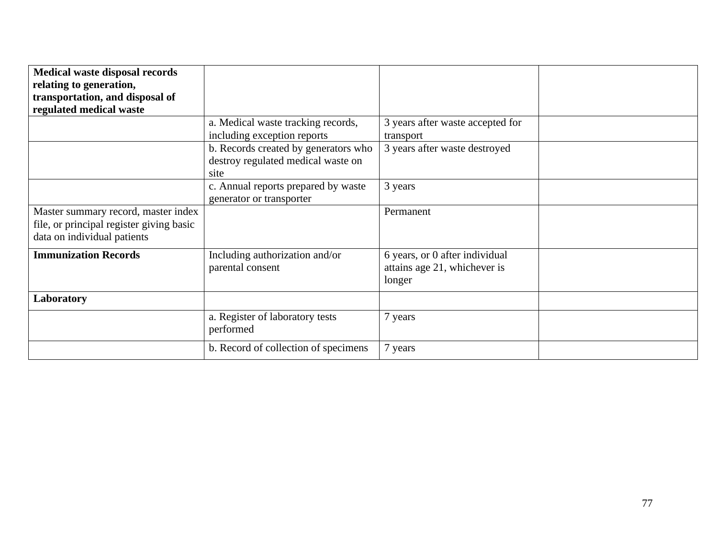| <b>Medical waste disposal records</b><br>relating to generation,                                               |                                                                                    |                                                                          |  |
|----------------------------------------------------------------------------------------------------------------|------------------------------------------------------------------------------------|--------------------------------------------------------------------------|--|
| transportation, and disposal of<br>regulated medical waste                                                     |                                                                                    |                                                                          |  |
|                                                                                                                | a. Medical waste tracking records,<br>including exception reports                  | 3 years after waste accepted for<br>transport                            |  |
|                                                                                                                | b. Records created by generators who<br>destroy regulated medical waste on<br>site | 3 years after waste destroyed                                            |  |
|                                                                                                                | c. Annual reports prepared by waste<br>generator or transporter                    | 3 years                                                                  |  |
| Master summary record, master index<br>file, or principal register giving basic<br>data on individual patients |                                                                                    | Permanent                                                                |  |
| <b>Immunization Records</b>                                                                                    | Including authorization and/or<br>parental consent                                 | 6 years, or 0 after individual<br>attains age 21, whichever is<br>longer |  |
| Laboratory                                                                                                     |                                                                                    |                                                                          |  |
|                                                                                                                | a. Register of laboratory tests<br>performed                                       | 7 years                                                                  |  |
|                                                                                                                | b. Record of collection of specimens                                               | 7 years                                                                  |  |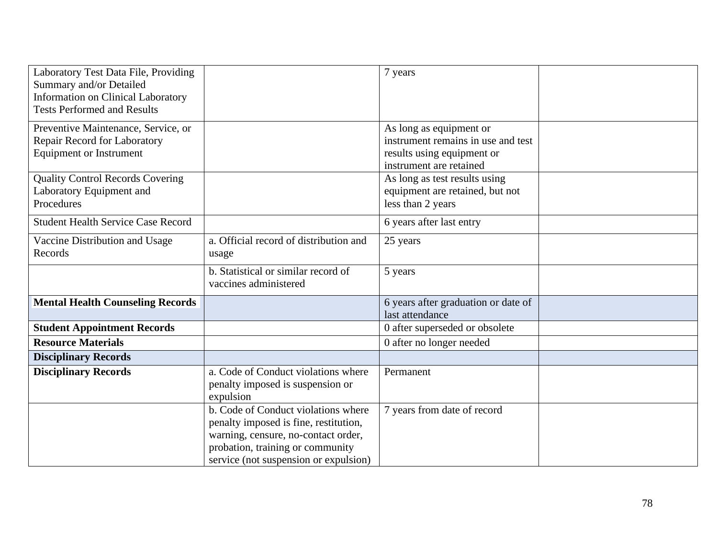| Laboratory Test Data File, Providing<br>Summary and/or Detailed<br>Information on Clinical Laboratory<br><b>Tests Performed and Results</b> |                                                                                                                                                                                                  | 7 years                                                                                                                |  |
|---------------------------------------------------------------------------------------------------------------------------------------------|--------------------------------------------------------------------------------------------------------------------------------------------------------------------------------------------------|------------------------------------------------------------------------------------------------------------------------|--|
| Preventive Maintenance, Service, or<br>Repair Record for Laboratory<br><b>Equipment or Instrument</b>                                       |                                                                                                                                                                                                  | As long as equipment or<br>instrument remains in use and test<br>results using equipment or<br>instrument are retained |  |
| <b>Quality Control Records Covering</b><br>Laboratory Equipment and<br>Procedures                                                           |                                                                                                                                                                                                  | As long as test results using<br>equipment are retained, but not<br>less than 2 years                                  |  |
| <b>Student Health Service Case Record</b>                                                                                                   |                                                                                                                                                                                                  | 6 years after last entry                                                                                               |  |
| Vaccine Distribution and Usage<br>Records                                                                                                   | a. Official record of distribution and<br>usage                                                                                                                                                  | 25 years                                                                                                               |  |
|                                                                                                                                             | b. Statistical or similar record of<br>vaccines administered                                                                                                                                     | 5 years                                                                                                                |  |
| <b>Mental Health Counseling Records</b>                                                                                                     |                                                                                                                                                                                                  | 6 years after graduation or date of<br>last attendance                                                                 |  |
| <b>Student Appointment Records</b>                                                                                                          |                                                                                                                                                                                                  | 0 after superseded or obsolete                                                                                         |  |
| <b>Resource Materials</b>                                                                                                                   |                                                                                                                                                                                                  | 0 after no longer needed                                                                                               |  |
| <b>Disciplinary Records</b>                                                                                                                 |                                                                                                                                                                                                  |                                                                                                                        |  |
| <b>Disciplinary Records</b>                                                                                                                 | a. Code of Conduct violations where<br>penalty imposed is suspension or<br>expulsion                                                                                                             | Permanent                                                                                                              |  |
|                                                                                                                                             | b. Code of Conduct violations where<br>penalty imposed is fine, restitution,<br>warning, censure, no-contact order,<br>probation, training or community<br>service (not suspension or expulsion) | 7 years from date of record                                                                                            |  |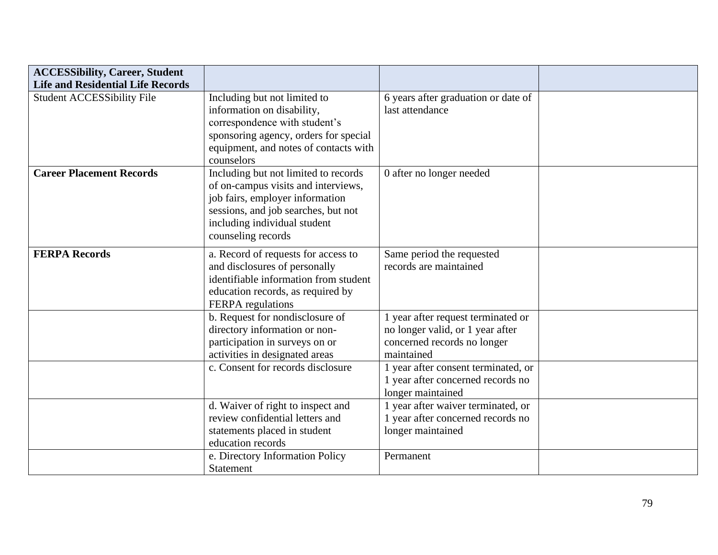| <b>ACCESSibility, Career, Student</b><br><b>Life and Residential Life Records</b> |                                       |                                     |  |
|-----------------------------------------------------------------------------------|---------------------------------------|-------------------------------------|--|
|                                                                                   |                                       |                                     |  |
| <b>Student ACCESSibility File</b>                                                 | Including but not limited to          | 6 years after graduation or date of |  |
|                                                                                   | information on disability,            | last attendance                     |  |
|                                                                                   | correspondence with student's         |                                     |  |
|                                                                                   | sponsoring agency, orders for special |                                     |  |
|                                                                                   | equipment, and notes of contacts with |                                     |  |
|                                                                                   | counselors                            |                                     |  |
| <b>Career Placement Records</b>                                                   | Including but not limited to records  | 0 after no longer needed            |  |
|                                                                                   | of on-campus visits and interviews,   |                                     |  |
|                                                                                   | job fairs, employer information       |                                     |  |
|                                                                                   | sessions, and job searches, but not   |                                     |  |
|                                                                                   | including individual student          |                                     |  |
|                                                                                   | counseling records                    |                                     |  |
|                                                                                   |                                       |                                     |  |
| <b>FERPA Records</b>                                                              | a. Record of requests for access to   | Same period the requested           |  |
|                                                                                   | and disclosures of personally         | records are maintained              |  |
|                                                                                   | identifiable information from student |                                     |  |
|                                                                                   | education records, as required by     |                                     |  |
|                                                                                   | FERPA regulations                     |                                     |  |
|                                                                                   | b. Request for nondisclosure of       | 1 year after request terminated or  |  |
|                                                                                   | directory information or non-         | no longer valid, or 1 year after    |  |
|                                                                                   | participation in surveys on or        | concerned records no longer         |  |
|                                                                                   | activities in designated areas        | maintained                          |  |
|                                                                                   | c. Consent for records disclosure     | 1 year after consent terminated, or |  |
|                                                                                   |                                       | 1 year after concerned records no   |  |
|                                                                                   |                                       | longer maintained                   |  |
|                                                                                   | d. Waiver of right to inspect and     | 1 year after waiver terminated, or  |  |
|                                                                                   | review confidential letters and       | 1 year after concerned records no   |  |
|                                                                                   | statements placed in student          | longer maintained                   |  |
|                                                                                   | education records                     |                                     |  |
|                                                                                   | e. Directory Information Policy       | Permanent                           |  |
|                                                                                   | Statement                             |                                     |  |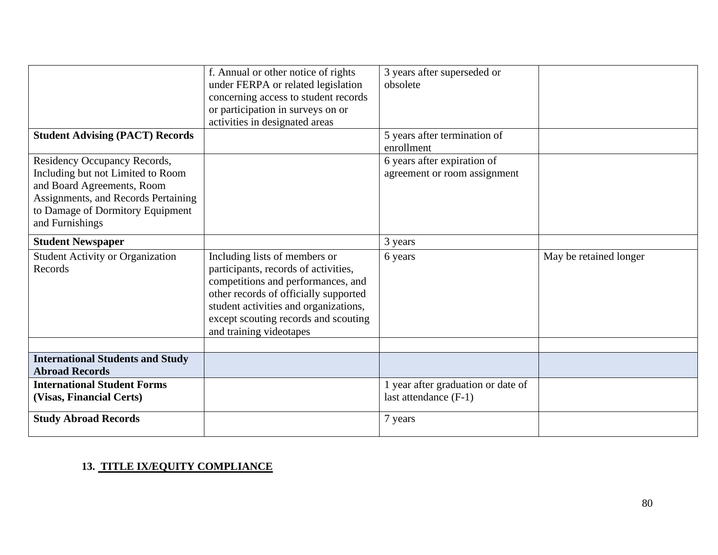| <b>Student Advising (PACT) Records</b>                                                                                                                                                        | f. Annual or other notice of rights<br>under FERPA or related legislation<br>concerning access to student records<br>or participation in surveys on or<br>activities in designated areas                                                                         | 3 years after superseded or<br>obsolete<br>5 years after termination of |                        |
|-----------------------------------------------------------------------------------------------------------------------------------------------------------------------------------------------|------------------------------------------------------------------------------------------------------------------------------------------------------------------------------------------------------------------------------------------------------------------|-------------------------------------------------------------------------|------------------------|
|                                                                                                                                                                                               |                                                                                                                                                                                                                                                                  | enrollment                                                              |                        |
| Residency Occupancy Records,<br>Including but not Limited to Room<br>and Board Agreements, Room<br>Assignments, and Records Pertaining<br>to Damage of Dormitory Equipment<br>and Furnishings |                                                                                                                                                                                                                                                                  | 6 years after expiration of<br>agreement or room assignment             |                        |
| <b>Student Newspaper</b>                                                                                                                                                                      |                                                                                                                                                                                                                                                                  | 3 years                                                                 |                        |
| <b>Student Activity or Organization</b><br>Records                                                                                                                                            | Including lists of members or<br>participants, records of activities,<br>competitions and performances, and<br>other records of officially supported<br>student activities and organizations,<br>except scouting records and scouting<br>and training videotapes | 6 years                                                                 | May be retained longer |
|                                                                                                                                                                                               |                                                                                                                                                                                                                                                                  |                                                                         |                        |
| <b>International Students and Study</b><br><b>Abroad Records</b>                                                                                                                              |                                                                                                                                                                                                                                                                  |                                                                         |                        |
| <b>International Student Forms</b><br>(Visas, Financial Certs)                                                                                                                                |                                                                                                                                                                                                                                                                  | 1 year after graduation or date of<br>last attendance $(F-1)$           |                        |
| <b>Study Abroad Records</b>                                                                                                                                                                   |                                                                                                                                                                                                                                                                  | 7 years                                                                 |                        |

## **13. TITLE IX/EQUITY COMPLIANCE**